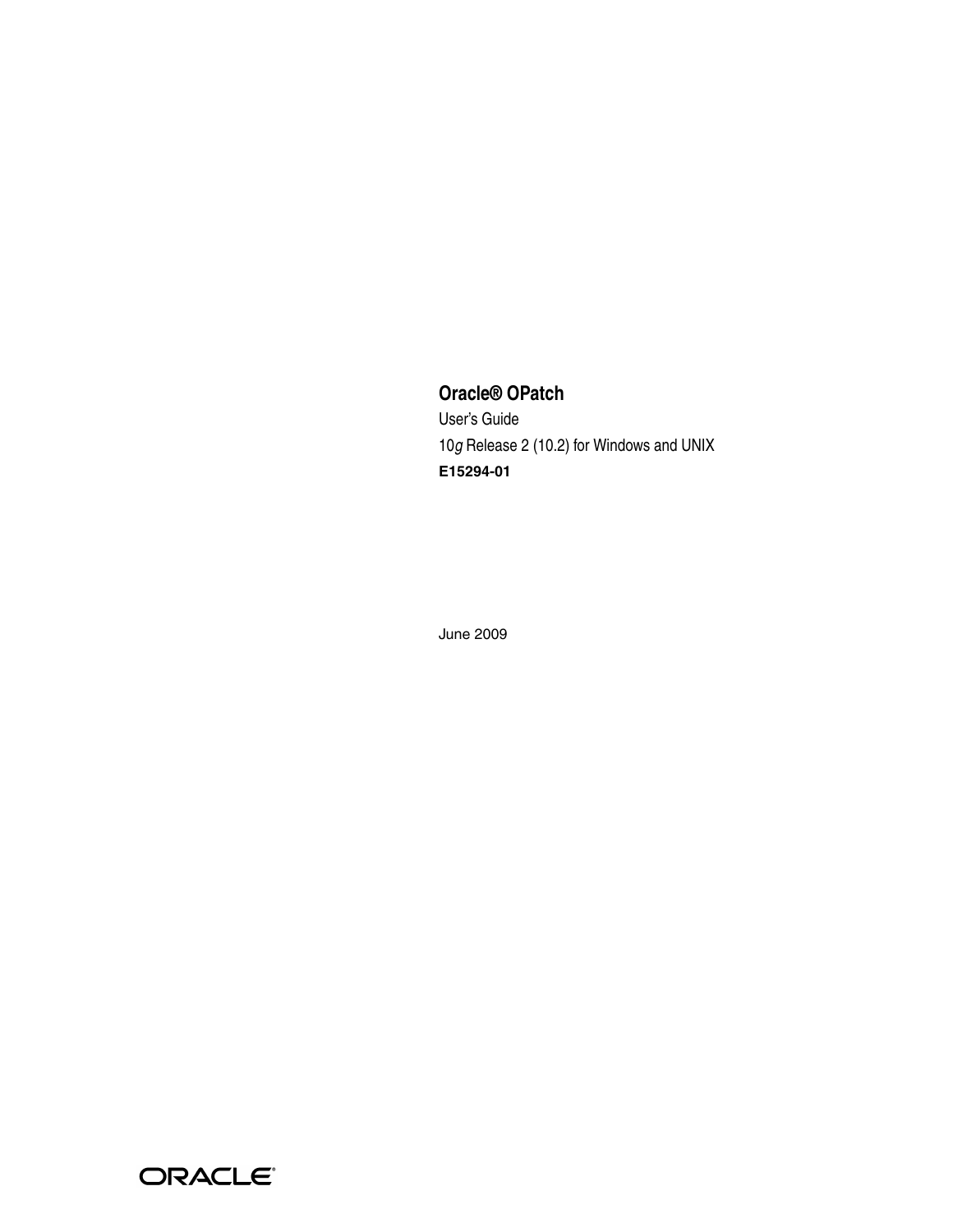## **Oracle® OPatch**

User's Guide 10*g* Release 2 (10.2) for Windows and UNIX **E15294-01**

June 2009

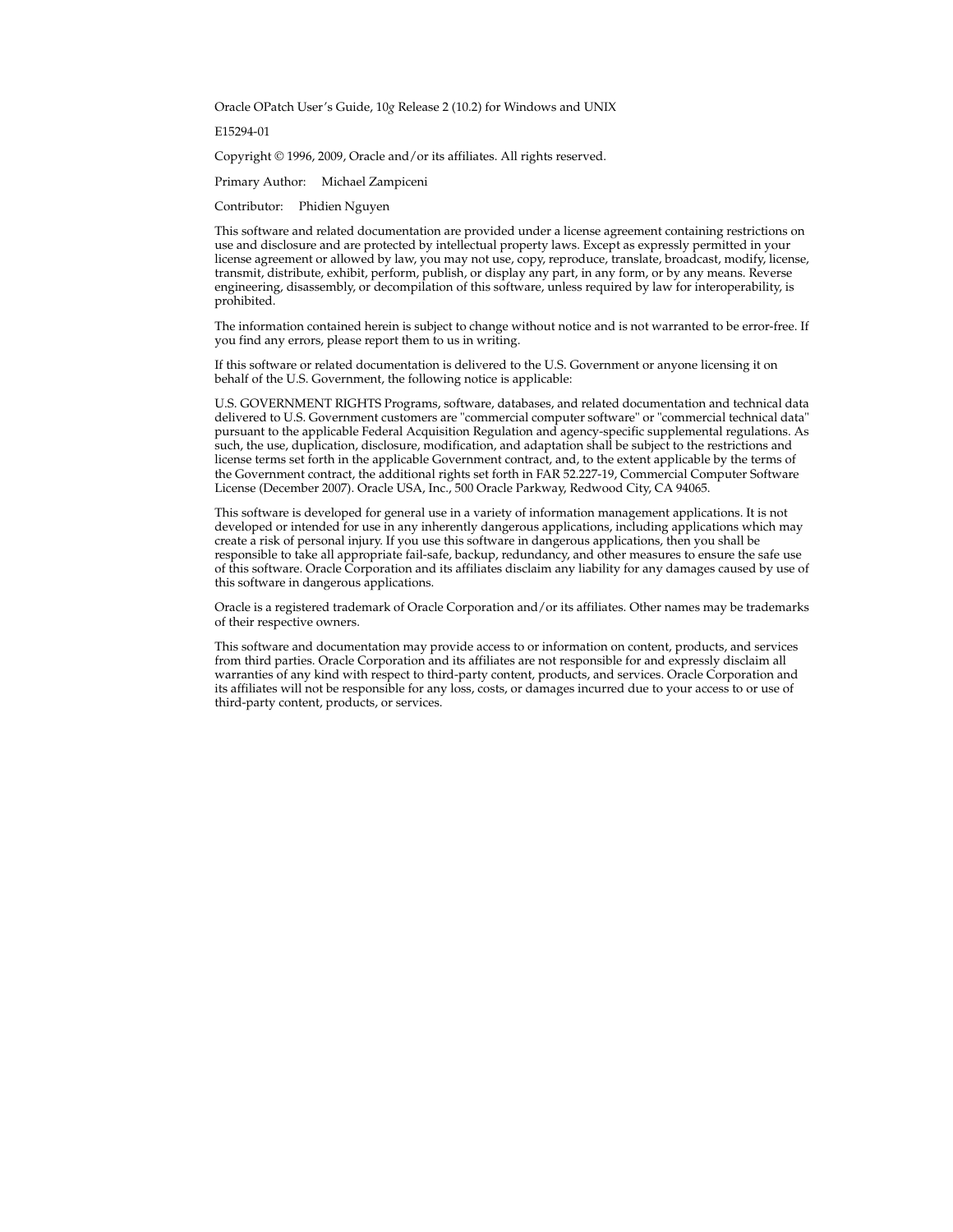Oracle OPatch User's Guide, 10*g* Release 2 (10.2) for Windows and UNIX

E15294-01

Copyright © 1996, 2009, Oracle and/or its affiliates. All rights reserved.

Primary Author: Michael Zampiceni

Contributor: Phidien Nguyen

This software and related documentation are provided under a license agreement containing restrictions on use and disclosure and are protected by intellectual property laws. Except as expressly permitted in your license agreement or allowed by law, you may not use, copy, reproduce, translate, broadcast, modify, license, transmit, distribute, exhibit, perform, publish, or display any part, in any form, or by any means. Reverse engineering, disassembly, or decompilation of this software, unless required by law for interoperability, is prohibited.

The information contained herein is subject to change without notice and is not warranted to be error-free. If you find any errors, please report them to us in writing.

If this software or related documentation is delivered to the U.S. Government or anyone licensing it on behalf of the U.S. Government, the following notice is applicable:

U.S. GOVERNMENT RIGHTS Programs, software, databases, and related documentation and technical data delivered to U.S. Government customers are "commercial computer software" or "commercial technical data" pursuant to the applicable Federal Acquisition Regulation and agency-specific supplemental regulations. As such, the use, duplication, disclosure, modification, and adaptation shall be subject to the restrictions and license terms set forth in the applicable Government contract, and, to the extent applicable by the terms of the Government contract, the additional rights set forth in FAR 52.227-19, Commercial Computer Software License (December 2007). Oracle USA, Inc., 500 Oracle Parkway, Redwood City, CA 94065.

This software is developed for general use in a variety of information management applications. It is not developed or intended for use in any inherently dangerous applications, including applications which may create a risk of personal injury. If you use this software in dangerous applications, then you shall be responsible to take all appropriate fail-safe, backup, redundancy, and other measures to ensure the safe use of this software. Oracle Corporation and its affiliates disclaim any liability for any damages caused by use of this software in dangerous applications.

Oracle is a registered trademark of Oracle Corporation and/or its affiliates. Other names may be trademarks of their respective owners.

This software and documentation may provide access to or information on content, products, and services from third parties. Oracle Corporation and its affiliates are not responsible for and expressly disclaim all warranties of any kind with respect to third-party content, products, and services. Oracle Corporation and its affiliates will not be responsible for any loss, costs, or damages incurred due to your access to or use of third-party content, products, or services.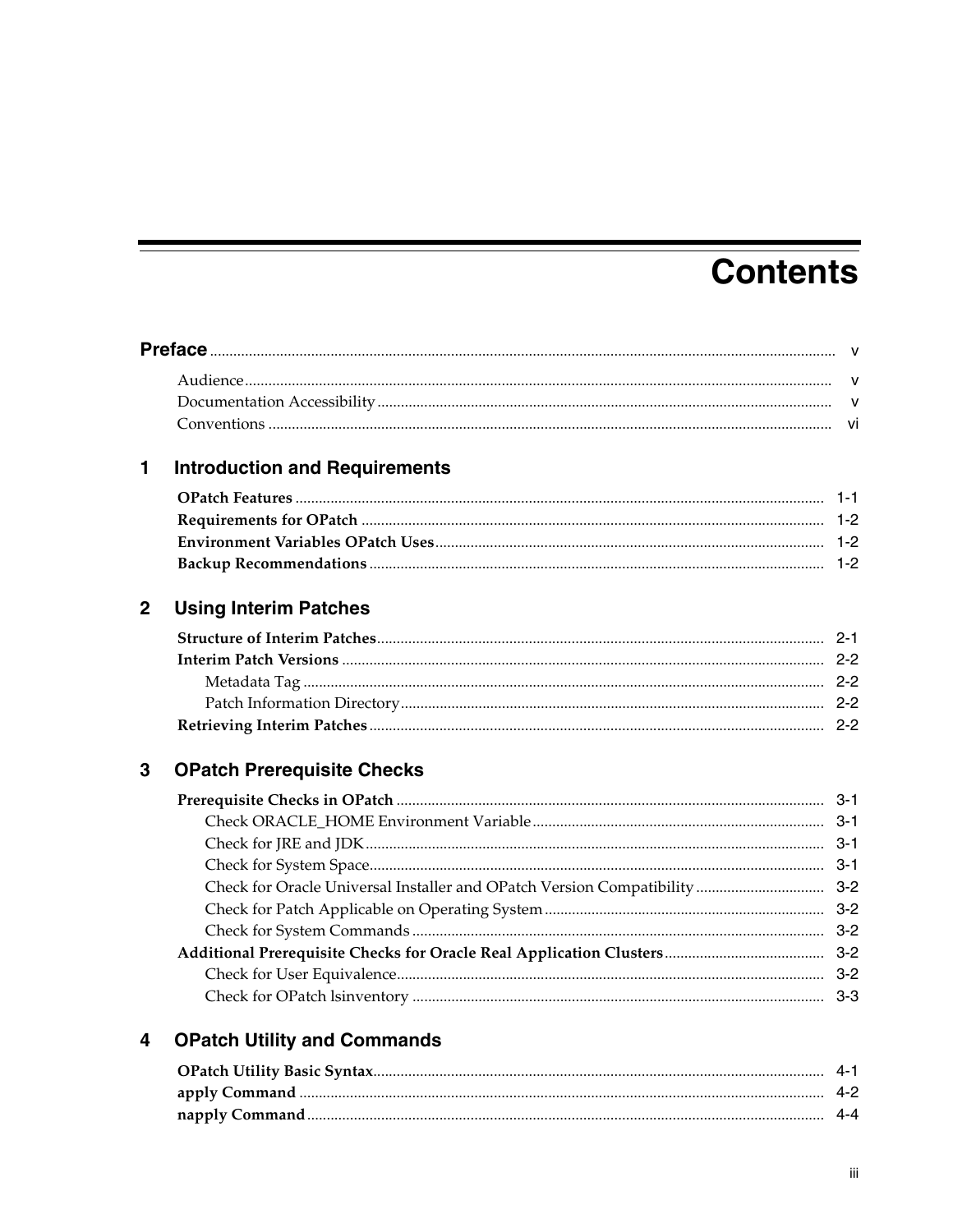# **Contents**

| 1                | <b>Introduction and Requirements</b> |  |
|------------------|--------------------------------------|--|
|                  |                                      |  |
|                  |                                      |  |
|                  |                                      |  |
|                  |                                      |  |
| $\boldsymbol{2}$ | <b>Using Interim Patches</b>         |  |
|                  |                                      |  |
|                  |                                      |  |
|                  |                                      |  |
|                  |                                      |  |
|                  |                                      |  |
| 3                | <b>OPatch Prerequisite Checks</b>    |  |
|                  |                                      |  |
|                  |                                      |  |
|                  |                                      |  |
|                  |                                      |  |
|                  |                                      |  |
|                  |                                      |  |
|                  |                                      |  |
|                  |                                      |  |
|                  |                                      |  |
|                  |                                      |  |
| 4                | <b>OPatch Utility and Commands</b>   |  |
|                  |                                      |  |
|                  |                                      |  |
|                  |                                      |  |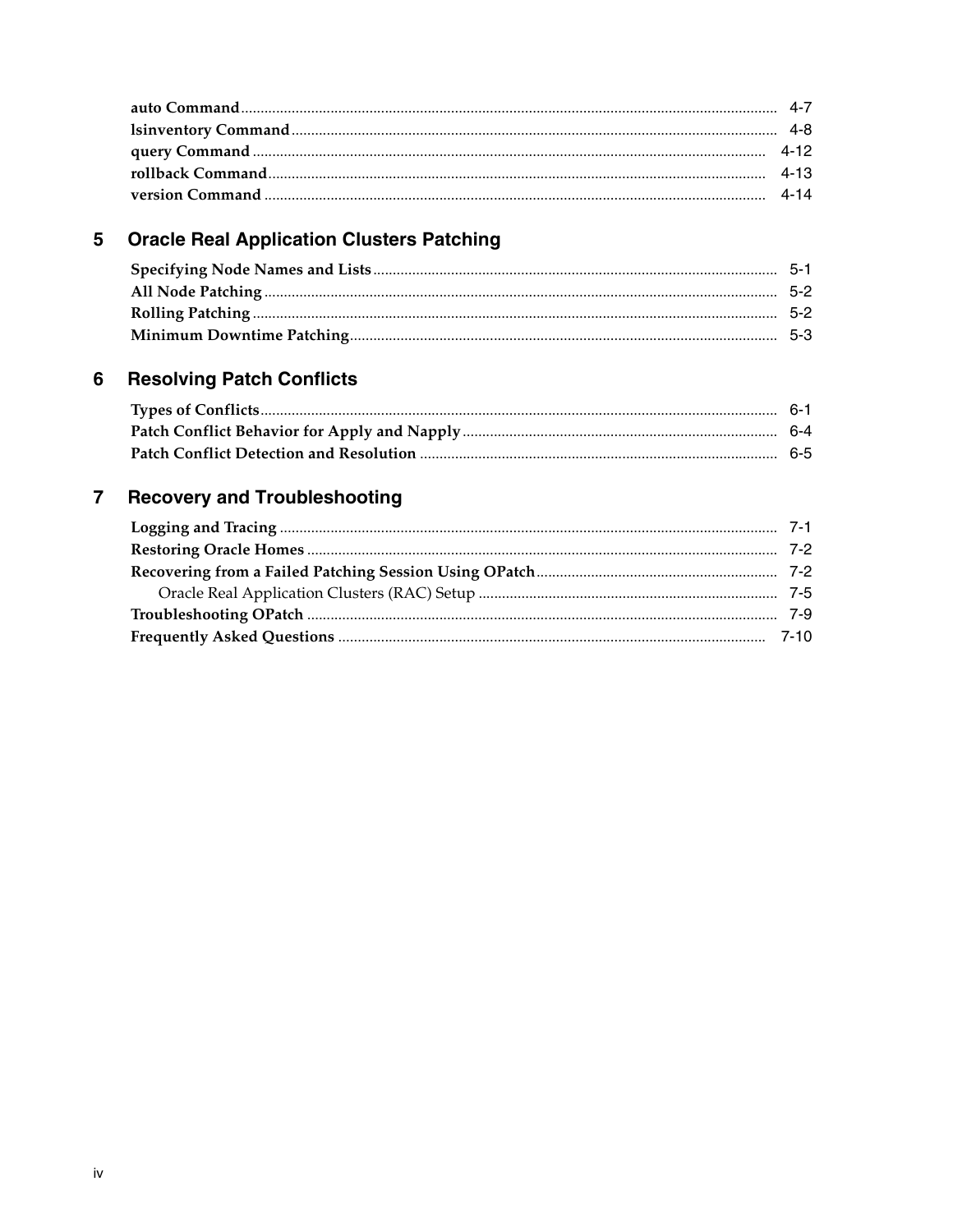# 5 Oracle Real Application Clusters Patching

#### $6\phantom{a}$ **Resolving Patch Conflicts**

#### $\overline{7}$ **Recovery and Troubleshooting**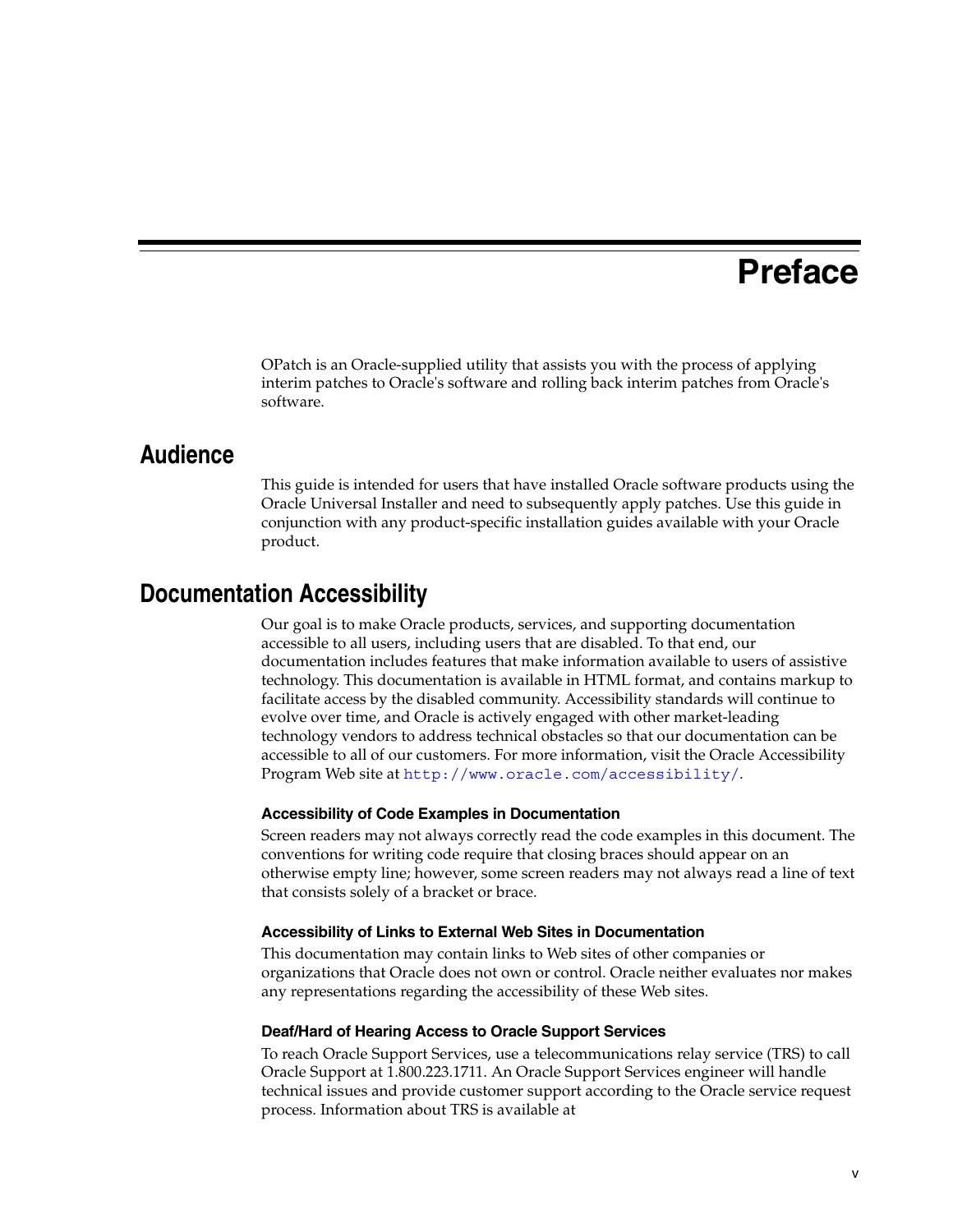# **Preface**

<span id="page-4-0"></span>OPatch is an Oracle-supplied utility that assists you with the process of applying interim patches to Oracle's software and rolling back interim patches from Oracle's software.

### <span id="page-4-1"></span>**Audience**

This guide is intended for users that have installed Oracle software products using the Oracle Universal Installer and need to subsequently apply patches. Use this guide in conjunction with any product-specific installation guides available with your Oracle product.

## <span id="page-4-2"></span>**Documentation Accessibility**

Our goal is to make Oracle products, services, and supporting documentation accessible to all users, including users that are disabled. To that end, our documentation includes features that make information available to users of assistive technology. This documentation is available in HTML format, and contains markup to facilitate access by the disabled community. Accessibility standards will continue to evolve over time, and Oracle is actively engaged with other market-leading technology vendors to address technical obstacles so that our documentation can be accessible to all of our customers. For more information, visit the Oracle Accessibility Program Web site at http://www.oracle.com/accessibility/.

#### **Accessibility of Code Examples in Documentation**

Screen readers may not always correctly read the code examples in this document. The conventions for writing code require that closing braces should appear on an otherwise empty line; however, some screen readers may not always read a line of text that consists solely of a bracket or brace.

#### **Accessibility of Links to External Web Sites in Documentation**

This documentation may contain links to Web sites of other companies or organizations that Oracle does not own or control. Oracle neither evaluates nor makes any representations regarding the accessibility of these Web sites.

#### **Deaf/Hard of Hearing Access to Oracle Support Services**

To reach Oracle Support Services, use a telecommunications relay service (TRS) to call Oracle Support at 1.800.223.1711. An Oracle Support Services engineer will handle technical issues and provide customer support according to the Oracle service request process. Information about TRS is available at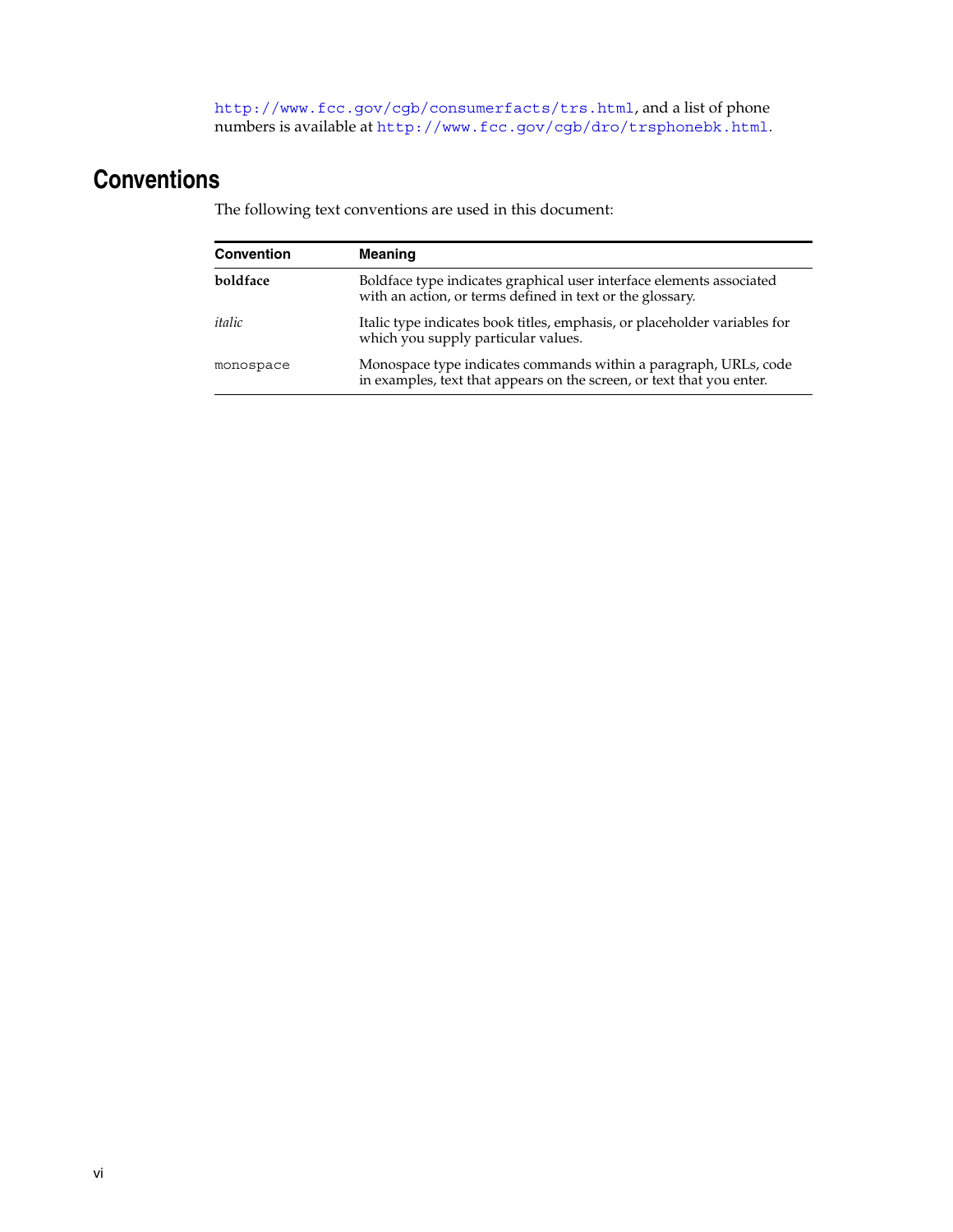http://www.fcc.gov/cgb/consumerfacts/trs.html, and a list of phone numbers is available at http://www.fcc.gov/cgb/dro/trsphonebk.html.

# <span id="page-5-0"></span>**Conventions**

The following text conventions are used in this document:

| <b>Convention</b> | <b>Meaning</b>                                                                                                                            |
|-------------------|-------------------------------------------------------------------------------------------------------------------------------------------|
| boldface          | Boldface type indicates graphical user interface elements associated<br>with an action, or terms defined in text or the glossary.         |
| italic            | Italic type indicates book titles, emphasis, or placeholder variables for<br>which you supply particular values.                          |
| monospace         | Monospace type indicates commands within a paragraph, URLs, code<br>in examples, text that appears on the screen, or text that you enter. |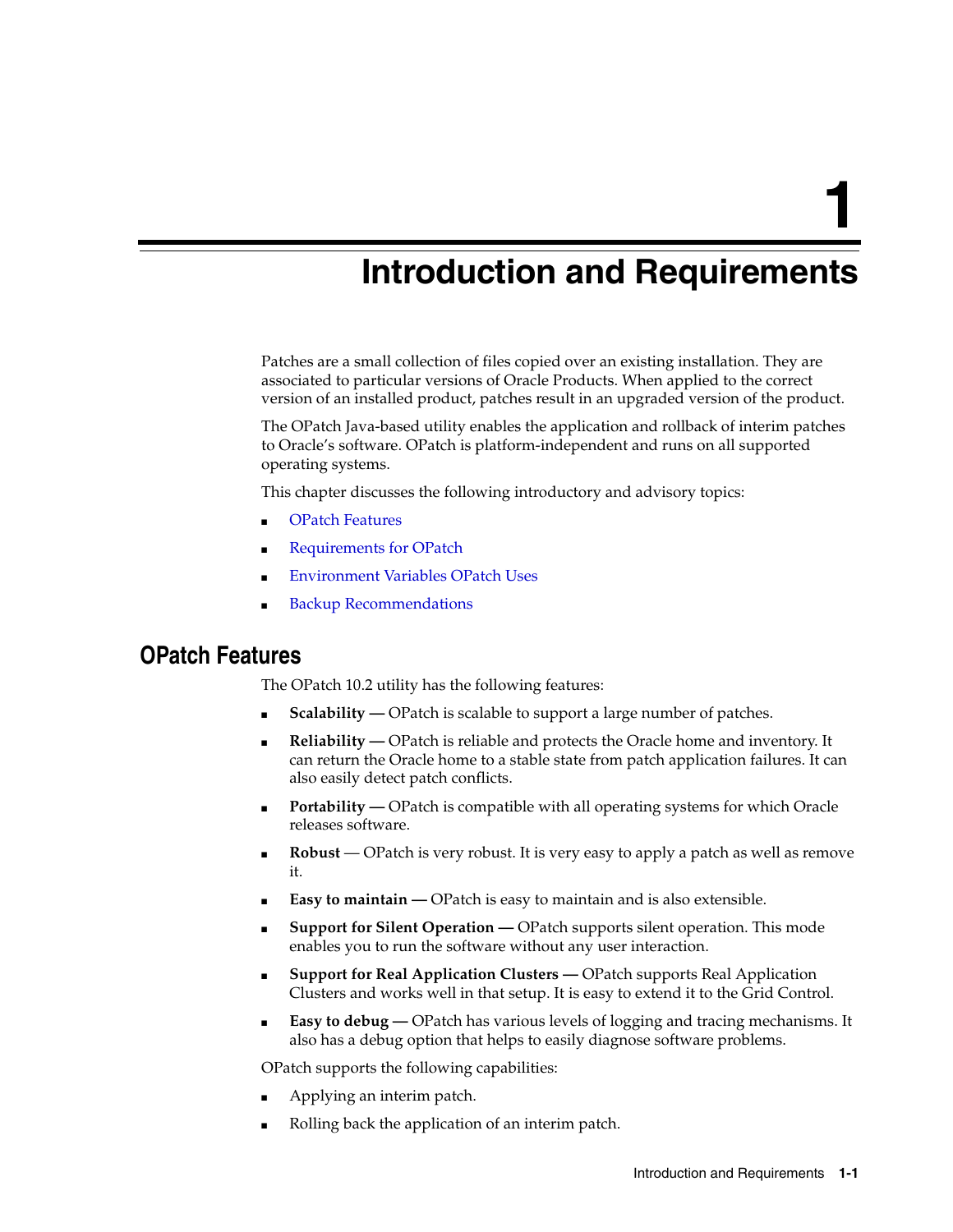<span id="page-6-0"></span>**1**

# **Introduction and Requirements**

Patches are a small collection of files copied over an existing installation. They are associated to particular versions of Oracle Products. When applied to the correct version of an installed product, patches result in an upgraded version of the product.

The OPatch Java-based utility enables the application and rollback of interim patches to Oracle's software. OPatch is platform-independent and runs on all supported operating systems.

This chapter discusses the following introductory and advisory topics:

- **[OPatch Features](#page-6-1)**
- **[Requirements for OPatch](#page-7-0)**
- **[Environment Variables OPatch Uses](#page-7-1)**
- **[Backup Recommendations](#page-7-2)**

### <span id="page-6-1"></span>**OPatch Features**

The OPatch 10.2 utility has the following features:

- **Scalability —** OPatch is scalable to support a large number of patches.
- **Reliability** OPatch is reliable and protects the Oracle home and inventory. It can return the Oracle home to a stable state from patch application failures. It can also easily detect patch conflicts.
- **Portability** OPatch is compatible with all operating systems for which Oracle releases software.
- **Robust** OPatch is very robust. It is very easy to apply a patch as well as remove it.
- **Easy to maintain —** OPatch is easy to maintain and is also extensible.
- **Support for Silent Operation OPatch supports silent operation. This mode** enables you to run the software without any user interaction.
- **Support for Real Application Clusters OPatch supports Real Application** Clusters and works well in that setup. It is easy to extend it to the Grid Control.
- **Easy to debug —** OPatch has various levels of logging and tracing mechanisms. It also has a debug option that helps to easily diagnose software problems.

OPatch supports the following capabilities:

- Applying an interim patch.
- Rolling back the application of an interim patch.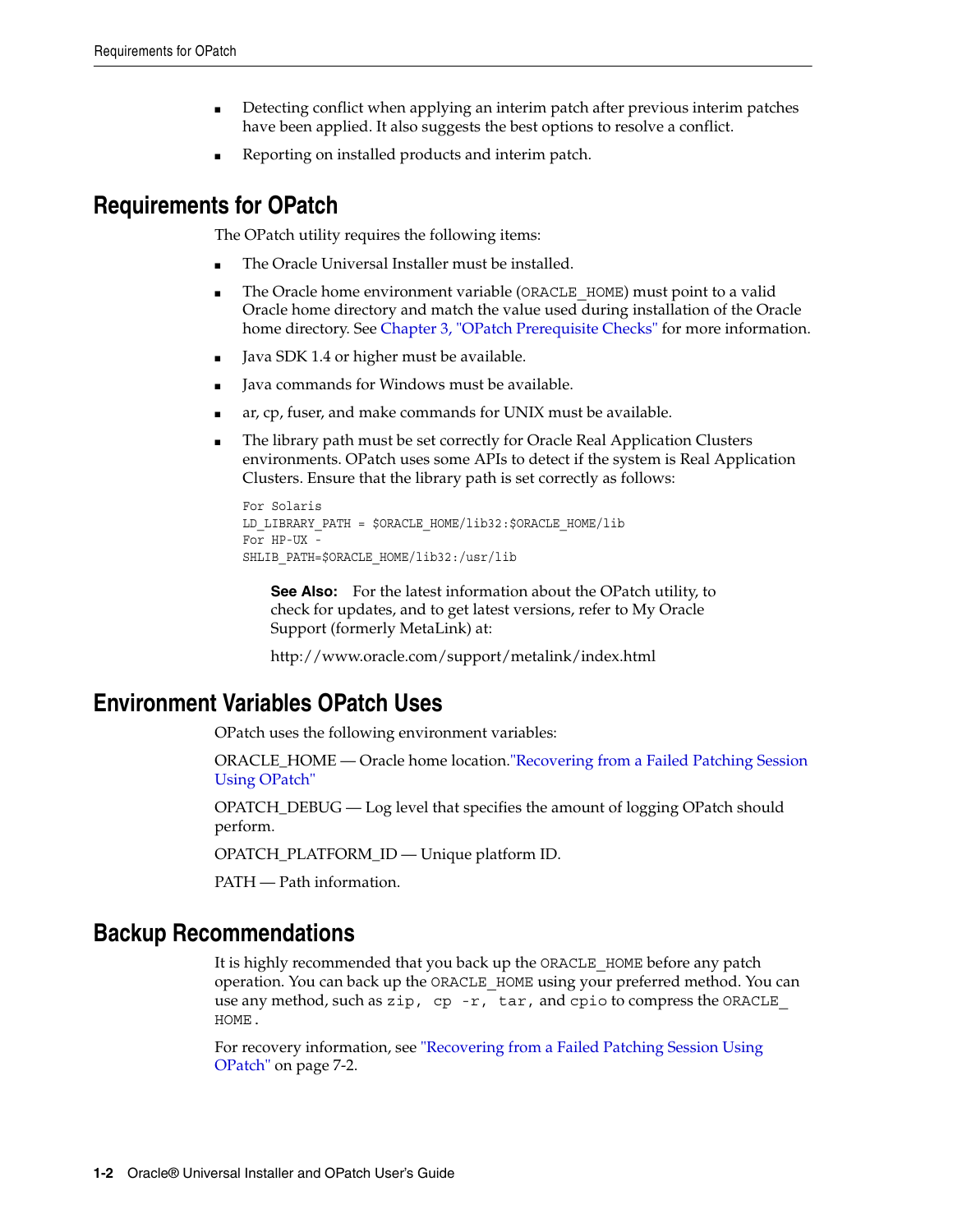- Detecting conflict when applying an interim patch after previous interim patches have been applied. It also suggests the best options to resolve a conflict.
- Reporting on installed products and interim patch.

# <span id="page-7-0"></span>**Requirements for OPatch**

The OPatch utility requires the following items:

- The Oracle Universal Installer must be installed.
- The Oracle home environment variable (ORACLE\_HOME) must point to a valid Oracle home directory and match the value used during installation of the Oracle home directory. See [Chapter 3, "OPatch Prerequisite Checks"](#page-10-5) for more information.
- Java SDK 1.4 or higher must be available.
- Java commands for Windows must be available.
- ar, cp, fuser, and make commands for UNIX must be available.
- The library path must be set correctly for Oracle Real Application Clusters environments. OPatch uses some APIs to detect if the system is Real Application Clusters. Ensure that the library path is set correctly as follows:

```
For Solaris
LD_LIBRARY_PATH = $ORACLE_HOME/lib32:$ORACLE_HOME/lib
For HP-UX - 
SHLIB_PATH=$ORACLE_HOME/lib32:/usr/lib
```
**See Also:** For the latest information about the OPatch utility, to check for updates, and to get latest versions, refer to My Oracle Support (formerly MetaLink) at:

http://www.oracle.com/support/metalink/index.html

# <span id="page-7-1"></span>**Environment Variables OPatch Uses**

OPatch uses the following environment variables:

ORACLE\_HOME — Oracle home location.["Recovering from a Failed Patching Session](#page-43-2)  [Using OPatch"](#page-43-2)

OPATCH\_DEBUG — Log level that specifies the amount of logging OPatch should perform.

OPATCH\_PLATFORM\_ID — Unique platform ID.

PATH — Path information.

## <span id="page-7-2"></span>**Backup Recommendations**

It is highly recommended that you back up the ORACLE\_HOME before any patch operation. You can back up the ORACLE\_HOME using your preferred method. You can use any method, such as zip, cp -r, tar, and cpio to compress the ORACLE\_ HOME.

For recovery information, see ["Recovering from a Failed Patching Session Using](#page-43-2)  [OPatch" on page 7-2.](#page-43-2)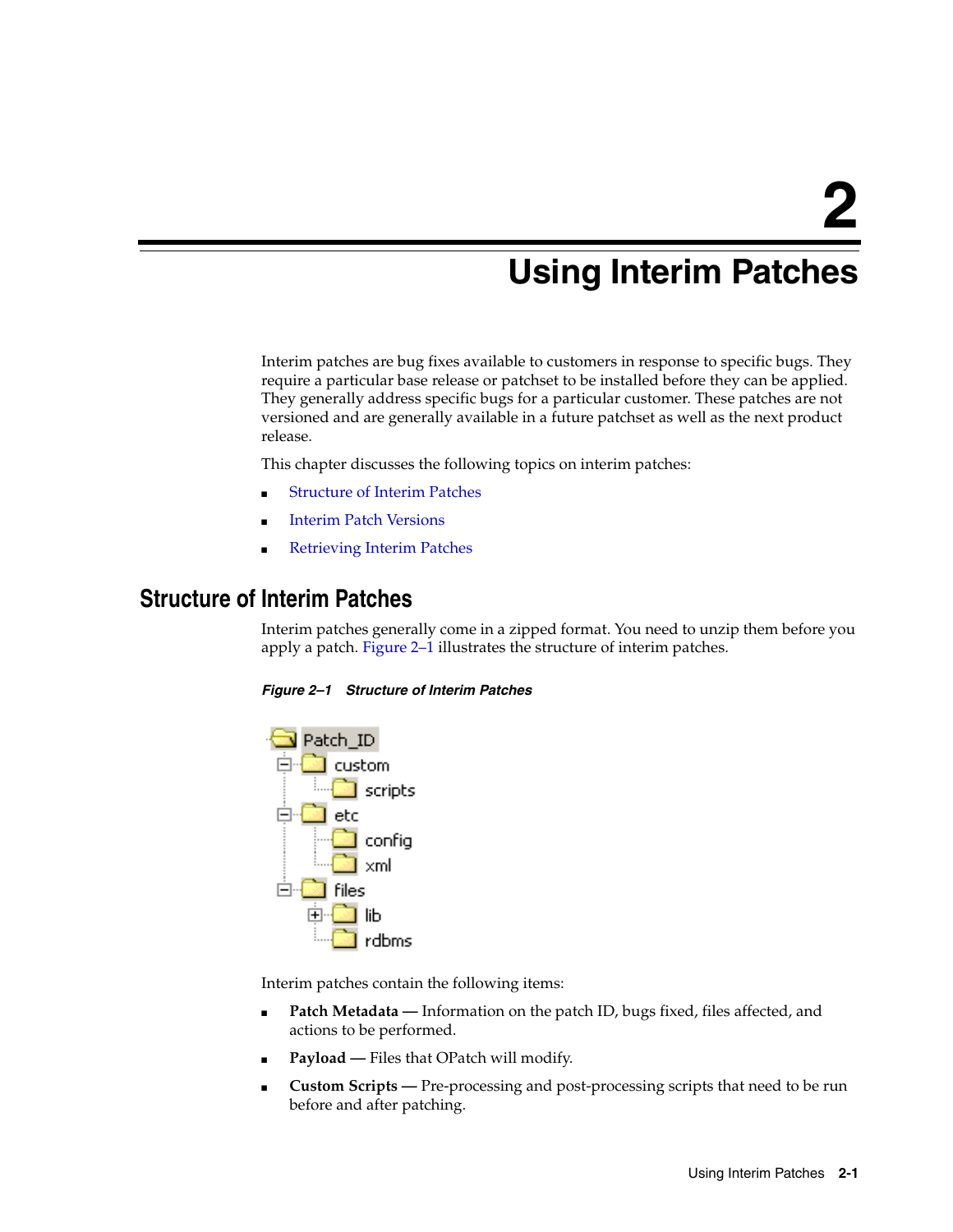# <span id="page-8-0"></span>**Using Interim Patches**

Interim patches are bug fixes available to customers in response to specific bugs. They require a particular base release or patchset to be installed before they can be applied. They generally address specific bugs for a particular customer. These patches are not versioned and are generally available in a future patchset as well as the next product release.

This chapter discusses the following topics on interim patches:

- **[Structure of Interim Patches](#page-8-1)**
- **[Interim Patch Versions](#page-9-0)**
- **[Retrieving Interim Patches](#page-9-3)**

## <span id="page-8-2"></span><span id="page-8-1"></span>**Structure of Interim Patches**

Interim patches generally come in a zipped format. You need to unzip them before you apply a patch. [Figure 2–1](#page-8-2) illustrates the structure of interim patches.

#### *Figure 2–1 Structure of Interim Patches*



Interim patches contain the following items:

- **Patch Metadata** Information on the patch ID, bugs fixed, files affected, and actions to be performed.
- Payload Files that OPatch will modify.
- Custom Scripts Pre-processing and post-processing scripts that need to be run before and after patching.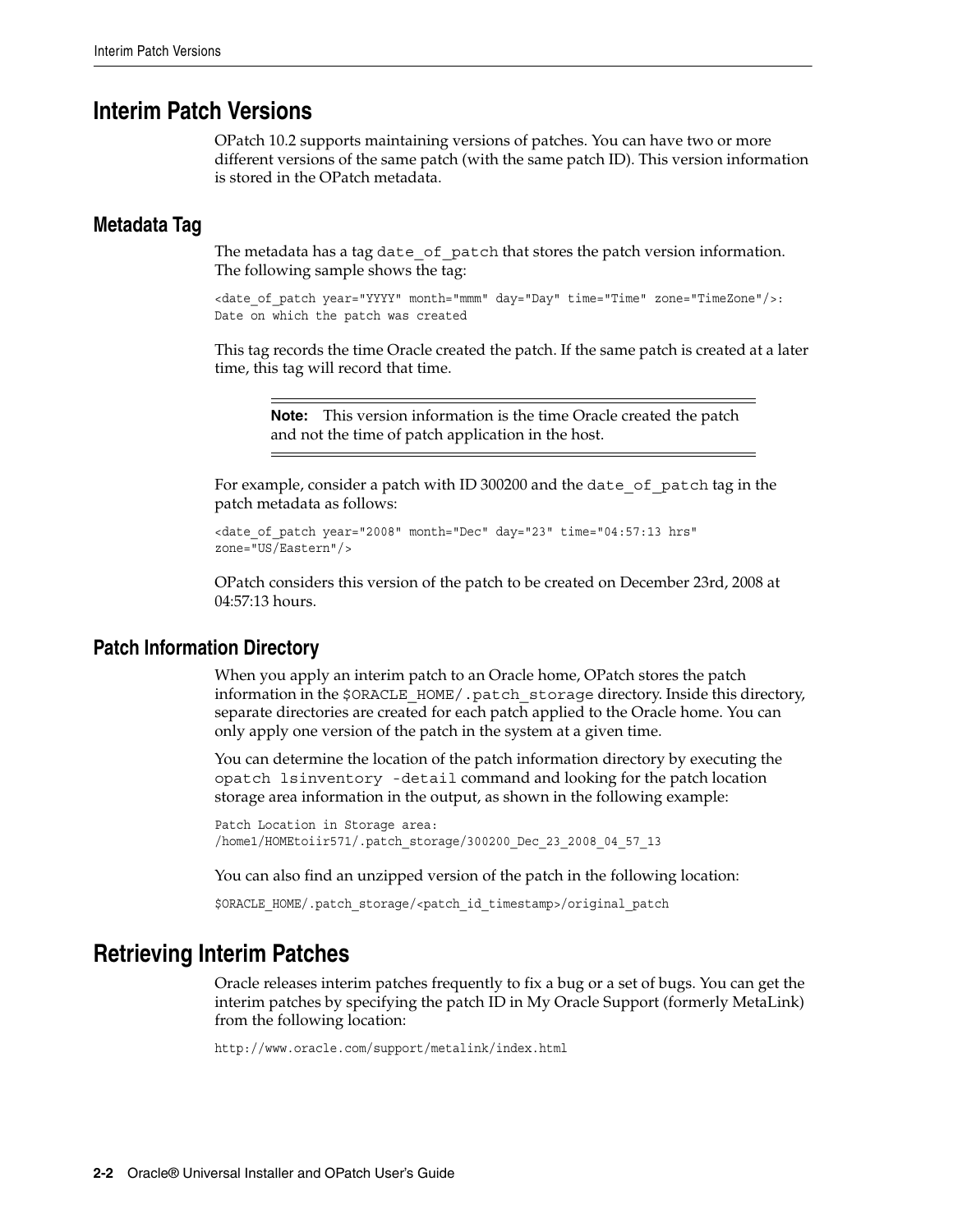## <span id="page-9-0"></span>**Interim Patch Versions**

OPatch 10.2 supports maintaining versions of patches. You can have two or more different versions of the same patch (with the same patch ID). This version information is stored in the OPatch metadata.

### <span id="page-9-1"></span>**Metadata Tag**

The metadata has a tag date of patch that stores the patch version information. The following sample shows the tag:

<date of patch year="YYYY" month="mmm" day="Day" time="Time" zone="TimeZone"/>: Date on which the patch was created

This tag records the time Oracle created the patch. If the same patch is created at a later time, this tag will record that time.

**Note:** This version information is the time Oracle created the patch and not the time of patch application in the host.

For example, consider a patch with ID 300200 and the date\_of\_patch tag in the patch metadata as follows:

```
<date_of_patch year="2008" month="Dec" day="23" time="04:57:13 hrs" 
zone="US/Eastern"/>
```
OPatch considers this version of the patch to be created on December 23rd, 2008 at 04:57:13 hours.

### <span id="page-9-2"></span>**Patch Information Directory**

When you apply an interim patch to an Oracle home, OPatch stores the patch information in the \$ORACLE\_HOME/.patch\_storage directory. Inside this directory, separate directories are created for each patch applied to the Oracle home. You can only apply one version of the patch in the system at a given time.

You can determine the location of the patch information directory by executing the opatch lsinventory -detail command and looking for the patch location storage area information in the output, as shown in the following example:

Patch Location in Storage area: /home1/HOMEtoiir571/.patch\_storage/300200\_Dec\_23\_2008\_04\_57\_13

You can also find an unzipped version of the patch in the following location:

\$ORACLE\_HOME/.patch\_storage/<patch\_id\_timestamp>/original\_patch

### <span id="page-9-3"></span>**Retrieving Interim Patches**

Oracle releases interim patches frequently to fix a bug or a set of bugs. You can get the interim patches by specifying the patch ID in My Oracle Support (formerly MetaLink) from the following location:

http://www.oracle.com/support/metalink/index.html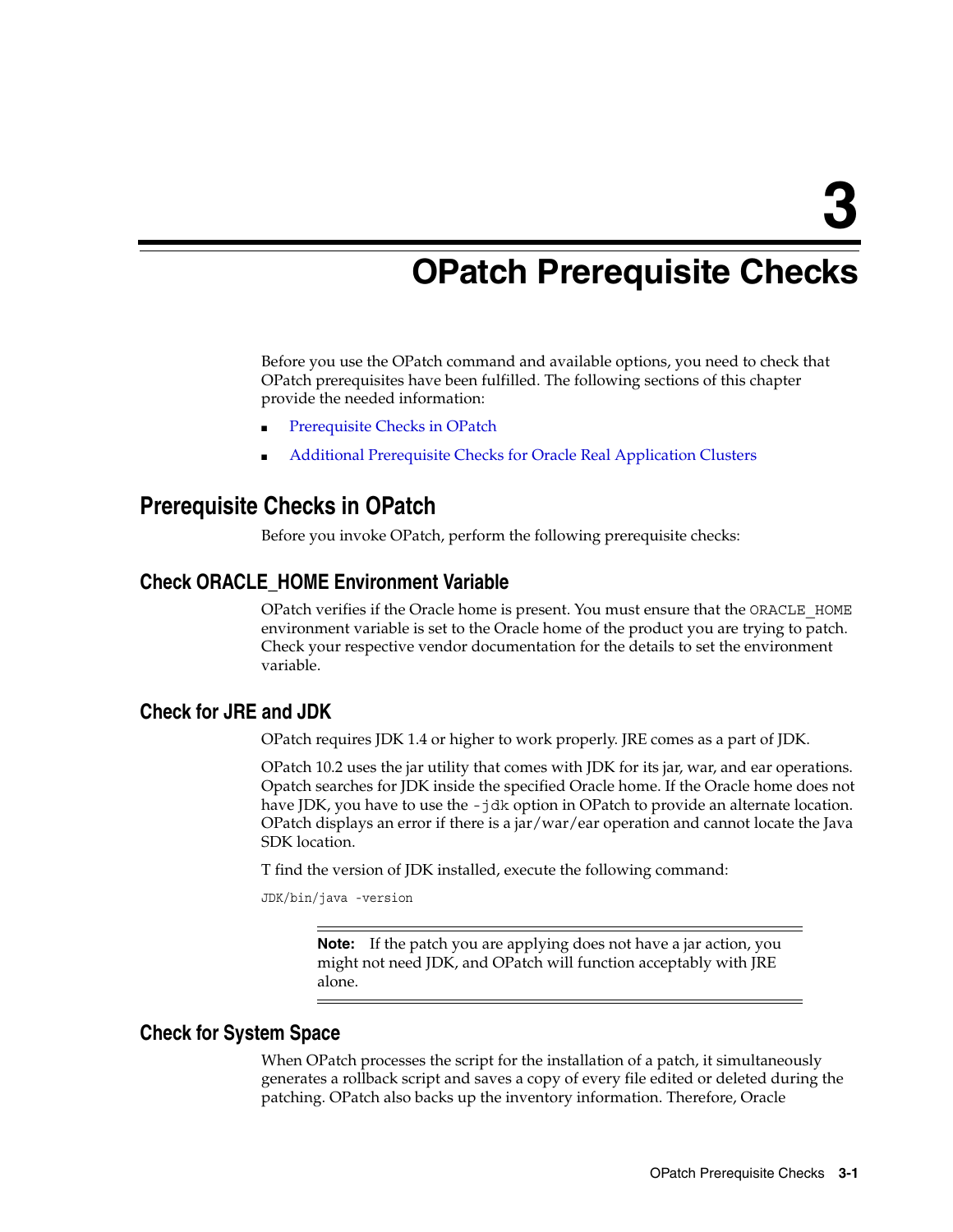# <span id="page-10-5"></span><span id="page-10-0"></span>**OPatch Prerequisite Checks**

Before you use the OPatch command and available options, you need to check that OPatch prerequisites have been fulfilled. The following sections of this chapter provide the needed information:

- [Prerequisite Checks in OPatch](#page-10-1)
- [Additional Prerequisite Checks for Oracle Real Application Clusters](#page-11-3)

### <span id="page-10-1"></span>**Prerequisite Checks in OPatch**

Before you invoke OPatch, perform the following prerequisite checks:

### <span id="page-10-2"></span>**Check ORACLE\_HOME Environment Variable**

OPatch verifies if the Oracle home is present. You must ensure that the ORACLE\_HOME environment variable is set to the Oracle home of the product you are trying to patch. Check your respective vendor documentation for the details to set the environment variable.

### <span id="page-10-3"></span>**Check for JRE and JDK**

OPatch requires JDK 1.4 or higher to work properly. JRE comes as a part of JDK.

OPatch 10.2 uses the jar utility that comes with JDK for its jar, war, and ear operations. Opatch searches for JDK inside the specified Oracle home. If the Oracle home does not have JDK, you have to use the -jdk option in OPatch to provide an alternate location. OPatch displays an error if there is a jar/war/ear operation and cannot locate the Java SDK location.

T find the version of JDK installed, execute the following command:

```
JDK/bin/java -version
```
**Note:** If the patch you are applying does not have a jar action, you might not need JDK, and OPatch will function acceptably with JRE alone.

### <span id="page-10-4"></span>**Check for System Space**

When OPatch processes the script for the installation of a patch, it simultaneously generates a rollback script and saves a copy of every file edited or deleted during the patching. OPatch also backs up the inventory information. Therefore, Oracle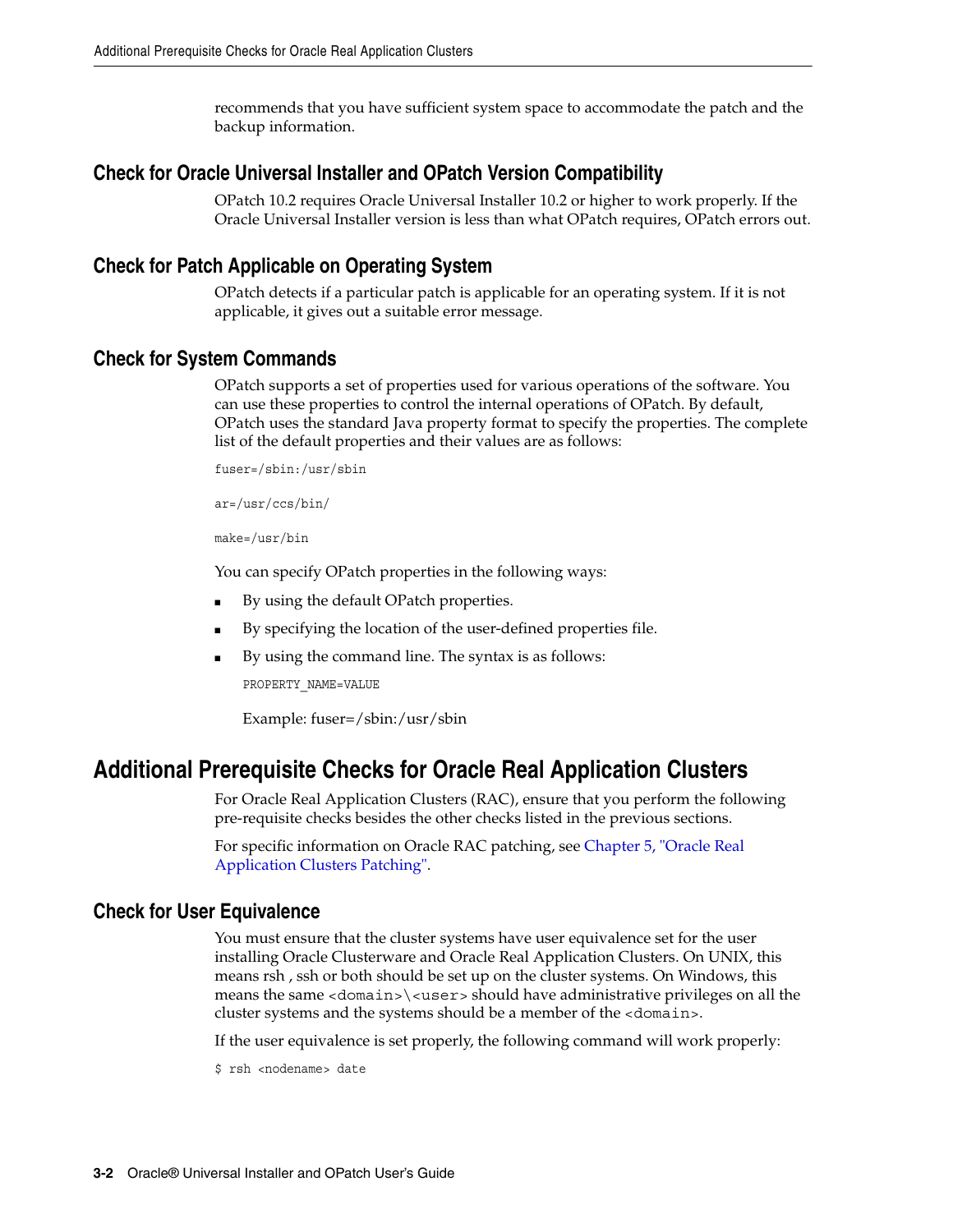recommends that you have sufficient system space to accommodate the patch and the backup information.

### <span id="page-11-0"></span>**Check for Oracle Universal Installer and OPatch Version Compatibility**

OPatch 10.2 requires Oracle Universal Installer 10.2 or higher to work properly. If the Oracle Universal Installer version is less than what OPatch requires, OPatch errors out.

### <span id="page-11-1"></span>**Check for Patch Applicable on Operating System**

OPatch detects if a particular patch is applicable for an operating system. If it is not applicable, it gives out a suitable error message.

### <span id="page-11-5"></span><span id="page-11-2"></span>**Check for System Commands**

OPatch supports a set of properties used for various operations of the software. You can use these properties to control the internal operations of OPatch. By default, OPatch uses the standard Java property format to specify the properties. The complete list of the default properties and their values are as follows:

fuser=/sbin:/usr/sbin

ar=/usr/ccs/bin/

make=/usr/bin

You can specify OPatch properties in the following ways:

- By using the default OPatch properties.
- By specifying the location of the user-defined properties file.
- By using the command line. The syntax is as follows:

PROPERTY\_NAME=VALUE

Example: fuser=/sbin:/usr/sbin

### <span id="page-11-3"></span>**Additional Prerequisite Checks for Oracle Real Application Clusters**

For Oracle Real Application Clusters (RAC), ensure that you perform the following pre-requisite checks besides the other checks listed in the previous sections.

For specific information on Oracle RAC patching, see [Chapter 5, "Oracle Real](#page-32-2)  [Application Clusters Patching"](#page-32-2).

### <span id="page-11-4"></span>**Check for User Equivalence**

You must ensure that the cluster systems have user equivalence set for the user installing Oracle Clusterware and Oracle Real Application Clusters. On UNIX, this means rsh , ssh or both should be set up on the cluster systems. On Windows, this means the same  $<$  domain $>$  $<$ user $>$ should have administrative privileges on all the cluster systems and the systems should be a member of the <domain>.

If the user equivalence is set properly, the following command will work properly:

\$ rsh <nodename> date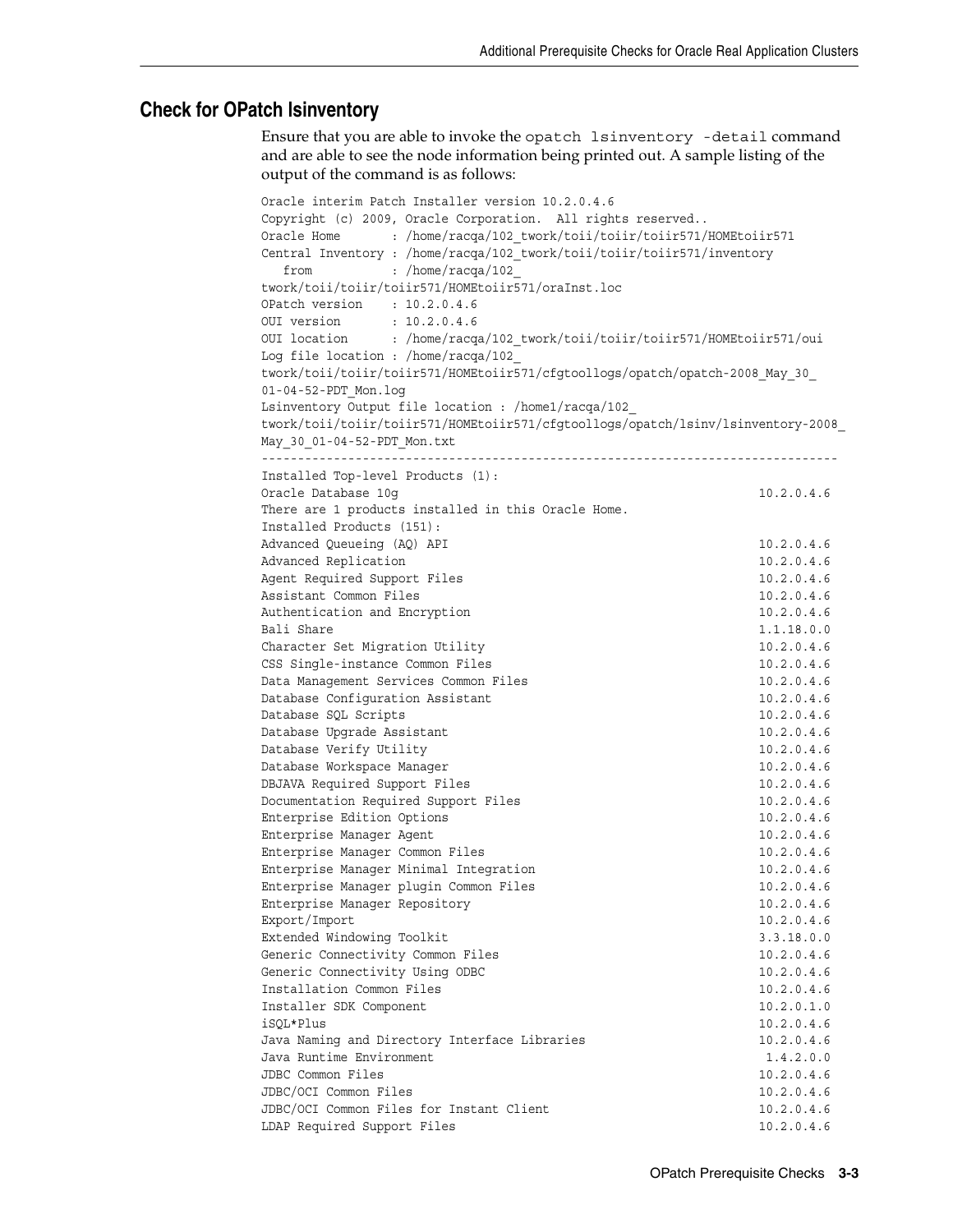### <span id="page-12-0"></span>**Check for OPatch lsinventory**

Ensure that you are able to invoke the opatch lsinventory -detail command and are able to see the node information being printed out. A sample listing of the output of the command is as follows:

```
Oracle interim Patch Installer version 10.2.0.4.6
Copyright (c) 2009, Oracle Corporation. All rights reserved..
Oracle Home : /home/racqa/102 twork/toii/toiir/toiir571/HOMEtoiir571
Central Inventory : /home/racqa/102_twork/toii/toiir/toiir571/inventory
 from : /home/racqa/102
twork/toii/toiir/toiir571/HOMEtoiir571/oraInst.loc
OPatch version : 10.2.0.4.6
OUI version : 10.2.0.4.6<br>OUI location : /home/racqu
          : /home/racqa/102 twork/toii/toiir/toiir571/HOMEtoiir571/oui
Log file location : /home/racqa/102_
twork/toii/toiir/toiir571/HOMEtoiir571/cfgtoollogs/opatch/opatch-2008_May_30_
01-04-52-PDT_Mon.log
Lsinventory Output file location : /home1/racqa/102_
twork/toii/toiir/toiir571/HOMEtoiir571/cfgtoollogs/opatch/lsinv/lsinventory-2008_
May_30_01-04-52-PDT_Mon.txt
--------------------------------------------------------------------------------
Installed Top-level Products (1): 
Oracle Database 10q 10.2.0.4.6
There are 1 products installed in this Oracle Home.
Installed Products (151): 
Advanced Queueing (AQ) API 10.2.0.4.6
Advanced Replication 10.2.0.4.6
Agent Required Support Files 10.2.0.4.6
Assistant Common Files 10.2.0.4.6
Authentication and Encryption 10.2.0.4.6
Bali Share 1.1.18.0.0
Character Set Migration Utility 10.2.0.4.6
CSS Single-instance Common Files 10.2.0.4.6
Data Management Services Common Files 10.2.0.4.6
Database Configuration Assistant 10.2.0.4.6
Database SOL Scripts 10.2.0.4.6
Database Upgrade Assistant 10.2.0.4.6
Database Verify Utility 10.2.0.4.6
Database Workspace Manager 10.2.0.4.6
DBJAVA Required Support Files 10.2.0.4.6
Documentation Required Support Files 10.2.0.4.6
Enterprise Edition Options 10.2.0.4.6
Enterprise Manager Agent 10.2.0.4.6
Enterprise Manager Common Files 10.2.0.4.6
Enterprise Manager Minimal Integration 10.2.0.4.6
Enterprise Manager plugin Common Files 10.2.0.4.6
Enterprise Manager Repository 10.2.0.4.6
Export/Import 10.2.0.4.6
Extended Windowing Toolkit 3.3.18.0.0
Generic Connectivity Common Files 10.2.0.4.6
Generic Connectivity Using ODBC 10.2.0.4.6
Installation Common Files 10.2.0.4.6
Installer SDK Component 10.2.0.1.0
iSQL*Plus 10.2.0.4.6
Java Naming and Directory Interface Libraries 10.2.0.4.6
Java Runtime Environment 1.4.2.0.0
JDBC Common Files 10.2.0.4.6
JDBC/OCI Common Files 10.2.0.4.6
JDBC/OCI Common Files for Instant Client 10.2.0.4.6
LDAP Required Support Files 10.2.0.4.6
```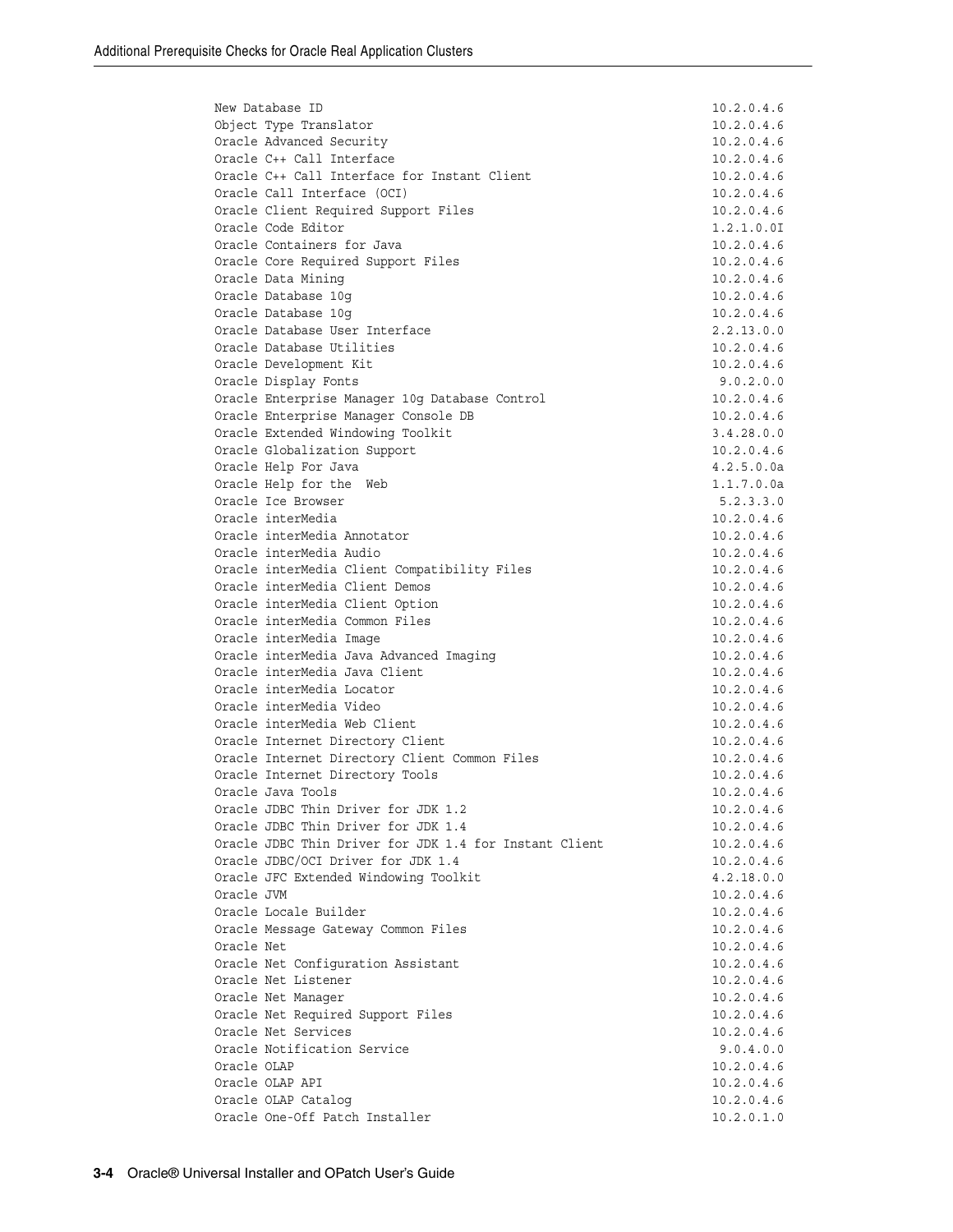| New Database ID                                                                | 10.2.0.4.6               |
|--------------------------------------------------------------------------------|--------------------------|
| Object Type Translator                                                         | 10.2.0.4.6               |
| Oracle Advanced Security                                                       | 10.2.0.4.6               |
| Oracle C++ Call Interface                                                      | 10.2.0.4.6               |
| Oracle C++ Call Interface for Instant Client                                   | 10.2.0.4.6               |
| Oracle Call Interface (OCI)                                                    | 10.2.0.4.6               |
| Oracle Client Required Support Files                                           | 10.2.0.4.6               |
| Oracle Code Editor                                                             | 1.2.1.0.01               |
| Oracle Containers for Java                                                     | 10.2.0.4.6               |
| Oracle Core Required Support Files<br>Oracle Data Mining                       | 10.2.0.4.6<br>10.2.0.4.6 |
| Oracle Database 10q                                                            | 10.2.0.4.6               |
| Oracle Database 10g                                                            | 10.2.0.4.6               |
| Oracle Database User Interface                                                 | 2.2.13.0.0               |
| Oracle Database Utilities                                                      | 10.2.0.4.6               |
| Oracle Development Kit                                                         | 10.2.0.4.6               |
| Oracle Display Fonts                                                           | 9.0.2.0.0                |
| Oracle Enterprise Manager 10g Database Control                                 | 10.2.0.4.6               |
| Oracle Enterprise Manager Console DB                                           | 10.2.0.4.6               |
| Oracle Extended Windowing Toolkit                                              | 3.4.28.0.0               |
| Oracle Globalization Support                                                   | 10.2.0.4.6               |
| Oracle Help For Java                                                           | 4.2.5.0.0a               |
| Oracle Help for the Web                                                        | 1.1.7.0.0a               |
| Oracle Ice Browser                                                             | 5.2.3.3.0                |
| Oracle interMedia                                                              | 10.2.0.4.6               |
| Oracle interMedia Annotator                                                    | 10.2.0.4.6               |
| Oracle interMedia Audio                                                        | 10.2.0.4.6               |
| Oracle interMedia Client Compatibility Files<br>Oracle interMedia Client Demos | 10.2.0.4.6<br>10.2.0.4.6 |
| Oracle interMedia Client Option                                                | 10.2.0.4.6               |
| Oracle interMedia Common Files                                                 | 10.2.0.4.6               |
| Oracle interMedia Image                                                        | 10.2.0.4.6               |
| Oracle interMedia Java Advanced Imaging                                        | 10.2.0.4.6               |
| Oracle interMedia Java Client                                                  | 10.2.0.4.6               |
| Oracle interMedia Locator                                                      | 10.2.0.4.6               |
| Oracle interMedia Video                                                        | 10.2.0.4.6               |
| Oracle interMedia Web Client                                                   | 10.2.0.4.6               |
| Oracle Internet Directory Client                                               | 10.2.0.4.6               |
| Oracle Internet Directory Client Common Files                                  | 10.2.0.4.6               |
| Oracle Internet Directory Tools                                                | 10.2.0.4.6               |
| Oracle Java Tools                                                              | 10.2.0.4.6               |
| Oracle JDBC Thin Driver for JDK 1.2                                            | 10.2.0.4.6               |
| Oracle JDBC Thin Driver for JDK 1.4                                            | 10.2.0.4.6               |
| Oracle JDBC Thin Driver for JDK 1.4 for Instant Client                         | 10.2.0.4.6               |
| Oracle JDBC/OCI Driver for JDK 1.4                                             | 10.2.0.4.6               |
| Oracle JFC Extended Windowing Toolkit<br>Oracle JVM                            | 4.2.18.0.0<br>10.2.0.4.6 |
| Oracle Locale Builder                                                          | 10.2.0.4.6               |
| Oracle Message Gateway Common Files                                            | 10.2.0.4.6               |
| Oracle Net                                                                     | 10.2.0.4.6               |
| Oracle Net Configuration Assistant                                             | 10.2.0.4.6               |
| Oracle Net Listener                                                            | 10.2.0.4.6               |
| Oracle Net Manager                                                             | 10.2.0.4.6               |
| Oracle Net Required Support Files                                              | 10.2.0.4.6               |
| Oracle Net Services                                                            | 10.2.0.4.6               |
| Oracle Notification Service                                                    | 9.0.4.0.0                |
| Oracle OLAP                                                                    | 10.2.0.4.6               |
| Oracle OLAP API                                                                | 10.2.0.4.6               |
| Oracle OLAP Catalog                                                            | 10.2.0.4.6               |
| Oracle One-Off Patch Installer                                                 | 10.2.0.1.0               |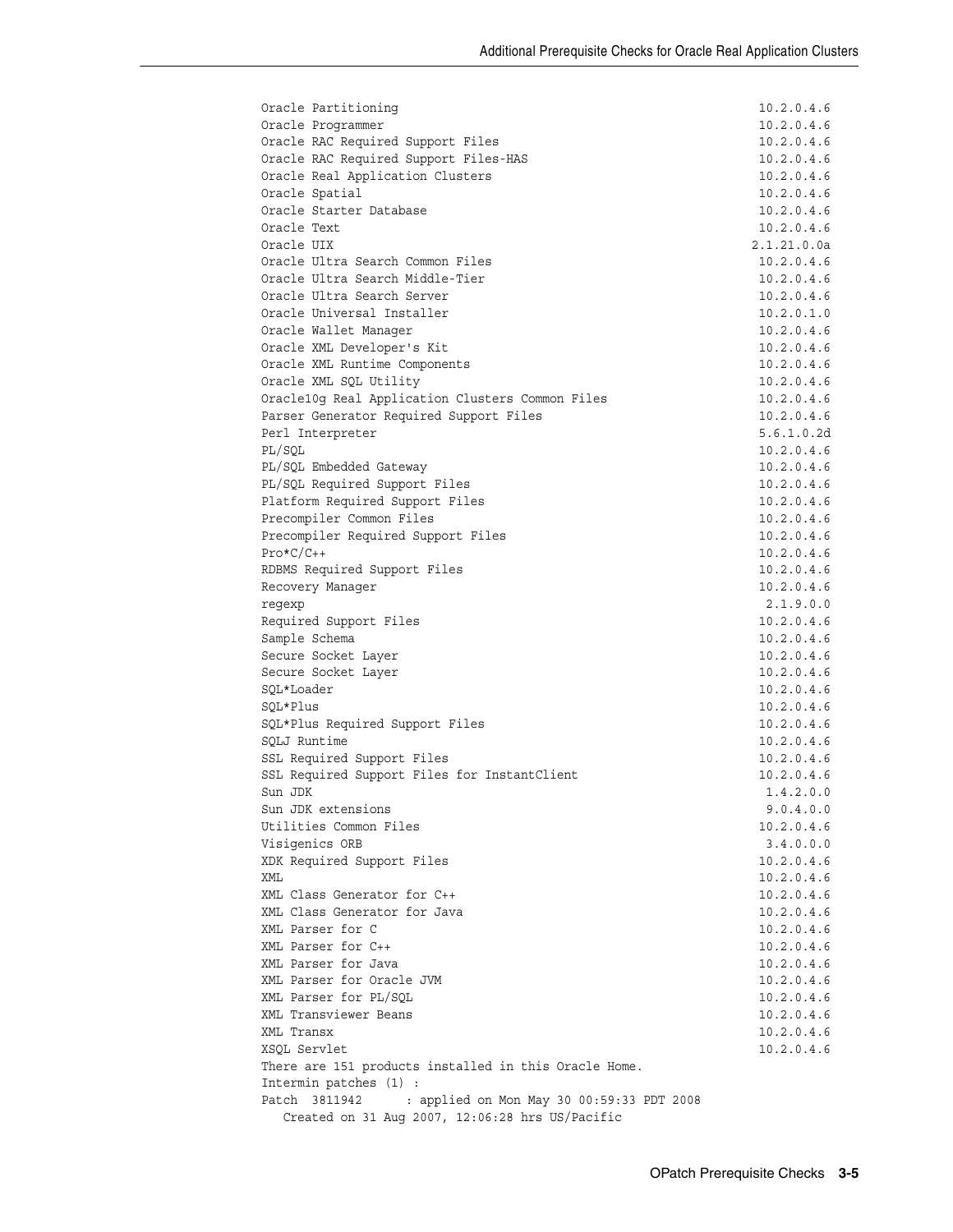| Oracle Partitioning                                                        | 10.2.0.4.6               |
|----------------------------------------------------------------------------|--------------------------|
| Oracle Programmer                                                          | 10.2.0.4.6               |
| Oracle RAC Required Support Files                                          | 10.2.0.4.6               |
| Oracle RAC Required Support Files-HAS                                      | 10.2.0.4.6               |
| Oracle Real Application Clusters                                           | 10.2.0.4.6               |
| Oracle Spatial                                                             | 10.2.0.4.6               |
| Oracle Starter Database                                                    | 10.2.0.4.6               |
| Oracle Text                                                                | 10.2.0.4.6               |
| Oracle UIX                                                                 | 2.1.21.0.0a              |
| Oracle Ultra Search Common Files                                           | 10.2.0.4.6               |
| Oracle Ultra Search Middle-Tier                                            | 10.2.0.4.6               |
| Oracle Ultra Search Server<br>Oracle Universal Installer                   | 10.2.0.4.6               |
|                                                                            | 10.2.0.1.0<br>10.2.0.4.6 |
| Oracle Wallet Manager<br>Oracle XML Developer's Kit                        | 10.2.0.4.6               |
| Oracle XML Runtime Components                                              | 10.2.0.4.6               |
| Oracle XML SQL Utility                                                     | 10.2.0.4.6               |
| Oracle10g Real Application Clusters Common Files                           | 10.2.0.4.6               |
| Parser Generator Required Support Files                                    | 10.2.0.4.6               |
| Perl Interpreter                                                           | 5.6.1.0.2d               |
| PL/SQL                                                                     | 10.2.0.4.6               |
| PL/SQL Embedded Gateway                                                    | 10.2.0.4.6               |
| PL/SQL Required Support Files                                              | 10.2.0.4.6               |
| Platform Required Support Files                                            | 10.2.0.4.6               |
| Precompiler Common Files                                                   | 10.2.0.4.6               |
| Precompiler Required Support Files                                         | 10.2.0.4.6               |
| $Pro*C/C++$                                                                | 10.2.0.4.6               |
| RDBMS Required Support Files                                               | 10.2.0.4.6               |
| Recovery Manager                                                           | 10.2.0.4.6               |
| regexp                                                                     | 2.1.9.0.0                |
| Required Support Files                                                     | 10.2.0.4.6               |
| Sample Schema                                                              | 10.2.0.4.6               |
| Secure Socket Layer                                                        | 10.2.0.4.6               |
| Secure Socket Layer                                                        | 10.2.0.4.6               |
| SQL*Loader                                                                 | 10.2.0.4.6               |
| SOL*Plus                                                                   | 10.2.0.4.6               |
| SQL*Plus Required Support Files<br>SQLJ Runtime                            | 10.2.0.4.6               |
|                                                                            | 10.2.0.4.6<br>10.2.0.4.6 |
| SSL Required Support Files<br>SSL Required Support Files for InstantClient | 10.2.0.4.6               |
| Sun JDK                                                                    | 1.4.2.0.0                |
| Sun JDK extensions                                                         | 9.0.4.0.0                |
| Utilities Common Files                                                     | 10.2.0.4.6               |
| Visigenics ORB                                                             | 3.4.0.0.0                |
| XDK Required Support Files                                                 | 10.2.0.4.6               |
| XML                                                                        | 10.2.0.4.6               |
| XML Class Generator for C++                                                | 10.2.0.4.6               |
| XML Class Generator for Java                                               | 10.2.0.4.6               |
| XML Parser for C                                                           | 10.2.0.4.6               |
| XML Parser for C++                                                         | 10.2.0.4.6               |
| XML Parser for Java                                                        | 10.2.0.4.6               |
| XML Parser for Oracle JVM                                                  | 10.2.0.4.6               |
| XML Parser for PL/SQL                                                      | 10.2.0.4.6               |
| XML Transviewer Beans                                                      | 10.2.0.4.6               |
| XML Transx                                                                 | 10.2.0.4.6               |
| XSQL Servlet                                                               | 10.2.0.4.6               |
| There are 151 products installed in this Oracle Home.                      |                          |
| Intermin patches (1) :                                                     |                          |
| : applied on Mon May 30 00:59:33 PDT 2008<br>Patch 3811942                 |                          |
| Created on 31 Aug 2007, 12:06:28 hrs US/Pacific                            |                          |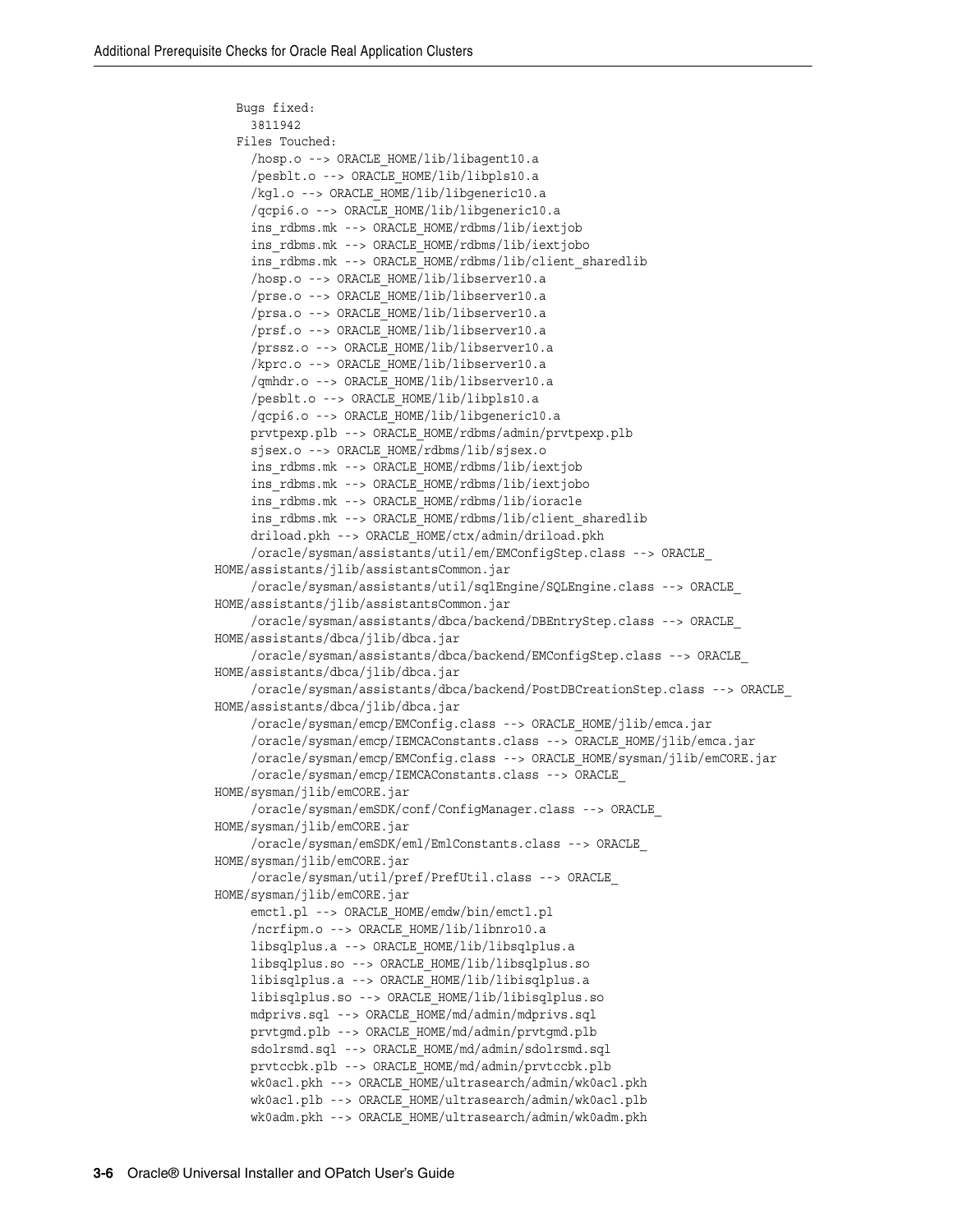```
 Bugs fixed:
      3811942
    Files Touched:
      /hosp.o --> ORACLE_HOME/lib/libagent10.a
      /pesblt.o --> ORACLE_HOME/lib/libpls10.a
      /kgl.o --> ORACLE_HOME/lib/libgeneric10.a
      /qcpi6.o --> ORACLE_HOME/lib/libgeneric10.a
      ins_rdbms.mk --> ORACLE_HOME/rdbms/lib/iextjob
      ins_rdbms.mk --> ORACLE_HOME/rdbms/lib/iextjobo
     ins rdbms.mk --> ORACLE HOME/rdbms/lib/client sharedlib
      /hosp.o --> ORACLE_HOME/lib/libserver10.a
      /prse.o --> ORACLE_HOME/lib/libserver10.a
      /prsa.o --> ORACLE_HOME/lib/libserver10.a
      /prsf.o --> ORACLE_HOME/lib/libserver10.a
      /prssz.o --> ORACLE_HOME/lib/libserver10.a
      /kprc.o --> ORACLE_HOME/lib/libserver10.a
      /qmhdr.o --> ORACLE_HOME/lib/libserver10.a
      /pesblt.o --> ORACLE_HOME/lib/libpls10.a
      /qcpi6.o --> ORACLE_HOME/lib/libgeneric10.a
      prvtpexp.plb --> ORACLE_HOME/rdbms/admin/prvtpexp.plb
      sjsex.o --> ORACLE_HOME/rdbms/lib/sjsex.o
      ins_rdbms.mk --> ORACLE_HOME/rdbms/lib/iextjob
      ins_rdbms.mk --> ORACLE_HOME/rdbms/lib/iextjobo
      ins_rdbms.mk --> ORACLE_HOME/rdbms/lib/ioracle
     ins rdbms.mk --> ORACLE HOME/rdbms/lib/client sharedlib
      driload.pkh --> ORACLE_HOME/ctx/admin/driload.pkh
      /oracle/sysman/assistants/util/em/EMConfigStep.class --> ORACLE_
HOME/assistants/jlib/assistantsCommon.jar
      /oracle/sysman/assistants/util/sqlEngine/SQLEngine.class --> ORACLE_
HOME/assistants/jlib/assistantsCommon.jar
      /oracle/sysman/assistants/dbca/backend/DBEntryStep.class --> ORACLE_
HOME/assistants/dbca/jlib/dbca.jar
      /oracle/sysman/assistants/dbca/backend/EMConfigStep.class --> ORACLE_
HOME/assistants/dbca/jlib/dbca.jar
      /oracle/sysman/assistants/dbca/backend/PostDBCreationStep.class --> ORACLE_
HOME/assistants/dbca/jlib/dbca.jar
      /oracle/sysman/emcp/EMConfig.class --> ORACLE_HOME/jlib/emca.jar
      /oracle/sysman/emcp/IEMCAConstants.class --> ORACLE_HOME/jlib/emca.jar
      /oracle/sysman/emcp/EMConfig.class --> ORACLE_HOME/sysman/jlib/emCORE.jar
      /oracle/sysman/emcp/IEMCAConstants.class --> ORACLE_
HOME/sysman/jlib/emCORE.jar
      /oracle/sysman/emSDK/conf/ConfigManager.class --> ORACLE_
HOME/sysman/jlib/emCORE.jar
      /oracle/sysman/emSDK/eml/EmlConstants.class --> ORACLE_
HOME/sysman/jlib/emCORE.jar
      /oracle/sysman/util/pref/PrefUtil.class --> ORACLE_
HOME/sysman/jlib/emCORE.jar
     emctl.pl --> ORACLE HOME/emdw/bin/emctl.pl
      /ncrfipm.o --> ORACLE_HOME/lib/libnro10.a
      libsqlplus.a --> ORACLE_HOME/lib/libsqlplus.a
      libsqlplus.so --> ORACLE_HOME/lib/libsqlplus.so
      libisqlplus.a --> ORACLE_HOME/lib/libisqlplus.a
      libisqlplus.so --> ORACLE_HOME/lib/libisqlplus.so
     mdprivs.sql --> ORACLE HOME/md/admin/mdprivs.sql
      prvtgmd.plb --> ORACLE_HOME/md/admin/prvtgmd.plb
      sdolrsmd.sql --> ORACLE_HOME/md/admin/sdolrsmd.sql
      prvtccbk.plb --> ORACLE_HOME/md/admin/prvtccbk.plb
      wk0acl.pkh --> ORACLE_HOME/ultrasearch/admin/wk0acl.pkh
     wk0acl.plb --> ORACLE HOME/ultrasearch/admin/wk0acl.plb
      wk0adm.pkh --> ORACLE_HOME/ultrasearch/admin/wk0adm.pkh
```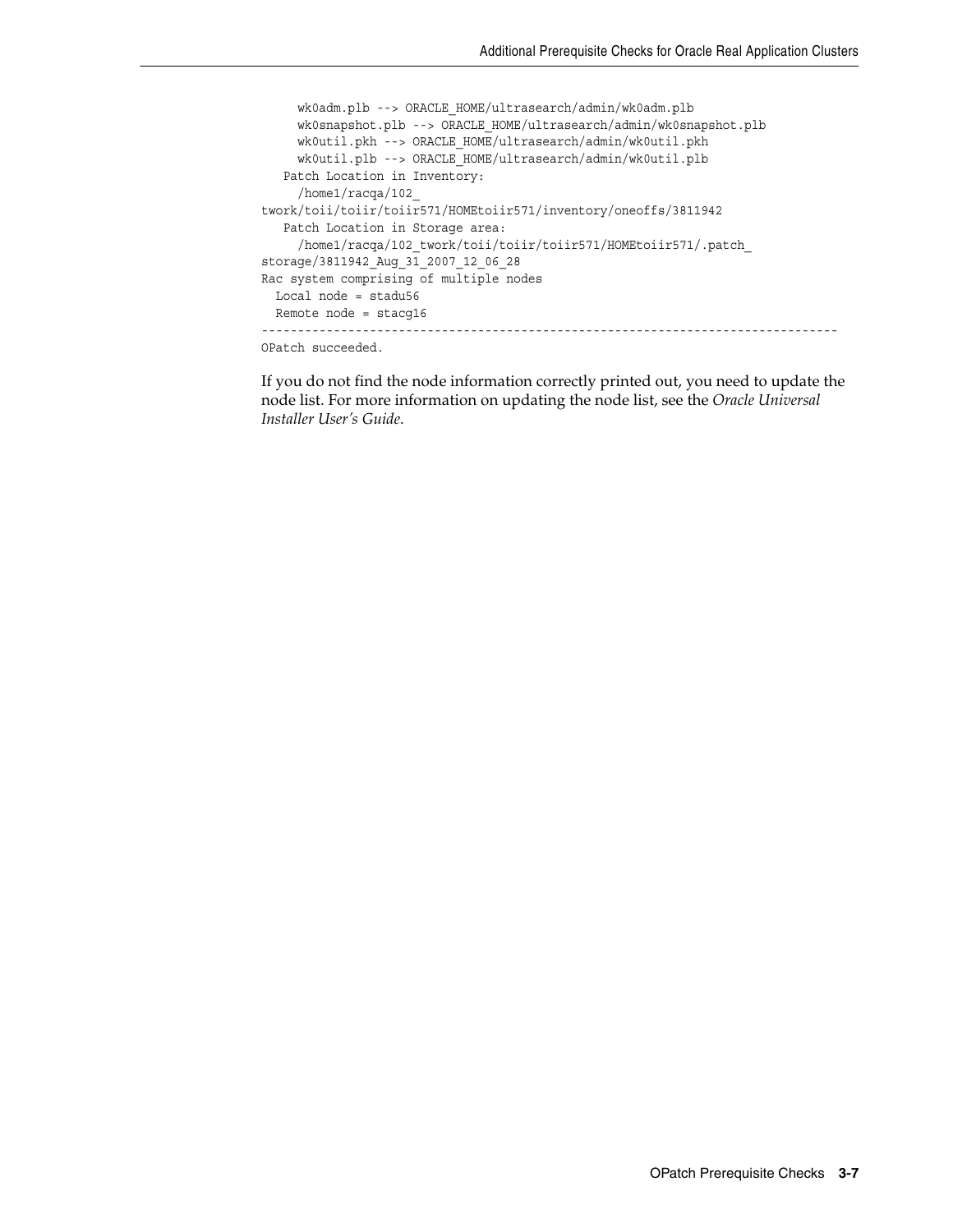```
wk0adm.plb --> ORACLE HOME/ultrasearch/admin/wk0adm.plb
      wk0snapshot.plb --> ORACLE_HOME/ultrasearch/admin/wk0snapshot.plb
      wk0util.pkh --> ORACLE_HOME/ultrasearch/admin/wk0util.pkh
      wk0util.plb --> ORACLE_HOME/ultrasearch/admin/wk0util.plb
    Patch Location in Inventory:
     /home1/racqa/102_
twork/toii/toiir/toiir571/HOMEtoiir571/inventory/oneoffs/3811942
    Patch Location in Storage area:
     /home1/racqa/102_twork/toii/toiir/toiir571/HOMEtoiir571/.patch_
storage/3811942_Aug_31_2007_12_06_28
Rac system comprising of multiple nodes
  Local node = stadu56
  Remote node = stacg16
--------------------------------------------------------------------------------
OPatch succeeded.
```
If you do not find the node information correctly printed out, you need to update the node list. For more information on updating the node list, see the *Oracle Universal Installer User's Guide*.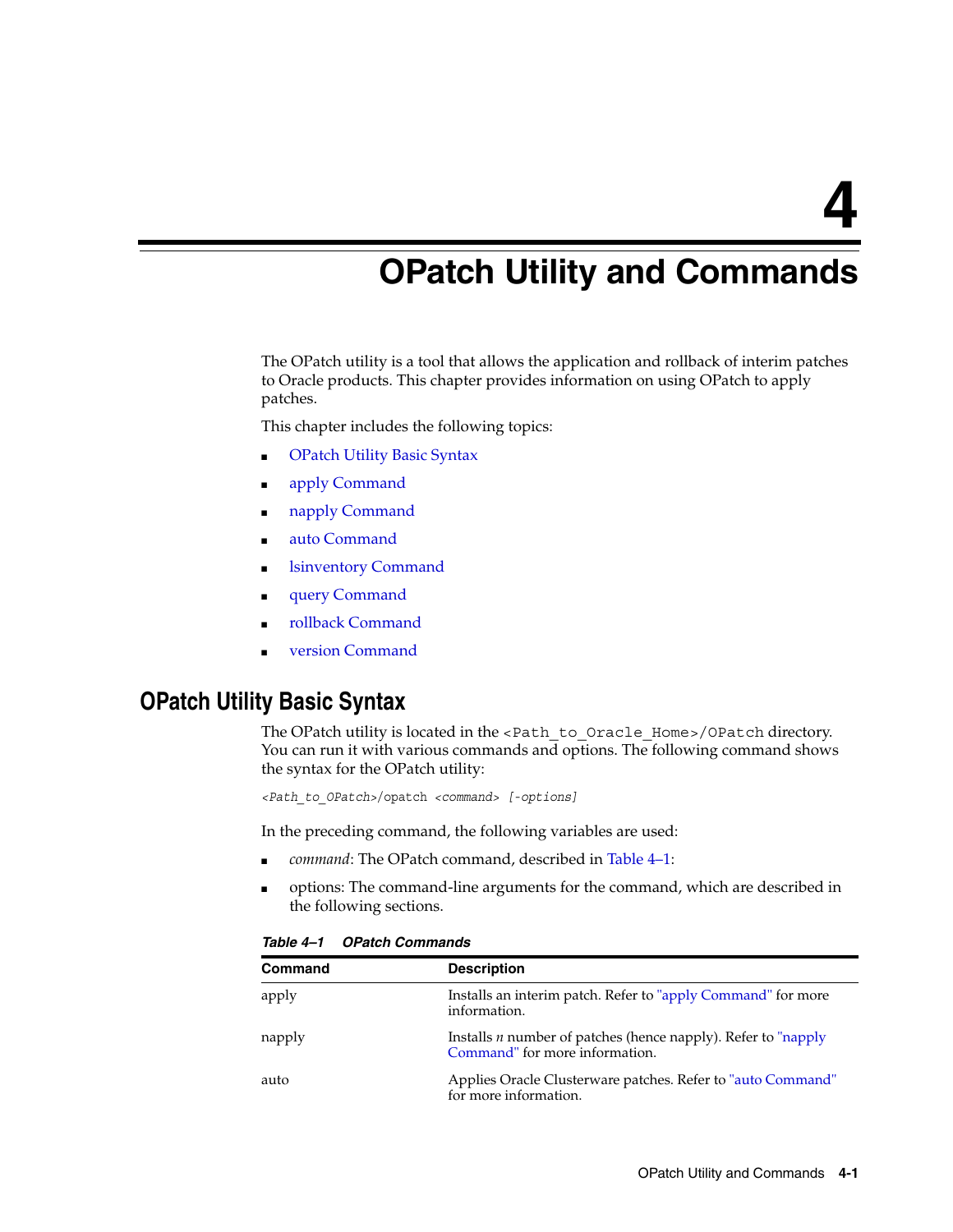<span id="page-18-2"></span><span id="page-18-0"></span>**4**

# **OPatch Utility and Commands**

The OPatch utility is a tool that allows the application and rollback of interim patches to Oracle products. This chapter provides information on using OPatch to apply patches.

This chapter includes the following topics:

- **[OPatch Utility Basic Syntax](#page-18-1)**
- [apply Command](#page-19-0)
- [napply Command](#page-21-0)
- [auto Command](#page-24-0)
- **Isinventory Command**
- [query Command](#page-29-0)
- [rollback Command](#page-30-0)
- [version Command](#page-31-0)

## <span id="page-18-1"></span>**OPatch Utility Basic Syntax**

The OPatch utility is located in the <Path\_to\_Oracle\_Home>/OPatch directory. You can run it with various commands and options. The following command shows the syntax for the OPatch utility:

*<Path\_to\_OPatch>*/opatch *<command> [-options]*

In the preceding command, the following variables are used:

- *command*: The OPatch command, described in Table 4-1:
- options: The command-line arguments for the command, which are described in the following sections.

| <b>Command</b> | <b>Description</b>                                                                                |
|----------------|---------------------------------------------------------------------------------------------------|
| apply          | Installs an interim patch. Refer to "apply Command" for more<br>information.                      |
| napply         | Installs $n$ number of patches (hence napply). Refer to "napply<br>Command" for more information. |
| auto           | Applies Oracle Clusterware patches. Refer to "auto Command"<br>for more information.              |

*Table 4–1 OPatch Commands*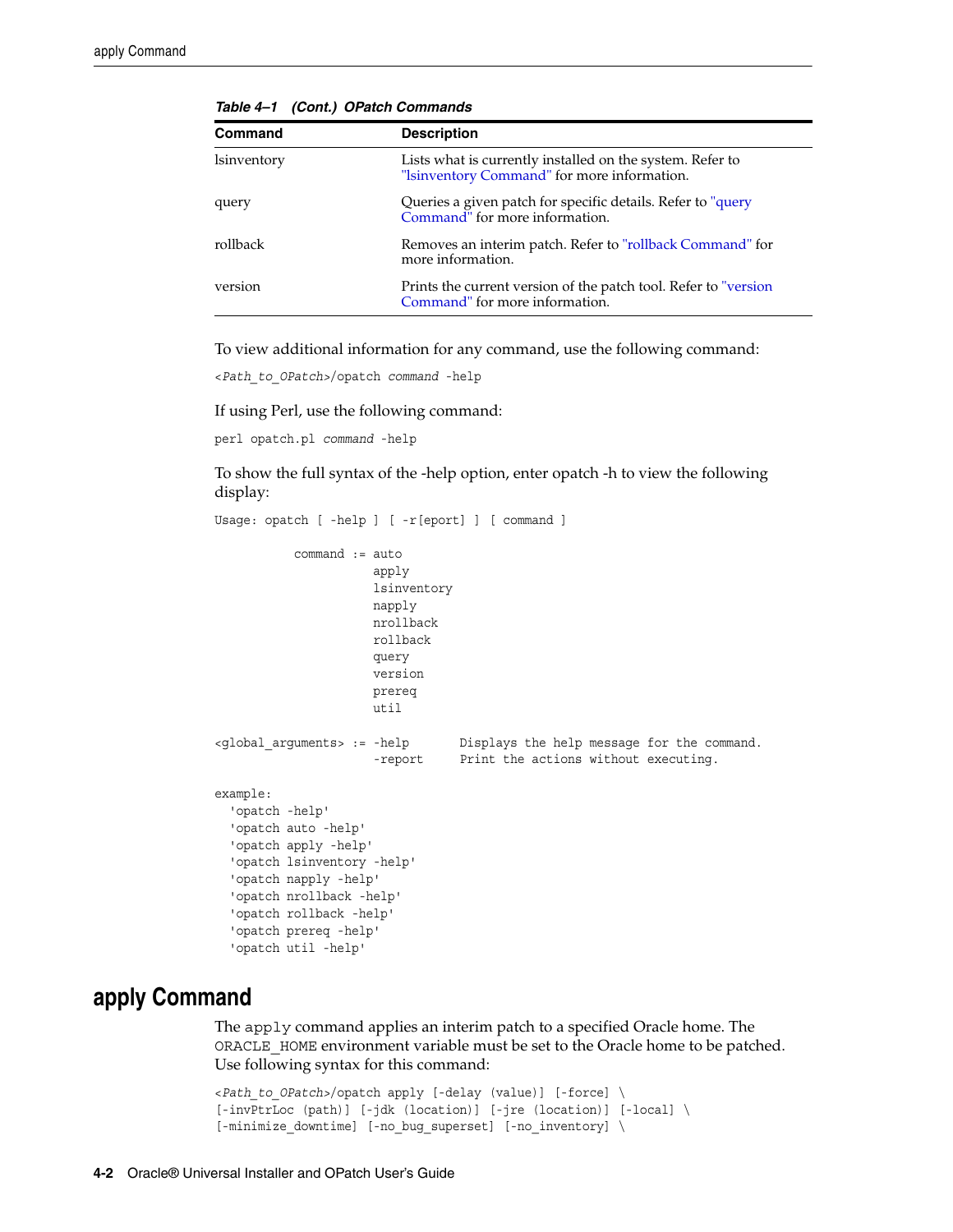| <b>Command</b>    | <b>Description</b>                                                                                       |
|-------------------|----------------------------------------------------------------------------------------------------------|
| <i>sinventory</i> | Lists what is currently installed on the system. Refer to<br>"Isinventory Command" for more information. |
| query             | Queries a given patch for specific details. Refer to "query Command" for more information.               |
| rollback          | Removes an interim patch. Refer to "rollback Command" for<br>more information.                           |
| version           | Prints the current version of the patch tool. Refer to "version"<br>Command" for more information.       |

*Table 4–1 (Cont.) OPatch Commands*

To view additional information for any command, use the following command:

<*Path\_to\_OPatch>*/opatch *command* -help

If using Perl, use the following command:

perl opatch.pl *command* -help

To show the full syntax of the -help option, enter opatch -h to view the following display:

```
Usage: opatch [ -help ] [ -r[eport] ] [ command ]
            command := auto
                       apply
                       lsinventory
                       napply
                       nrollback
                       rollback
                       query
                       version
                       prereq
                       util
<global_arguments> := -help Displays the help message for the command.
                      -report Print the actions without executing.
example:
   'opatch -help'
   'opatch auto -help'
   'opatch apply -help'
   'opatch lsinventory -help'
   'opatch napply -help'
   'opatch nrollback -help'
   'opatch rollback -help'
   'opatch prereq -help'
   'opatch util -help'
```
### <span id="page-19-0"></span>**apply Command**

The apply command applies an interim patch to a specified Oracle home. The ORACLE\_HOME environment variable must be set to the Oracle home to be patched. Use following syntax for this command:

```
<Path_to_OPatch>/opatch apply [-delay (value)] [-force] \
[-invPtrLoc (path)] [-jdk (location)] [-jre (location)] [-local] \
[-minimize_downtime] [-no_bug_superset] [-no_inventory] \
```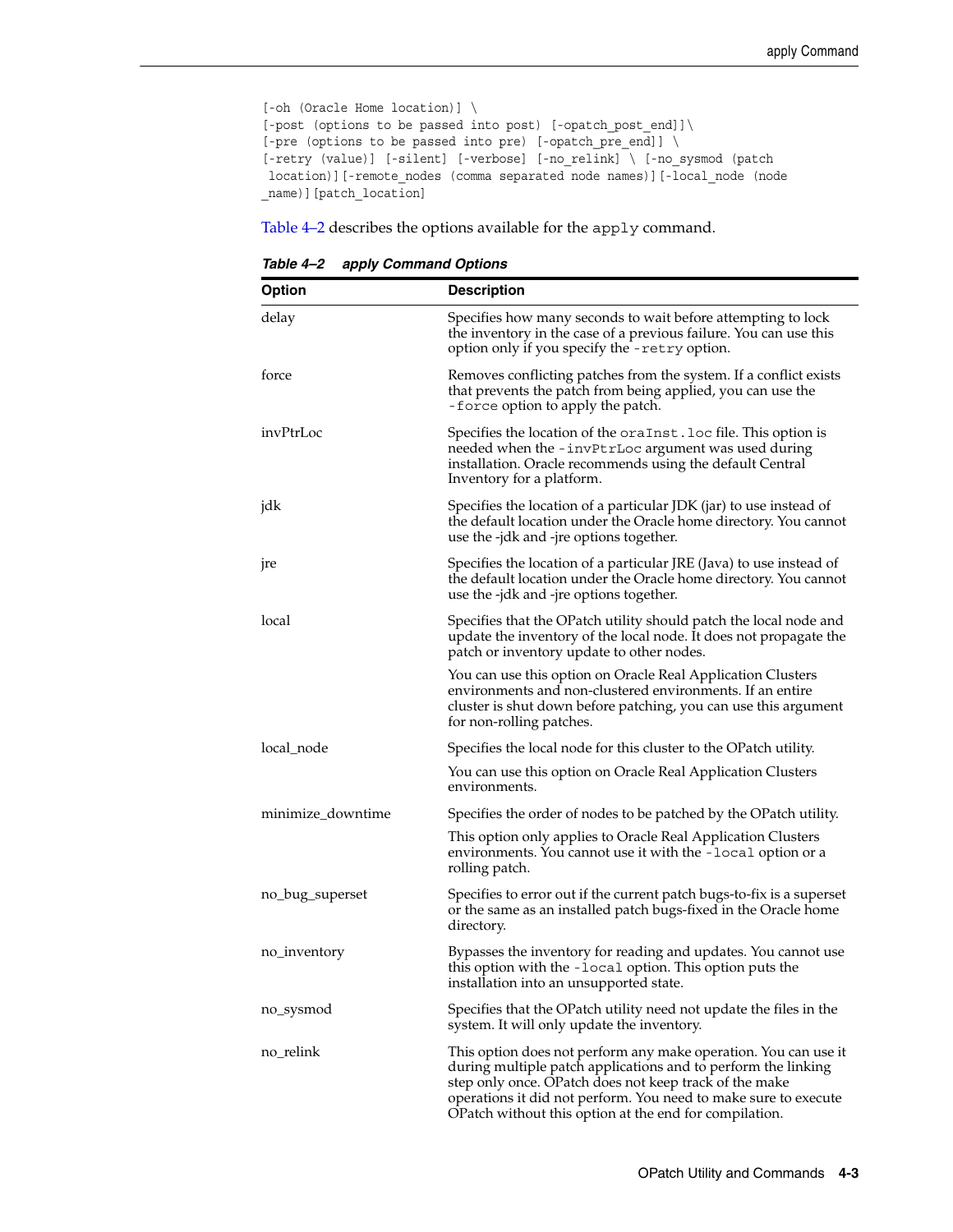```
[-oh (Oracle Home location)] \
[-post (options to be passed into post) [-opatch_post_end]]\
[-pre (options to be passed into pre) [-opatch pre_end]] \
[-retry (value)] [-silent] [-verbose] [-no_relink] \ [-no_sysmod (patch
 location)][-remote_nodes (comma separated node names)][-local_node (node
_name)][patch_location]
```
[Table 4–2](#page-20-0) describes the options available for the apply command.

*Table 4–2 apply Command Options*

<span id="page-20-0"></span>

| <b>Option</b>     | <b>Description</b>                                                                                                                                                                                                                                                                                                      |
|-------------------|-------------------------------------------------------------------------------------------------------------------------------------------------------------------------------------------------------------------------------------------------------------------------------------------------------------------------|
| delay             | Specifies how many seconds to wait before attempting to lock<br>the inventory in the case of a previous failure. You can use this<br>option only if you specify the -retry option.                                                                                                                                      |
| force             | Removes conflicting patches from the system. If a conflict exists<br>that prevents the patch from being applied, you can use the<br>-force option to apply the patch.                                                                                                                                                   |
| invPtrLoc         | Specifies the location of the oraInst.loc file. This option is<br>needed when the -invPtrLoc argument was used during<br>installation. Oracle recommends using the default Central<br>Inventory for a platform.                                                                                                         |
| jdk               | Specifies the location of a particular JDK (jar) to use instead of<br>the default location under the Oracle home directory. You cannot<br>use the -jdk and -jre options together.                                                                                                                                       |
| jre               | Specifies the location of a particular JRE (Java) to use instead of<br>the default location under the Oracle home directory. You cannot<br>use the -jdk and -jre options together.                                                                                                                                      |
| local             | Specifies that the OPatch utility should patch the local node and<br>update the inventory of the local node. It does not propagate the<br>patch or inventory update to other nodes.                                                                                                                                     |
|                   | You can use this option on Oracle Real Application Clusters<br>environments and non-clustered environments. If an entire<br>cluster is shut down before patching, you can use this argument<br>for non-rolling patches.                                                                                                 |
| local_node        | Specifies the local node for this cluster to the OPatch utility.                                                                                                                                                                                                                                                        |
|                   | You can use this option on Oracle Real Application Clusters<br>environments.                                                                                                                                                                                                                                            |
| minimize_downtime | Specifies the order of nodes to be patched by the OPatch utility.                                                                                                                                                                                                                                                       |
|                   | This option only applies to Oracle Real Application Clusters<br>environments. You cannot use it with the -local option or a<br>rolling patch.                                                                                                                                                                           |
| no_bug_superset   | Specifies to error out if the current patch bugs-to-fix is a superset<br>or the same as an installed patch bugs-fixed in the Oracle home<br>directory.                                                                                                                                                                  |
| no_inventory      | Bypasses the inventory for reading and updates. You cannot use<br>this option with the -local option. This option puts the<br>installation into an unsupported state.                                                                                                                                                   |
| no_sysmod         | Specifies that the OPatch utility need not update the files in the<br>system. It will only update the inventory.                                                                                                                                                                                                        |
| no_relink         | This option does not perform any make operation. You can use it<br>during multiple patch applications and to perform the linking<br>step only once. OPatch does not keep track of the make<br>operations it did not perform. You need to make sure to execute<br>OPatch without this option at the end for compilation. |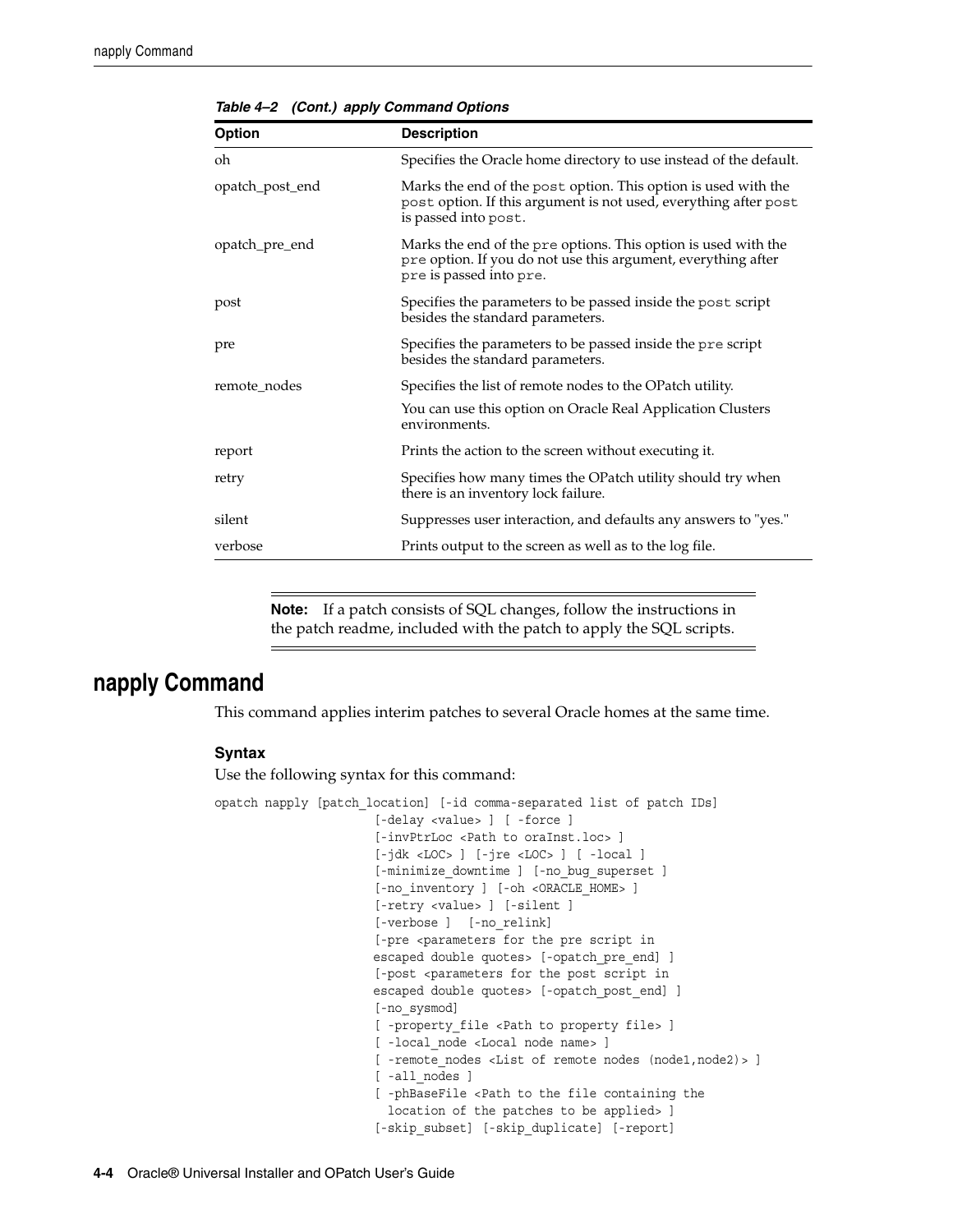| <b>Option</b>   | <b>Description</b>                                                                                                                                         |
|-----------------|------------------------------------------------------------------------------------------------------------------------------------------------------------|
| oh              | Specifies the Oracle home directory to use instead of the default.                                                                                         |
| opatch_post_end | Marks the end of the post option. This option is used with the<br>post option. If this argument is not used, everything after post<br>is passed into post. |
| opatch_pre_end  | Marks the end of the pre options. This option is used with the<br>pre option. If you do not use this argument, everything after<br>pre is passed into pre. |
| post            | Specifies the parameters to be passed inside the post script<br>besides the standard parameters.                                                           |
| pre             | Specifies the parameters to be passed inside the pre script<br>besides the standard parameters.                                                            |
| remote_nodes    | Specifies the list of remote nodes to the OPatch utility.                                                                                                  |
|                 | You can use this option on Oracle Real Application Clusters<br>environments.                                                                               |
| report          | Prints the action to the screen without executing it.                                                                                                      |
| retry           | Specifies how many times the OPatch utility should try when<br>there is an inventory lock failure.                                                         |
| silent          | Suppresses user interaction, and defaults any answers to "yes."                                                                                            |
| verbose         | Prints output to the screen as well as to the log file.                                                                                                    |

*Table 4–2 (Cont.) apply Command Options*

**Note:** If a patch consists of SQL changes, follow the instructions in the patch readme, included with the patch to apply the SQL scripts.

### <span id="page-21-0"></span>**napply Command**

This command applies interim patches to several Oracle homes at the same time.

#### **Syntax**

Use the following syntax for this command:

```
opatch napply [patch_location] [-id comma-separated list of patch IDs]
                       [-delay <value> ] [ -force ]
                       [-invPtrLoc <Path to oraInst.loc> ]
                        [-jdk <LOC> ] [-jre <LOC> ] [ -local ]
                        [-minimize_downtime ] [-no_bug_superset ]
                       [-no_inventory ] [-oh <ORACLE_HOME> ]
                       [-retry <value> ] [-silent ]
                       [-verbose ] [-no_relink] 
                       [-pre <parameters for the pre script in
                      escaped double quotes> [-opatch_pre_end] ]
                       [-post <parameters for the post script in
                      escaped double quotes> [-opatch_post_end] ]
                        [-no_sysmod]
                        [ -property_file <Path to property file> ]
                        [ -local_node <Local node name> ]
                       [ -remote_nodes <List of remote nodes (node1,node2)> ]
                       [ -all nodes ]
                        [ -phBaseFile <Path to the file containing the
                         location of the patches to be applied> ]
                        [-skip_subset] [-skip_duplicate] [-report]
```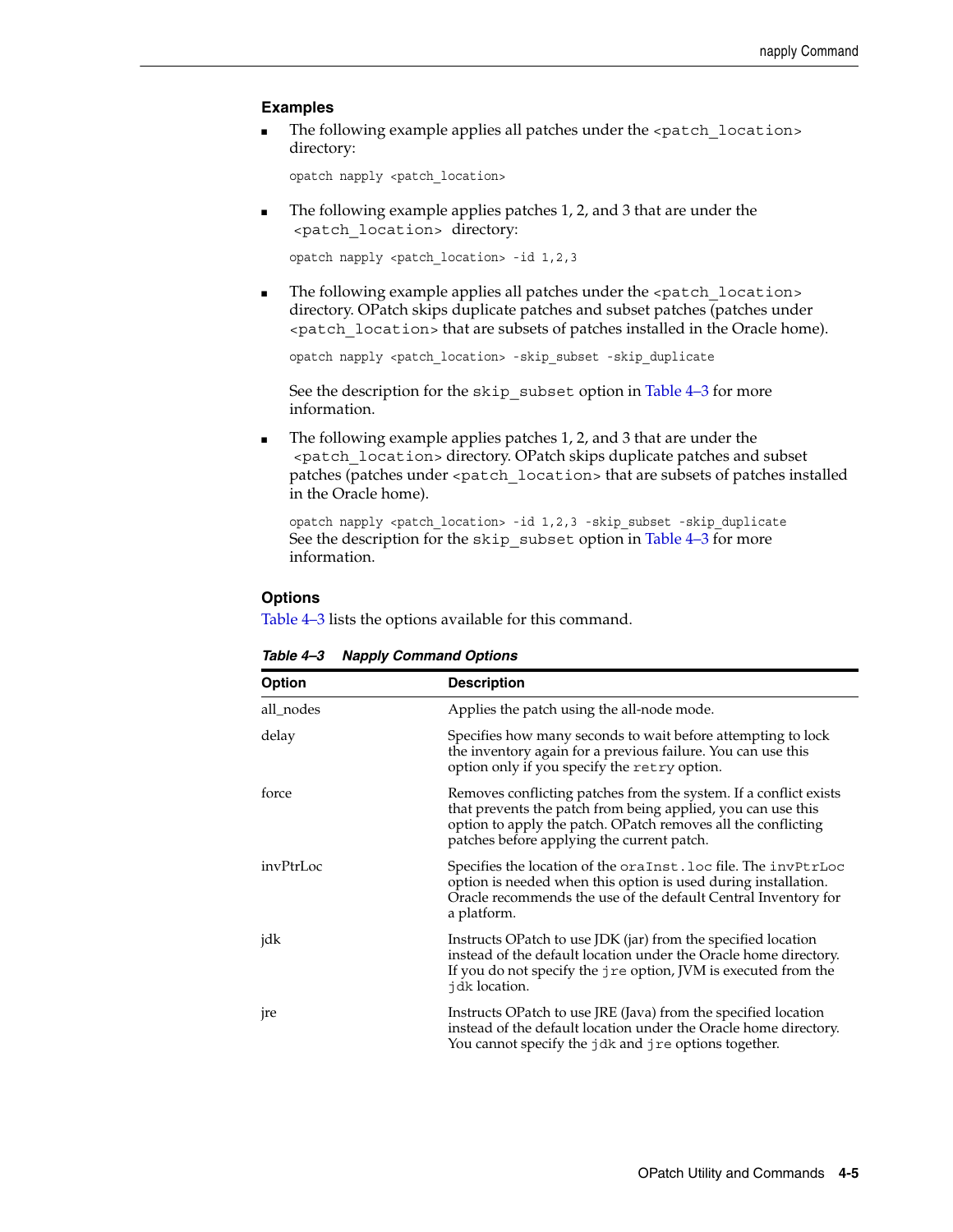#### **Examples**

■ The following example applies all patches under the <patch\_location> directory:

opatch napply <patch\_location>

The following example applies patches 1, 2, and 3 that are under the <patch\_location> directory:

opatch napply <patch\_location> -id 1,2,3

The following example applies all patches under the <patch\_location> directory. OPatch skips duplicate patches and subset patches (patches under <patch\_location> that are subsets of patches installed in the Oracle home).

opatch napply <patch\_location> -skip\_subset -skip\_duplicate

See the description for the skip\_subset option in Table 4–3 for more information.

The following example applies patches 1, 2, and 3 that are under the <patch\_location> directory. OPatch skips duplicate patches and subset patches (patches under <patch\_location> that are subsets of patches installed in the Oracle home).

opatch napply <patch\_location> -id 1,2,3 -skip\_subset -skip\_duplicate See the description for the skip\_subset option in Table 4–3 for more information.

#### **Options**

Table 4–3 lists the options available for this command.

| <b>Description</b><br><b>Option</b>                     |                                                                                                                                                                                                                                                  |  |  |  |
|---------------------------------------------------------|--------------------------------------------------------------------------------------------------------------------------------------------------------------------------------------------------------------------------------------------------|--|--|--|
| Applies the patch using the all-node mode.<br>all nodes |                                                                                                                                                                                                                                                  |  |  |  |
| delay                                                   | Specifies how many seconds to wait before attempting to lock<br>the inventory again for a previous failure. You can use this<br>option only if you specify the retry option.                                                                     |  |  |  |
| force                                                   | Removes conflicting patches from the system. If a conflict exists<br>that prevents the patch from being applied, you can use this<br>option to apply the patch. OPatch removes all the conflicting<br>patches before applying the current patch. |  |  |  |
| invPtrLoc                                               | Specifies the location of the oraInst.loc file. The invPtrLoc<br>option is needed when this option is used during installation.<br>Oracle recommends the use of the default Central Inventory for<br>a platform.                                 |  |  |  |
| jdk                                                     | Instructs OPatch to use JDK (jar) from the specified location<br>instead of the default location under the Oracle home directory.<br>If you do not specify the jre option, JVM is executed from the<br>jdk location.                             |  |  |  |
| <sub>p</sub> re                                         | Instructs OPatch to use JRE (Java) from the specified location<br>instead of the default location under the Oracle home directory.<br>You cannot specify the jdk and jre options together.                                                       |  |  |  |

<span id="page-22-0"></span>*Table 4–3 Napply Command Options*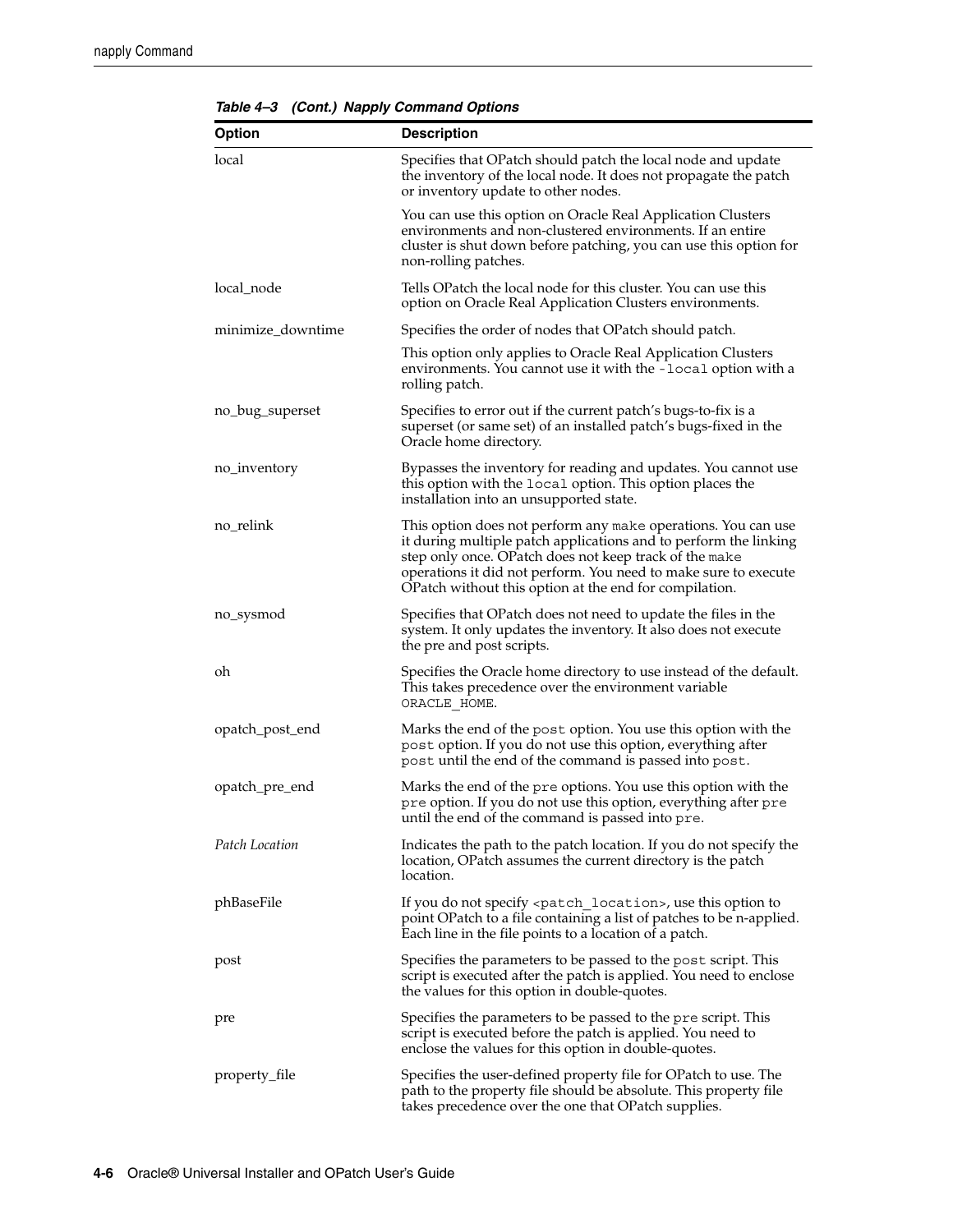| <b>Option</b>     | <b>Description</b>                                                                                                                                                                                                                                                                                                       |  |  |
|-------------------|--------------------------------------------------------------------------------------------------------------------------------------------------------------------------------------------------------------------------------------------------------------------------------------------------------------------------|--|--|
| local             | Specifies that OPatch should patch the local node and update<br>the inventory of the local node. It does not propagate the patch<br>or inventory update to other nodes.                                                                                                                                                  |  |  |
|                   | You can use this option on Oracle Real Application Clusters<br>environments and non-clustered environments. If an entire<br>cluster is shut down before patching, you can use this option for<br>non-rolling patches.                                                                                                    |  |  |
| local_node        | Tells OPatch the local node for this cluster. You can use this<br>option on Oracle Real Application Clusters environments.                                                                                                                                                                                               |  |  |
| minimize_downtime | Specifies the order of nodes that OPatch should patch.                                                                                                                                                                                                                                                                   |  |  |
|                   | This option only applies to Oracle Real Application Clusters<br>environments. You cannot use it with the -local option with a<br>rolling patch.                                                                                                                                                                          |  |  |
| no_bug_superset   | Specifies to error out if the current patch's bugs-to-fix is a<br>superset (or same set) of an installed patch's bugs-fixed in the<br>Oracle home directory.                                                                                                                                                             |  |  |
| no_inventory      | Bypasses the inventory for reading and updates. You cannot use<br>this option with the local option. This option places the<br>installation into an unsupported state.                                                                                                                                                   |  |  |
| no_relink         | This option does not perform any make operations. You can use<br>it during multiple patch applications and to perform the linking<br>step only once. OPatch does not keep track of the make<br>operations it did not perform. You need to make sure to execute<br>OPatch without this option at the end for compilation. |  |  |
| no_sysmod         | Specifies that OPatch does not need to update the files in the<br>system. It only updates the inventory. It also does not execute<br>the pre and post scripts.                                                                                                                                                           |  |  |
| oh                | Specifies the Oracle home directory to use instead of the default.<br>This takes precedence over the environment variable<br>ORACLE HOME.                                                                                                                                                                                |  |  |
| opatch_post_end   | Marks the end of the post option. You use this option with the<br>post option. If you do not use this option, everything after<br>post until the end of the command is passed into post.                                                                                                                                 |  |  |
| opatch_pre_end    | Marks the end of the pre options. You use this option with the<br>pre option. If you do not use this option, everything after pre<br>until the end of the command is passed into pre.                                                                                                                                    |  |  |
| Patch Location    | Indicates the path to the patch location. If you do not specify the<br>location, OPatch assumes the current directory is the patch<br>location.                                                                                                                                                                          |  |  |
| phBaseFile        | If you do not specify <patch_location>, use this option to<br/>point OPatch to a file containing a list of patches to be n-applied.<br/>Each line in the file points to a location of a patch.</patch_location>                                                                                                          |  |  |
| post              | Specifies the parameters to be passed to the post script. This<br>script is executed after the patch is applied. You need to enclose<br>the values for this option in double-quotes.                                                                                                                                     |  |  |
| pre               | Specifies the parameters to be passed to the pre script. This<br>script is executed before the patch is applied. You need to<br>enclose the values for this option in double-quotes.                                                                                                                                     |  |  |
| property_file     | Specifies the user-defined property file for OPatch to use. The<br>path to the property file should be absolute. This property file<br>takes precedence over the one that OPatch supplies.                                                                                                                               |  |  |

*Table 4–3 (Cont.) Napply Command Options*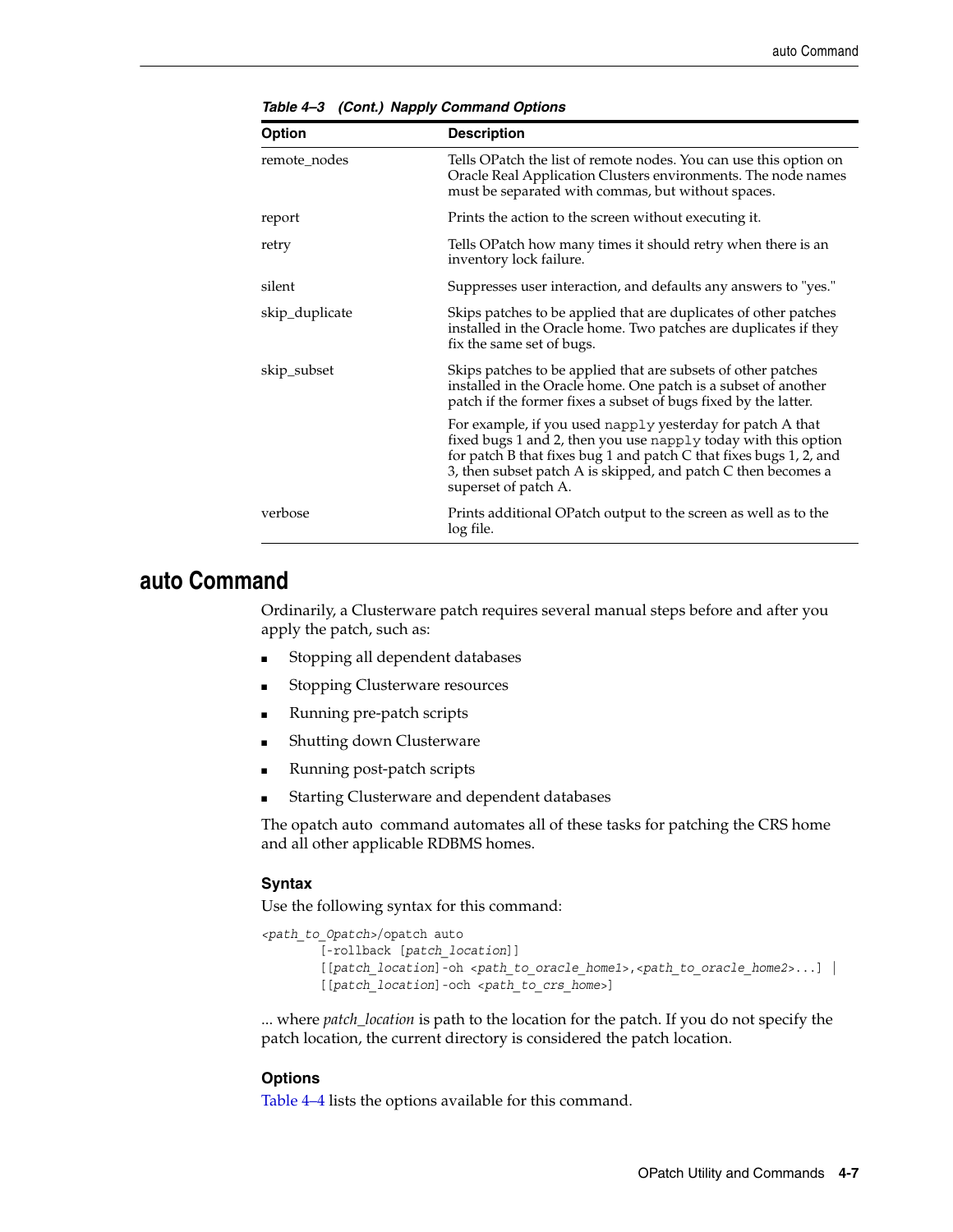| <b>Option</b>  | <b>Description</b>                                                                                                                                                                                                                                                                          |  |  |  |
|----------------|---------------------------------------------------------------------------------------------------------------------------------------------------------------------------------------------------------------------------------------------------------------------------------------------|--|--|--|
| remote nodes   | Tells OPatch the list of remote nodes. You can use this option on<br>Oracle Real Application Clusters environments. The node names<br>must be separated with commas, but without spaces.                                                                                                    |  |  |  |
| report         | Prints the action to the screen without executing it.                                                                                                                                                                                                                                       |  |  |  |
| retry          | Tells OPatch how many times it should retry when there is an<br>inventory lock failure.                                                                                                                                                                                                     |  |  |  |
| silent         | Suppresses user interaction, and defaults any answers to "yes."                                                                                                                                                                                                                             |  |  |  |
| skip_duplicate | Skips patches to be applied that are duplicates of other patches<br>installed in the Oracle home. Two patches are duplicates if they<br>fix the same set of bugs.                                                                                                                           |  |  |  |
| skip_subset    | Skips patches to be applied that are subsets of other patches<br>installed in the Oracle home. One patch is a subset of another<br>patch if the former fixes a subset of bugs fixed by the latter.                                                                                          |  |  |  |
|                | For example, if you used napply yesterday for patch A that<br>fixed bugs 1 and 2, then you use napply today with this option<br>for patch B that fixes bug 1 and patch C that fixes bugs 1, 2, and<br>3, then subset patch A is skipped, and patch C then becomes a<br>superset of patch A. |  |  |  |
| verbose        | Prints additional OPatch output to the screen as well as to the<br>log file.                                                                                                                                                                                                                |  |  |  |

*Table 4–3 (Cont.) Napply Command Options*

### <span id="page-24-0"></span>**auto Command**

Ordinarily, a Clusterware patch requires several manual steps before and after you apply the patch, such as:

- Stopping all dependent databases
- Stopping Clusterware resources
- Running pre-patch scripts
- Shutting down Clusterware
- Running post-patch scripts
- Starting Clusterware and dependent databases

The opatch auto command automates all of these tasks for patching the CRS home and all other applicable RDBMS homes.

#### **Syntax**

Use the following syntax for this command:

```
<path_to_Opatch>/opatch auto 
         [-rollback [patch_location]] 
         [[patch_location]-oh <path_to_oracle_home1>,<path_to_oracle_home2>...] |
         [[patch_location]-och <path_to_crs_home>]
```
... where *patch\_location* is path to the location for the patch. If you do not specify the patch location, the current directory is considered the patch location.

#### **Options**

[Table 4–4](#page-25-1) lists the options available for this command.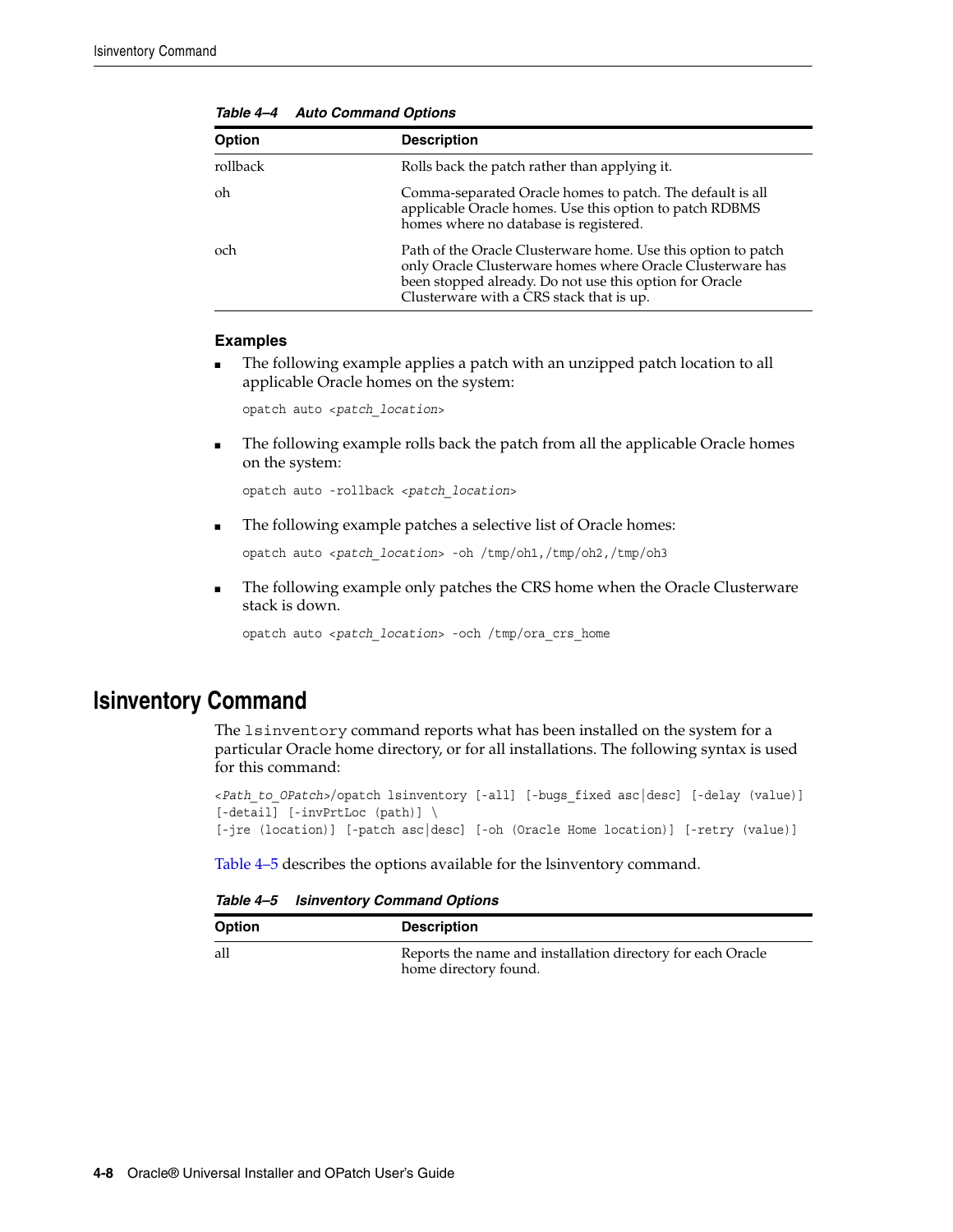<span id="page-25-1"></span>

| <b>Option</b> | <b>Description</b>                                                                                                                                                                                                                 |  |  |
|---------------|------------------------------------------------------------------------------------------------------------------------------------------------------------------------------------------------------------------------------------|--|--|
| rollback      | Rolls back the patch rather than applying it.                                                                                                                                                                                      |  |  |
| oh            | Comma-separated Oracle homes to patch. The default is all<br>applicable Oracle homes. Use this option to patch RDBMS<br>homes where no database is registered.                                                                     |  |  |
| och           | Path of the Oracle Clusterware home. Use this option to patch<br>only Oracle Clusterware homes where Oracle Clusterware has<br>been stopped already. Do not use this option for Oracle<br>Clusterware with a CRS stack that is up. |  |  |

*Table 4–4 Auto Command Options*

### **Examples**

The following example applies a patch with an unzipped patch location to all applicable Oracle homes on the system:

opatch auto <*patch\_location*>

The following example rolls back the patch from all the applicable Oracle homes on the system:

opatch auto -rollback <*patch\_location*>

The following example patches a selective list of Oracle homes:

opatch auto <*patch\_location*> -oh /tmp/oh1,/tmp/oh2,/tmp/oh3

The following example only patches the CRS home when the Oracle Clusterware stack is down.

opatch auto <*patch\_location*> -och /tmp/ora\_crs\_home

## <span id="page-25-0"></span>**lsinventory Command**

The lsinventory command reports what has been installed on the system for a particular Oracle home directory, or for all installations. The following syntax is used for this command:

```
<Path_to_OPatch>/opatch lsinventory [-all] [-bugs_fixed asc|desc] [-delay (value)] 
[-detail] [-invPrtLoc (path)] \ 
[-jre (location)] [-patch asc|desc] [-oh (Oracle Home location)] [-retry (value)]
```
[Table 4–5](#page-25-2) describes the options available for the lsinventory command.

*Table 4–5 lsinventory Command Options*

<span id="page-25-2"></span>

| <b>Option</b> | <b>Description</b>                                                                   |
|---------------|--------------------------------------------------------------------------------------|
| all           | Reports the name and installation directory for each Oracle<br>home directory found. |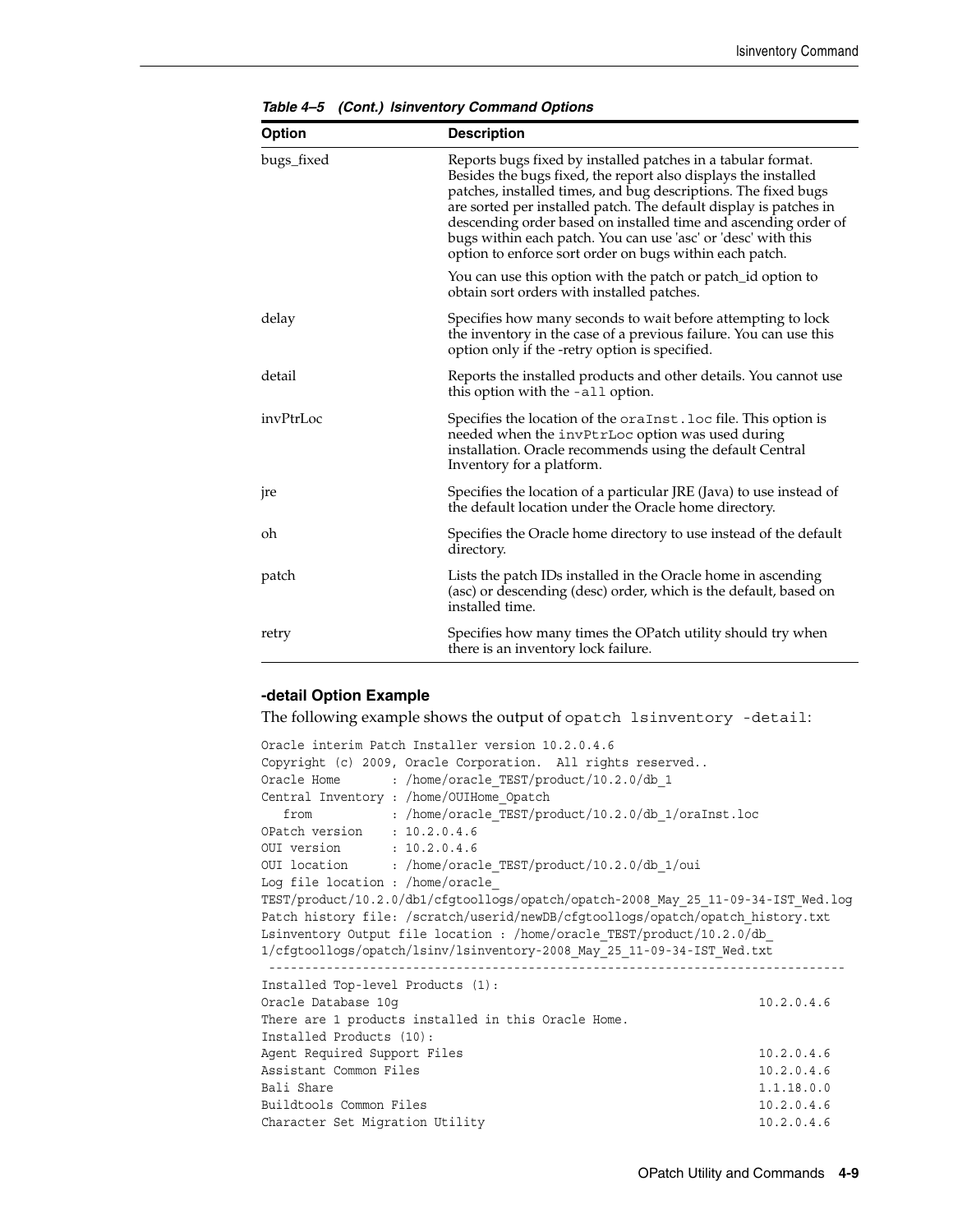| <b>Description</b><br>Option |                                                                                                                                                                                                                                                                                                                                                                                                                                                                      |  |  |
|------------------------------|----------------------------------------------------------------------------------------------------------------------------------------------------------------------------------------------------------------------------------------------------------------------------------------------------------------------------------------------------------------------------------------------------------------------------------------------------------------------|--|--|
| bugs_fixed                   | Reports bugs fixed by installed patches in a tabular format.<br>Besides the bugs fixed, the report also displays the installed<br>patches, installed times, and bug descriptions. The fixed bugs<br>are sorted per installed patch. The default display is patches in<br>descending order based on installed time and ascending order of<br>bugs within each patch. You can use 'asc' or 'desc' with this<br>option to enforce sort order on bugs within each patch. |  |  |
|                              | You can use this option with the patch or patch id option to<br>obtain sort orders with installed patches.                                                                                                                                                                                                                                                                                                                                                           |  |  |
| delay                        | Specifies how many seconds to wait before attempting to lock<br>the inventory in the case of a previous failure. You can use this<br>option only if the -retry option is specified.                                                                                                                                                                                                                                                                                  |  |  |
| detail                       | Reports the installed products and other details. You cannot use<br>this option with the -all option.                                                                                                                                                                                                                                                                                                                                                                |  |  |
| invPtrLoc                    | Specifies the location of the oraInst.loc file. This option is<br>needed when the invPtrLoc option was used during<br>installation. Oracle recommends using the default Central<br>Inventory for a platform.                                                                                                                                                                                                                                                         |  |  |
| jre                          | Specifies the location of a particular JRE (Java) to use instead of<br>the default location under the Oracle home directory.                                                                                                                                                                                                                                                                                                                                         |  |  |
| oh                           | Specifies the Oracle home directory to use instead of the default<br>directory.                                                                                                                                                                                                                                                                                                                                                                                      |  |  |
| patch                        | Lists the patch IDs installed in the Oracle home in ascending<br>(asc) or descending (desc) order, which is the default, based on<br>installed time.                                                                                                                                                                                                                                                                                                                 |  |  |
| retry                        | Specifies how many times the OPatch utility should try when<br>there is an inventory lock failure.                                                                                                                                                                                                                                                                                                                                                                   |  |  |

*Table 4–5 (Cont.) lsinventory Command Options*

#### **-detail Option Example**

The following example shows the output of opatch lsinventory -detail:

```
Oracle interim Patch Installer version 10.2.0.4.6
Copyright (c) 2009, Oracle Corporation. All rights reserved..
Oracle Home : /home/oracle TEST/product/10.2.0/db 1
Central Inventory : /home/OUIHome_Opatch
   from : /home/oracle_TEST/product/10.2.0/db_1/oraInst.loc
OPatch version : 10.2.0.4.6
OUI version : 10.2.0.4.6<br>OUI location : /home/orac
             : /home/oracle_TEST/product/10.2.0/db_1/oui
Log file location : /home/oracle_
TEST/product/10.2.0/db1/cfgtoollogs/opatch/opatch-2008_May_25_11-09-34-IST_Wed.log
Patch history file: /scratch/userid/newDB/cfgtoollogs/opatch/opatch_history.txt
Lsinventory Output file location : /home/oracle_TEST/product/10.2.0/db_
1/cfgtoollogs/opatch/lsinv/lsinventory-2008_May_25_11-09-34-IST_Wed.txt
  --------------------------------------------------------------------------------
Installed Top-level Products (1):
Oracle Database 10g 10.2.0.4.6
There are 1 products installed in this Oracle Home.
Installed Products (10):
Agent Required Support Files 10.2.0.4.6
Assistant Common Files 10.2.0.4.6
Bali Share 1.1.18.0.0
Buildtools Common Files 10.2.0.4.6
Character Set Migration Utility 10.2.0.4.6
```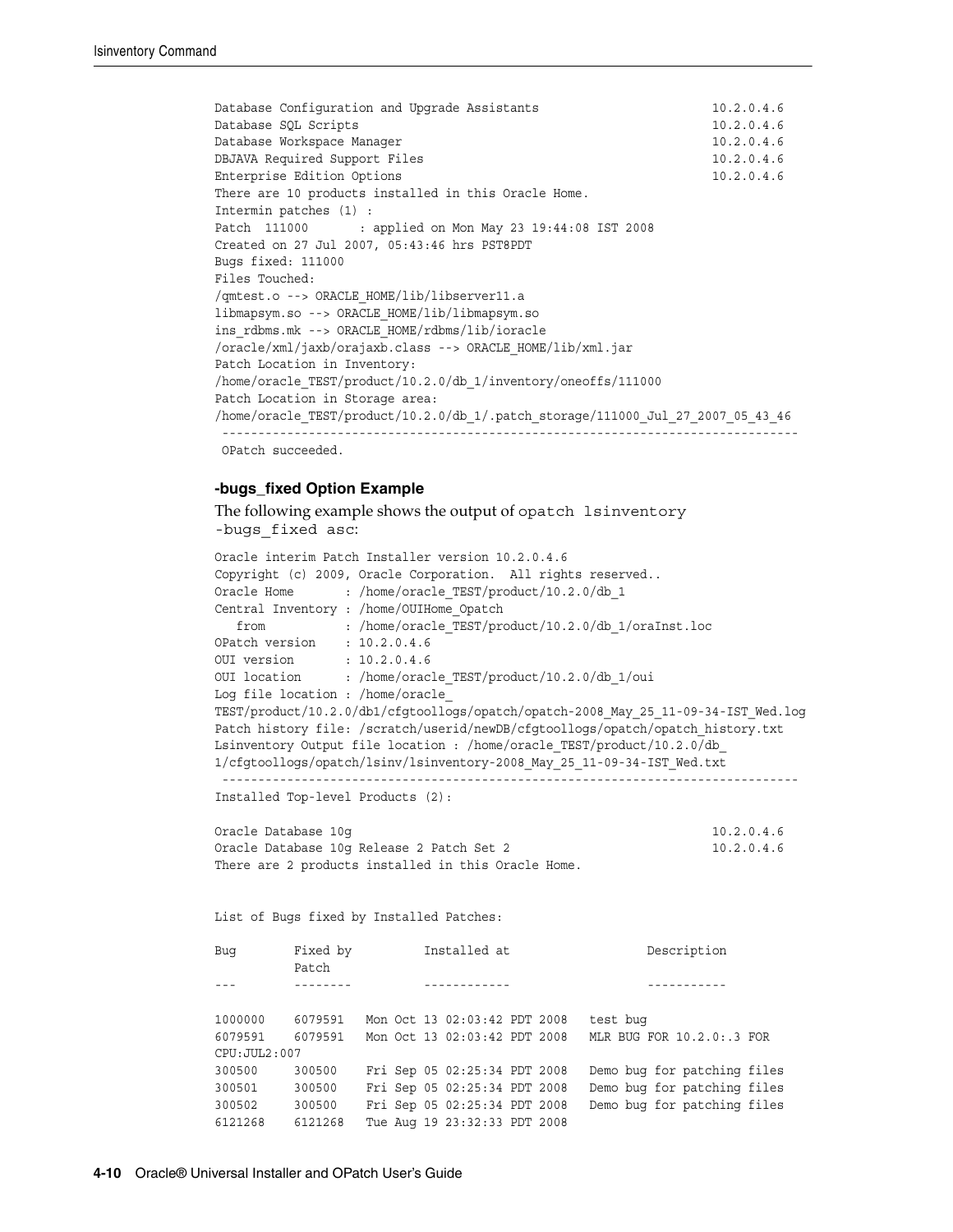```
Database Configuration and Upgrade Assistants 10.2.0.4.6
Database SQL Scripts 10.2.0.4.6
Database Workspace Manager 10.2.0.4.6
DBJAVA Required Support Files 10.2.0.4.6
Enterprise Edition Options 10.2.0.4.6
There are 10 products installed in this Oracle Home.
Intermin patches (1) :
Patch 111000 : applied on Mon May 23 19:44:08 IST 2008
Created on 27 Jul 2007, 05:43:46 hrs PST8PDT
Bugs fixed: 111000
Files Touched:
/qmtest.o --> ORACLE_HOME/lib/libserver11.a
libmapsym.so --> ORACLE_HOME/lib/libmapsym.so
ins_rdbms.mk --> ORACLE_HOME/rdbms/lib/ioracle
/oracle/xml/jaxb/orajaxb.class --> ORACLE_HOME/lib/xml.jar
Patch Location in Inventory:
/home/oracle_TEST/product/10.2.0/db_1/inventory/oneoffs/111000
Patch Location in Storage area:
/home/oracle_TEST/product/10.2.0/db_1/.patch_storage/111000_Jul_27_2007_05_43_46
 --------------------------------------------------------------------------------
 OPatch succeeded.
```
#### **-bugs\_fixed Option Example**

```
The following example shows the output of opatch lsinventory 
-bugs fixed asc:
Oracle interim Patch Installer version 10.2.0.4.6
Copyright (c) 2009, Oracle Corporation. All rights reserved..
Oracle Home : /home/oracle_TEST/product/10.2.0/db_1
Central Inventory : /home/OUIHome_Opatch
   from : /home/oracle_TEST/product/10.2.0/db_1/oraInst.loc
OPatch version : 10.2.0.4.6
OUI version : 10.2.0.4.6
OUI location : /home/oracle TEST/product/10.2.0/db 1/oui
Log file location : /home/oracle_
TEST/product/10.2.0/db1/cfgtoollogs/opatch/opatch-2008_May_25_11-09-34-IST_Wed.log
Patch history file: /scratch/userid/newDB/cfgtoollogs/opatch/opatch history.txt
Lsinventory Output file location : /home/oracle_TEST/product/10.2.0/db_
1/cfgtoollogs/opatch/lsinv/lsinventory-2008_May_25_11-09-34-IST_Wed.txt
  --------------------------------------------------------------------------------
Installed Top-level Products (2):
Oracle Database 10g 10.2.0.4.6
Oracle Database 10g Release 2 Patch Set 2 10.2.0.4.6
There are 2 products installed in this Oracle Home.
List of Bugs fixed by Installed Patches:
Bug Fixed by Installed at Description
         Patch
--- -------- ------------ -----------
1000000 6079591 Mon Oct 13 02:03:42 PDT 2008 test bug
6079591 6079591 Mon Oct 13 02:03:42 PDT 2008 MLR BUG FOR 10.2.0:.3 FOR 
CPU:JUL2:007
300500 300500 Fri Sep 05 02:25:34 PDT 2008 Demo bug for patching files
300501 300500 Fri Sep 05 02:25:34 PDT 2008 Demo bug for patching files
300502 300500 Fri Sep 05 02:25:34 PDT 2008 Demo bug for patching files
6121268 6121268 Tue Aug 19 23:32:33 PDT 2008
```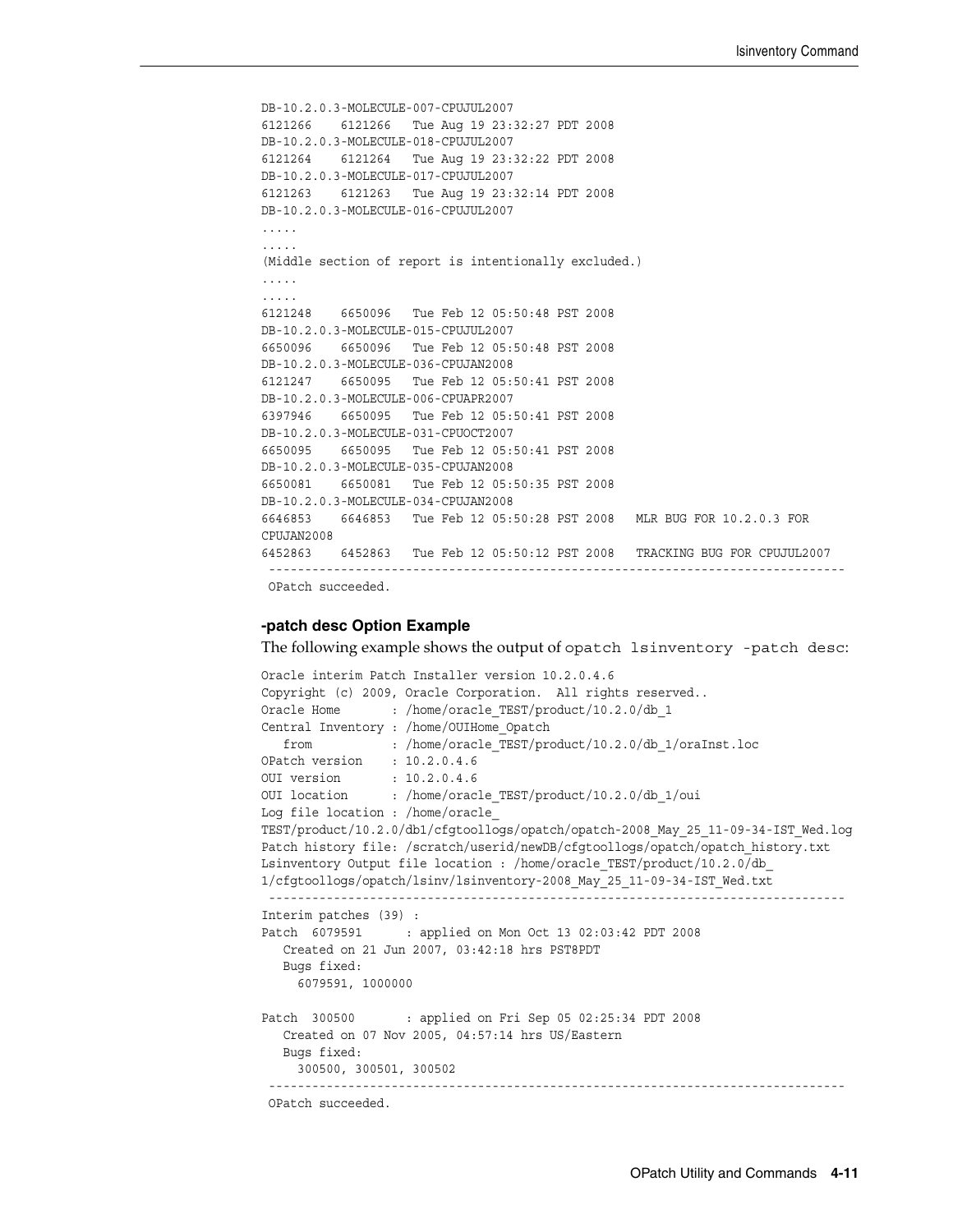```
DB-10.2.0.3-MOLECULE-007-CPUJUL2007
6121266 6121266 Tue Aug 19 23:32:27 PDT 2008 
DB-10.2.0.3-MOLECULE-018-CPUJUL2007
6121264 6121264 Tue Aug 19 23:32:22 PDT 2008 
DB-10.2.0.3-MOLECULE-017-CPUJUL2007
6121263 6121263 Tue Aug 19 23:32:14 PDT 2008 
DB-10.2.0.3-MOLECULE-016-CPUJUL2007
.....
.....
(Middle section of report is intentionally excluded.)
.....
.....
6121248 6650096 Tue Feb 12 05:50:48 PST 2008 
DB-10.2.0.3-MOLECULE-015-CPUJUL2007
6650096 6650096 Tue Feb 12 05:50:48 PST 2008 
DB-10.2.0.3-MOLECULE-036-CPUJAN2008
6121247 6650095 Tue Feb 12 05:50:41 PST 2008 
DB-10.2.0.3-MOLECULE-006-CPUAPR2007
6397946 6650095 Tue Feb 12 05:50:41 PST 2008 
DB-10.2.0.3-MOLECULE-031-CPUOCT2007
6650095 6650095 Tue Feb 12 05:50:41 PST 2008 
DB-10.2.0.3-MOLECULE-035-CPUJAN2008
6650081 6650081 Tue Feb 12 05:50:35 PST 2008 
DB-10.2.0.3-MOLECULE-034-CPUJAN2008
6646853 6646853 Tue Feb 12 05:50:28 PST 2008 MLR BUG FOR 10.2.0.3 FOR 
CPUJAN2008
6452863 6452863 Tue Feb 12 05:50:12 PST 2008 TRACKING BUG FOR CPUJUL2007
  --------------------------------------------------------------------------------
 OPatch succeeded.
```
#### **-patch desc Option Example**

The following example shows the output of opatch lsinventory -patch desc:

```
Oracle interim Patch Installer version 10.2.0.4.6
Copyright (c) 2009, Oracle Corporation. All rights reserved..
Oracle Home : /home/oracle TEST/product/10.2.0/db 1
Central Inventory : /home/OUIHome_Opatch
   from : /home/oracle_TEST/product/10.2.0/db_1/oraInst.loc
OPatch version : 10.2.0.4.6
OUI version : 10.2.0.4.6
OUI location : /home/oracle_TEST/product/10.2.0/db_1/oui
Log file location : /home/oracle_
TEST/product/10.2.0/db1/cfgtoollogs/opatch/opatch-2008_May_25_11-09-34-IST_Wed.log
Patch history file: /scratch/userid/newDB/cfgtoollogs/opatch/opatch history.txt
Lsinventory Output file location : /home/oracle_TEST/product/10.2.0/db_
1/cfgtoollogs/opatch/lsinv/lsinventory-2008_May_25_11-09-34-IST_Wed.txt
  --------------------------------------------------------------------------------
Interim patches (39) :
Patch 6079591 : applied on Mon Oct 13 02:03:42 PDT 2008
   Created on 21 Jun 2007, 03:42:18 hrs PST8PDT
   Bugs fixed:
     6079591, 1000000
Patch 300500 : applied on Fri Sep 05 02:25:34 PDT 2008
   Created on 07 Nov 2005, 04:57:14 hrs US/Eastern
   Bugs fixed:
     300500, 300501, 300502
  --------------------------------------------------------------------------------
 OPatch succeeded.
```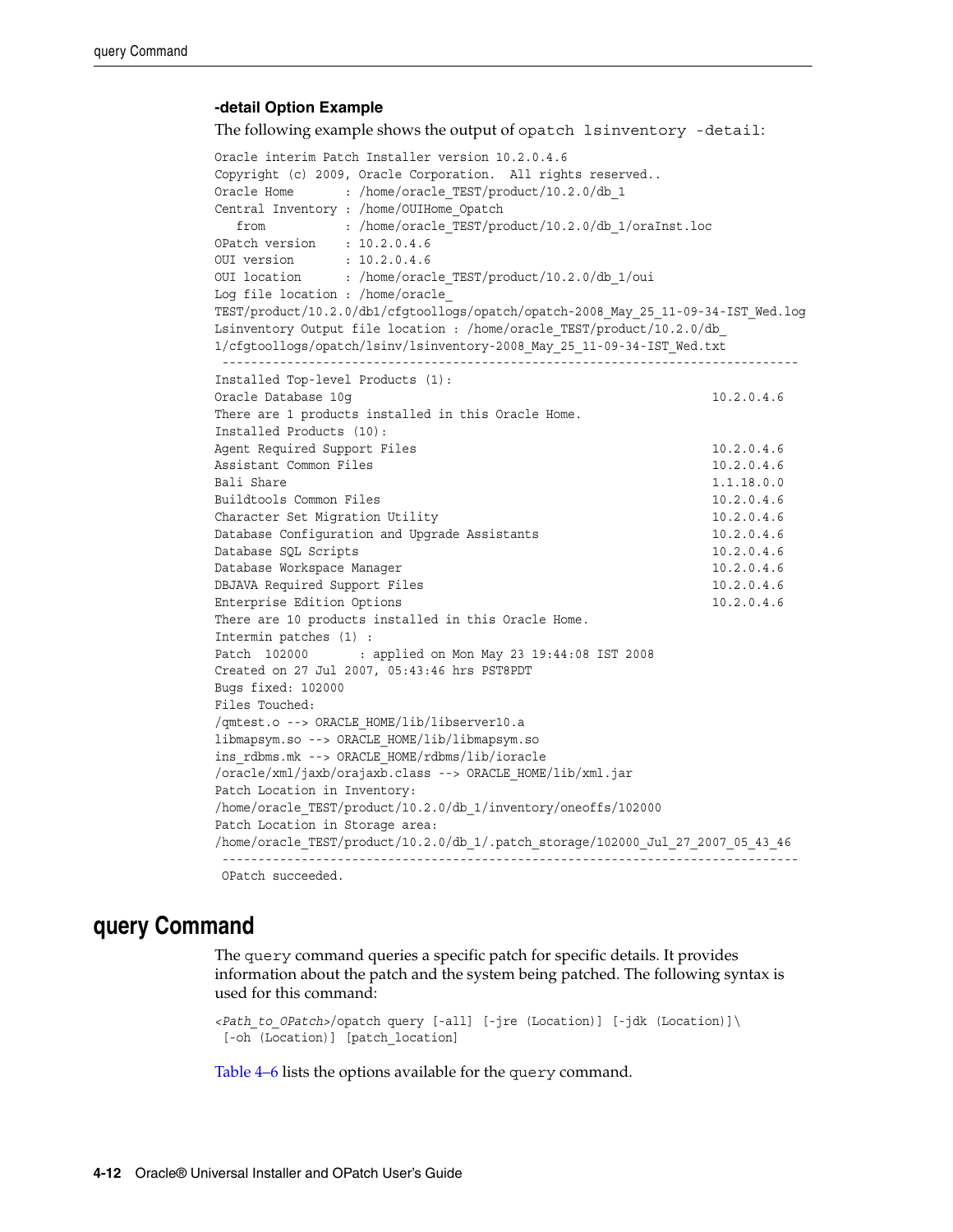#### **-detail Option Example**

The following example shows the output of opatch lsinventory -detail:

Oracle interim Patch Installer version 10.2.0.4.6 Copyright (c) 2009, Oracle Corporation. All rights reserved.. Oracle Home : /home/oracle TEST/product/10.2.0/db 1 Central Inventory : /home/OUIHome\_Opatch from : /home/oracle\_TEST/product/10.2.0/db\_1/oraInst.loc OPatch version : 10.2.0.4.6 OUI version : 10.2.0.4.6 OUI location : /home/oracle\_TEST/product/10.2.0/db 1/oui Log file location : /home/oracle\_ TEST/product/10.2.0/db1/cfgtoollogs/opatch/opatch-2008\_May\_25\_11-09-34-IST\_Wed.log Lsinventory Output file location : /home/oracle\_TEST/product/10.2.0/db\_ 1/cfgtoollogs/opatch/lsinv/lsinventory-2008\_May\_25\_11-09-34-IST\_Wed.txt -------------------------------------------------------------------------------- Installed Top-level Products (1): Oracle Database 10q 10.2.0.4.6 There are 1 products installed in this Oracle Home. Installed Products (10): Agent Required Support Files 10.2.0.4.6 Assistant Common Files 10.2.0.4.6 Bali Share 1.1.18.0.0 Buildtools Common Files 10.2.0.4.6 Character Set Migration Utility 10.2.0.4.6 Database Configuration and Upgrade Assistants 10.2.0.4.6 Database SQL Scripts 10.2.0.4.6 Database Workspace Manager 10.2.0.4.6 DBJAVA Required Support Files 10.2.0.4.6 Enterprise Edition Options 10.2.0.4.6 There are 10 products installed in this Oracle Home. Intermin patches (1) : Patch 102000 : applied on Mon May 23 19:44:08 IST 2008 Created on 27 Jul 2007, 05:43:46 hrs PST8PDT Bugs fixed: 102000 Files Touched: /qmtest.o --> ORACLE\_HOME/lib/libserver10.a libmapsym.so --> ORACLE\_HOME/lib/libmapsym.so ins\_rdbms.mk --> ORACLE\_HOME/rdbms/lib/ioracle /oracle/xml/jaxb/orajaxb.class --> ORACLE\_HOME/lib/xml.jar Patch Location in Inventory: /home/oracle\_TEST/product/10.2.0/db\_1/inventory/oneoffs/102000 Patch Location in Storage area: /home/oracle\_TEST/product/10.2.0/db\_1/.patch\_storage/102000\_Jul\_27\_2007\_05\_43\_46 -------------------------------------------------------------------------------- OPatch succeeded.

### <span id="page-29-0"></span>**query Command**

The query command queries a specific patch for specific details. It provides information about the patch and the system being patched. The following syntax is used for this command:

*<Path\_to\_OPatch>*/opatch query [-all] [-jre (Location)] [-jdk (Location)]\ [-oh (Location)] [patch\_location]

[Table 4–6](#page-30-1) lists the options available for the query command.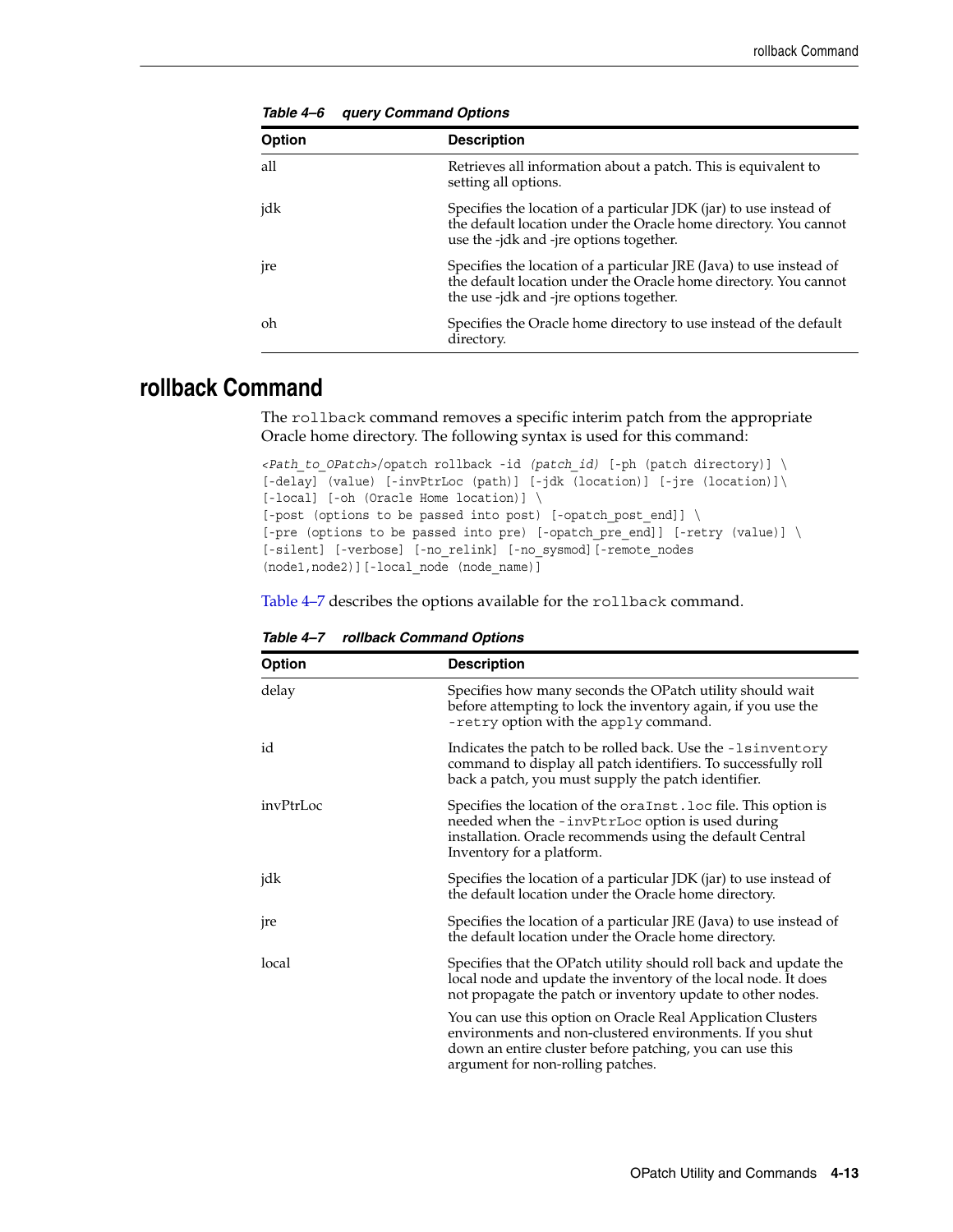<span id="page-30-1"></span>

| Option          | <b>Description</b>                                                                                                                                                                 |
|-----------------|------------------------------------------------------------------------------------------------------------------------------------------------------------------------------------|
| all             | Retrieves all information about a patch. This is equivalent to<br>setting all options.                                                                                             |
| jdk             | Specifies the location of a particular JDK (jar) to use instead of<br>the default location under the Oracle home directory. You cannot<br>use the -jdk and -jre options together.  |
| <sub>p</sub> re | Specifies the location of a particular JRE (Java) to use instead of<br>the default location under the Oracle home directory. You cannot<br>the use -jdk and -jre options together. |
| oh              | Specifies the Oracle home directory to use instead of the default<br>directory.                                                                                                    |

*Table 4–6 query Command Options*

## <span id="page-30-0"></span>**rollback Command**

The rollback command removes a specific interim patch from the appropriate Oracle home directory. The following syntax is used for this command:

```
<Path_to_OPatch>/opatch rollback -id (patch_id) [-ph (patch directory)] \
[-delay] (value) [-invPtrLoc (path)] [-jdk (location)] [-jre (location)]\
[-local] [-oh (Oracle Home location)] \
[-post (options to be passed into post) [-opatch_post_end]] \
[-pre (options to be passed into pre) [-opatch pre end]] [-retry (value)] \
[-silent] [-verbose] [-no_relink] [-no_sysmod][-remote_nodes 
(node1,node2)][-local_node (node_name)]
```
[Table 4–7](#page-30-2) describes the options available for the rollback command.

<span id="page-30-2"></span>

| <b>Option</b>   | <b>Description</b>                                                                                                                                                                                                       |  |  |  |  |
|-----------------|--------------------------------------------------------------------------------------------------------------------------------------------------------------------------------------------------------------------------|--|--|--|--|
| delay           | Specifies how many seconds the OPatch utility should wait<br>before attempting to lock the inventory again, if you use the<br>-retry option with the apply command.                                                      |  |  |  |  |
| id              | Indicates the patch to be rolled back. Use the -1sinventory<br>command to display all patch identifiers. To successfully roll<br>back a patch, you must supply the patch identifier.                                     |  |  |  |  |
| invPtrLoc       | Specifies the location of the oraInst. loc file. This option is<br>needed when the -invPtrLoc option is used during<br>installation. Oracle recommends using the default Central<br>Inventory for a platform.            |  |  |  |  |
| jdk             | Specifies the location of a particular JDK (jar) to use instead of<br>the default location under the Oracle home directory.                                                                                              |  |  |  |  |
| <sub>p</sub> re | Specifies the location of a particular JRE (Java) to use instead of<br>the default location under the Oracle home directory.                                                                                             |  |  |  |  |
| local           | Specifies that the OPatch utility should roll back and update the<br>local node and update the inventory of the local node. It does<br>not propagate the patch or inventory update to other nodes.                       |  |  |  |  |
|                 | You can use this option on Oracle Real Application Clusters<br>environments and non-clustered environments. If you shut<br>down an entire cluster before patching, you can use this<br>argument for non-rolling patches. |  |  |  |  |

*Table 4–7 rollback Command Options*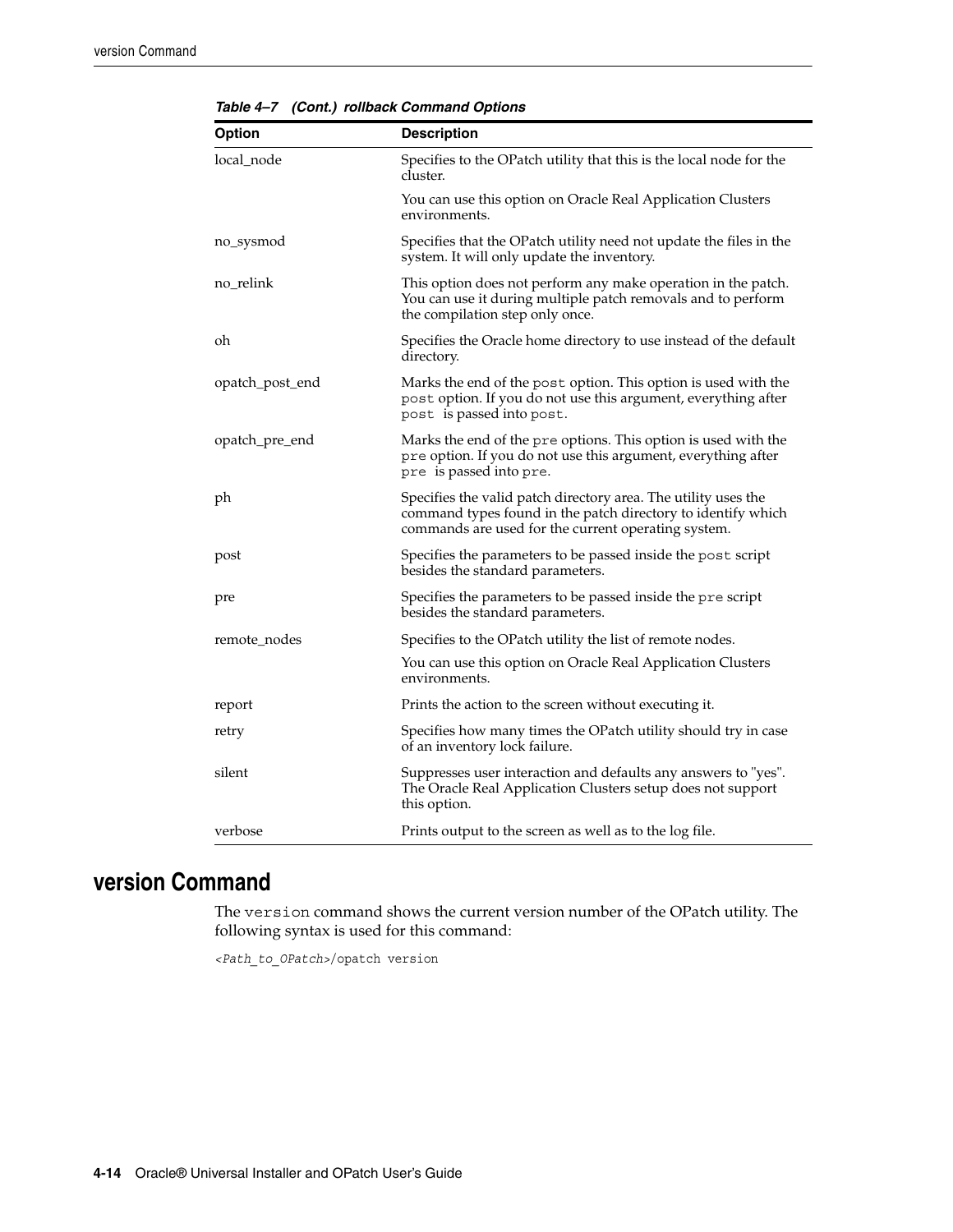| <b>Option</b>   | <b>Description</b>                                                                                                                                                                    |  |  |  |
|-----------------|---------------------------------------------------------------------------------------------------------------------------------------------------------------------------------------|--|--|--|
| local node      | Specifies to the OPatch utility that this is the local node for the<br>cluster.                                                                                                       |  |  |  |
|                 | You can use this option on Oracle Real Application Clusters<br>environments.                                                                                                          |  |  |  |
| no_sysmod       | Specifies that the OPatch utility need not update the files in the<br>system. It will only update the inventory.                                                                      |  |  |  |
| no_relink       | This option does not perform any make operation in the patch.<br>You can use it during multiple patch removals and to perform<br>the compilation step only once.                      |  |  |  |
| oh              | Specifies the Oracle home directory to use instead of the default<br>directory.                                                                                                       |  |  |  |
| opatch_post_end | Marks the end of the post option. This option is used with the<br>post option. If you do not use this argument, everything after<br>post is passed into post.                         |  |  |  |
| opatch_pre_end  | Marks the end of the pre options. This option is used with the<br>pre option. If you do not use this argument, everything after<br>pre is passed into pre.                            |  |  |  |
| ph              | Specifies the valid patch directory area. The utility uses the<br>command types found in the patch directory to identify which<br>commands are used for the current operating system. |  |  |  |
| post            | Specifies the parameters to be passed inside the post script<br>besides the standard parameters.                                                                                      |  |  |  |
| pre             | Specifies the parameters to be passed inside the pre script<br>besides the standard parameters.                                                                                       |  |  |  |
| remote_nodes    | Specifies to the OPatch utility the list of remote nodes.                                                                                                                             |  |  |  |
|                 | You can use this option on Oracle Real Application Clusters<br>environments.                                                                                                          |  |  |  |
| report          | Prints the action to the screen without executing it.                                                                                                                                 |  |  |  |
| retry           | Specifies how many times the OPatch utility should try in case<br>of an inventory lock failure.                                                                                       |  |  |  |
| silent          | Suppresses user interaction and defaults any answers to "yes".<br>The Oracle Real Application Clusters setup does not support<br>this option.                                         |  |  |  |
| verbose         | Prints output to the screen as well as to the log file.                                                                                                                               |  |  |  |

*Table 4–7 (Cont.) rollback Command Options*

# <span id="page-31-0"></span>**version Command**

The version command shows the current version number of the OPatch utility. The following syntax is used for this command:

*<Path\_to\_OPatch>*/opatch version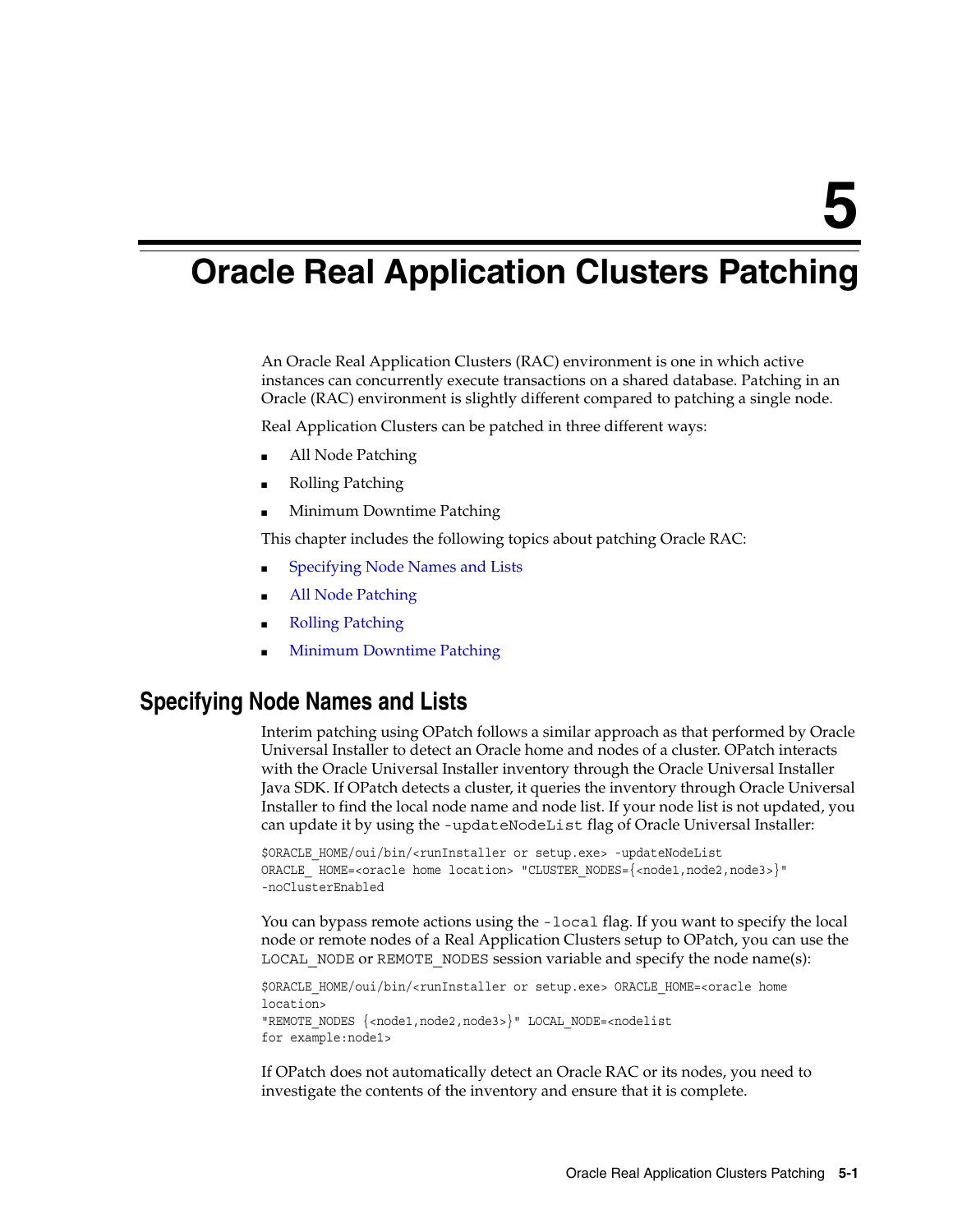# **Oracle Real Application Clusters Patching**

<span id="page-32-2"></span><span id="page-32-0"></span>An Oracle Real Application Clusters (RAC) environment is one in which active instances can concurrently execute transactions on a shared database. Patching in an Oracle (RAC) environment is slightly different compared to patching a single node.

Real Application Clusters can be patched in three different ways:

- All Node Patching
- Rolling Patching
- Minimum Downtime Patching

This chapter includes the following topics about patching Oracle RAC:

- [Specifying Node Names and Lists](#page-32-1)
- [All Node Patching](#page-33-0)
- **[Rolling Patching](#page-33-1)**
- **[Minimum Downtime Patching](#page-34-0)**

### <span id="page-32-1"></span>**Specifying Node Names and Lists**

Interim patching using OPatch follows a similar approach as that performed by Oracle Universal Installer to detect an Oracle home and nodes of a cluster. OPatch interacts with the Oracle Universal Installer inventory through the Oracle Universal Installer Java SDK. If OPatch detects a cluster, it queries the inventory through Oracle Universal Installer to find the local node name and node list. If your node list is not updated, you can update it by using the -updateNodeList flag of Oracle Universal Installer:

```
$ORACLE_HOME/oui/bin/<runInstaller or setup.exe> -updateNodeList 
ORACLE_ HOME=<oracle home location> "CLUSTER_NODES={<node1,node2,node3>}"
-noClusterEnabled
```
You can bypass remote actions using the -local flag. If you want to specify the local node or remote nodes of a Real Application Clusters setup to OPatch, you can use the LOCAL\_NODE or REMOTE\_NODES session variable and specify the node name(s):

```
$ORACLE_HOME/oui/bin/<runInstaller or setup.exe> ORACLE_HOME=<oracle home 
location>
"REMOTE_NODES {<node1,node2,node3>}" LOCAL_NODE=<nodelist
for example:node1>
```
If OPatch does not automatically detect an Oracle RAC or its nodes, you need to investigate the contents of the inventory and ensure that it is complete.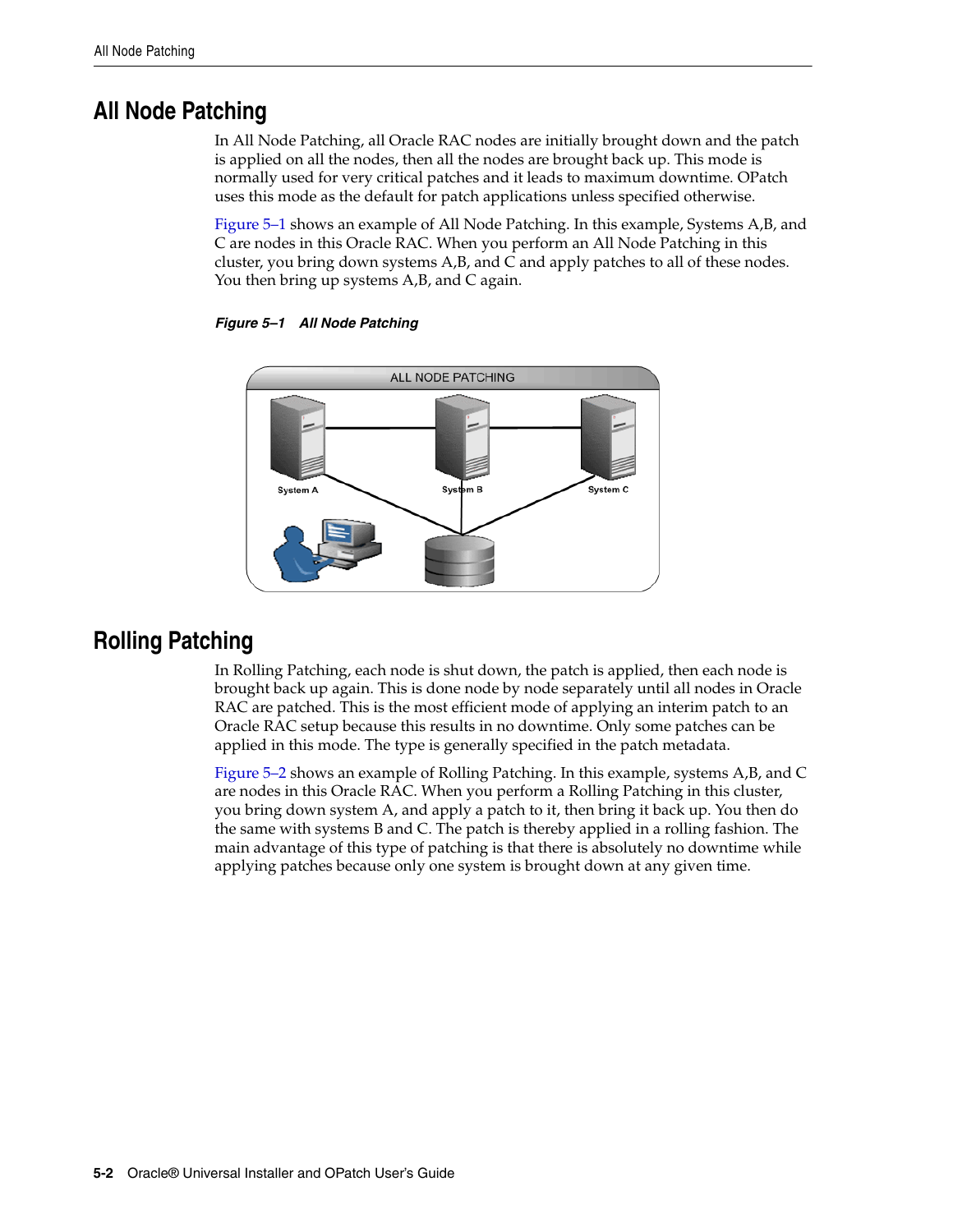# <span id="page-33-0"></span>**All Node Patching**

In All Node Patching, all Oracle RAC nodes are initially brought down and the patch is applied on all the nodes, then all the nodes are brought back up. This mode is normally used for very critical patches and it leads to maximum downtime. OPatch uses this mode as the default for patch applications unless specified otherwise.

[Figure 5–1](#page-33-2) shows an example of All Node Patching. In this example, Systems A,B, and C are nodes in this Oracle RAC. When you perform an All Node Patching in this cluster, you bring down systems A,B, and C and apply patches to all of these nodes. You then bring up systems A,B, and C again.



#### <span id="page-33-2"></span>*Figure 5–1 All Node Patching*

# <span id="page-33-1"></span>**Rolling Patching**

In Rolling Patching, each node is shut down, the patch is applied, then each node is brought back up again. This is done node by node separately until all nodes in Oracle RAC are patched. This is the most efficient mode of applying an interim patch to an Oracle RAC setup because this results in no downtime. Only some patches can be applied in this mode. The type is generally specified in the patch metadata.

[Figure 5–2](#page-34-1) shows an example of Rolling Patching. In this example, systems A,B, and C are nodes in this Oracle RAC. When you perform a Rolling Patching in this cluster, you bring down system A, and apply a patch to it, then bring it back up. You then do the same with systems B and C. The patch is thereby applied in a rolling fashion. The main advantage of this type of patching is that there is absolutely no downtime while applying patches because only one system is brought down at any given time.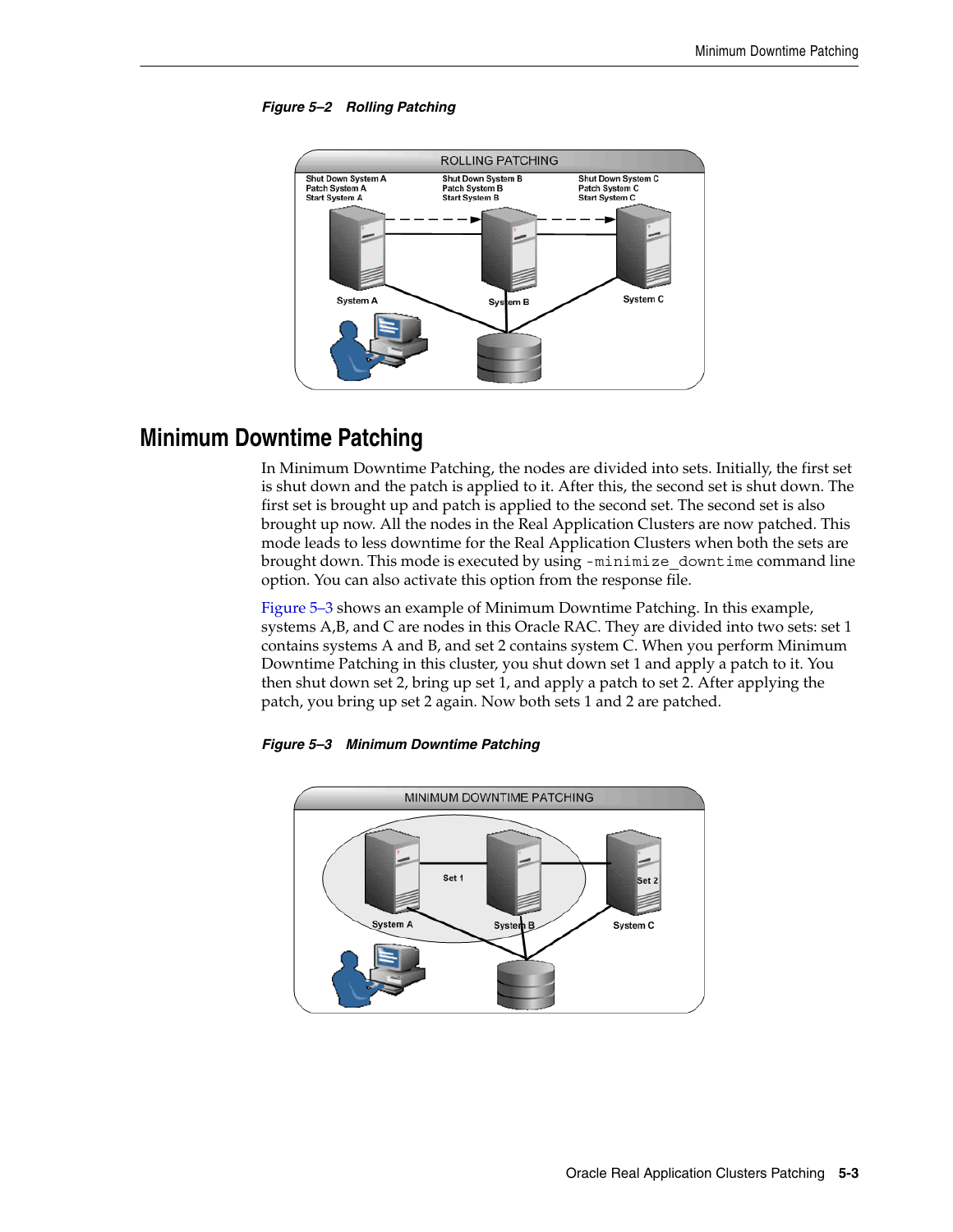

### <span id="page-34-1"></span>*Figure 5–2 Rolling Patching*

## <span id="page-34-3"></span><span id="page-34-0"></span>**Minimum Downtime Patching**

In Minimum Downtime Patching, the nodes are divided into sets. Initially, the first set is shut down and the patch is applied to it. After this, the second set is shut down. The first set is brought up and patch is applied to the second set. The second set is also brought up now. All the nodes in the Real Application Clusters are now patched. This mode leads to less downtime for the Real Application Clusters when both the sets are brought down. This mode is executed by using -minimize downtime command line option. You can also activate this option from the response file.

[Figure 5–3](#page-34-2) shows an example of Minimum Downtime Patching. In this example, systems A,B, and C are nodes in this Oracle RAC. They are divided into two sets: set 1 contains systems A and B, and set 2 contains system C. When you perform Minimum Downtime Patching in this cluster, you shut down set 1 and apply a patch to it. You then shut down set 2, bring up set 1, and apply a patch to set 2. After applying the patch, you bring up set 2 again. Now both sets 1 and 2 are patched.



#### <span id="page-34-2"></span>*Figure 5–3 Minimum Downtime Patching*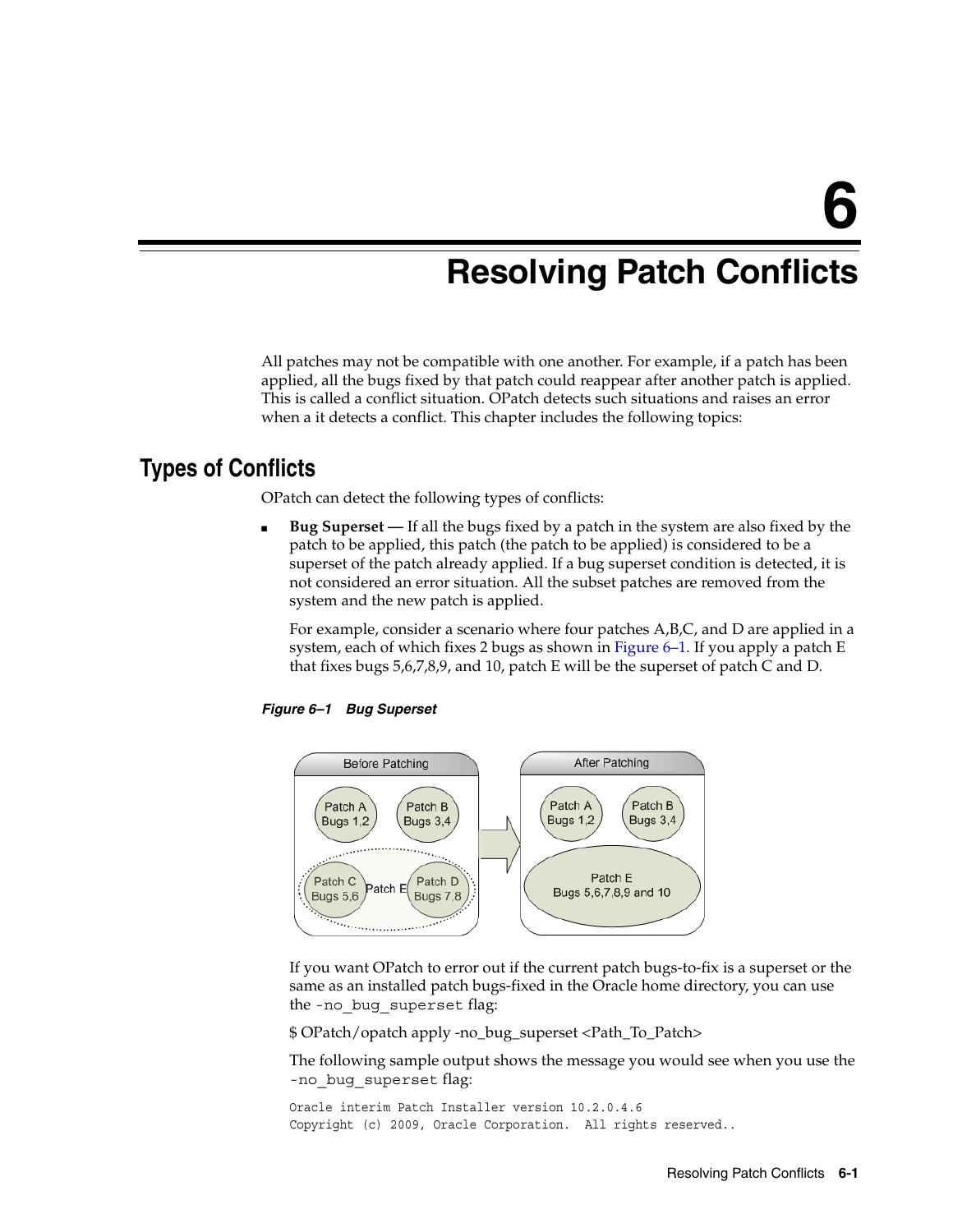# <span id="page-36-0"></span>**Resolving Patch Conflicts**

All patches may not be compatible with one another. For example, if a patch has been applied, all the bugs fixed by that patch could reappear after another patch is applied. This is called a conflict situation. OPatch detects such situations and raises an error when a it detects a conflict. This chapter includes the following topics:

## <span id="page-36-1"></span>**Types of Conflicts**

OPatch can detect the following types of conflicts:

<span id="page-36-2"></span>*Figure 6–1 Bug Superset*

**Bug Superset** — If all the bugs fixed by a patch in the system are also fixed by the patch to be applied, this patch (the patch to be applied) is considered to be a superset of the patch already applied. If a bug superset condition is detected, it is not considered an error situation. All the subset patches are removed from the system and the new patch is applied.

For example, consider a scenario where four patches A,B,C, and D are applied in a system, each of which fixes 2 bugs as shown in [Figure 6–1.](#page-36-2) If you apply a patch E that fixes bugs 5,6,7,8,9, and 10, patch E will be the superset of patch C and D.



If you want OPatch to error out if the current patch bugs-to-fix is a superset or the same as an installed patch bugs-fixed in the Oracle home directory, you can use the -no\_bug\_superset flag:

\$ OPatch/opatch apply -no\_bug\_superset <Path\_To\_Patch>

The following sample output shows the message you would see when you use the -no\_bug\_superset flag:

```
Oracle interim Patch Installer version 10.2.0.4.6
Copyright (c) 2009, Oracle Corporation. All rights reserved..
```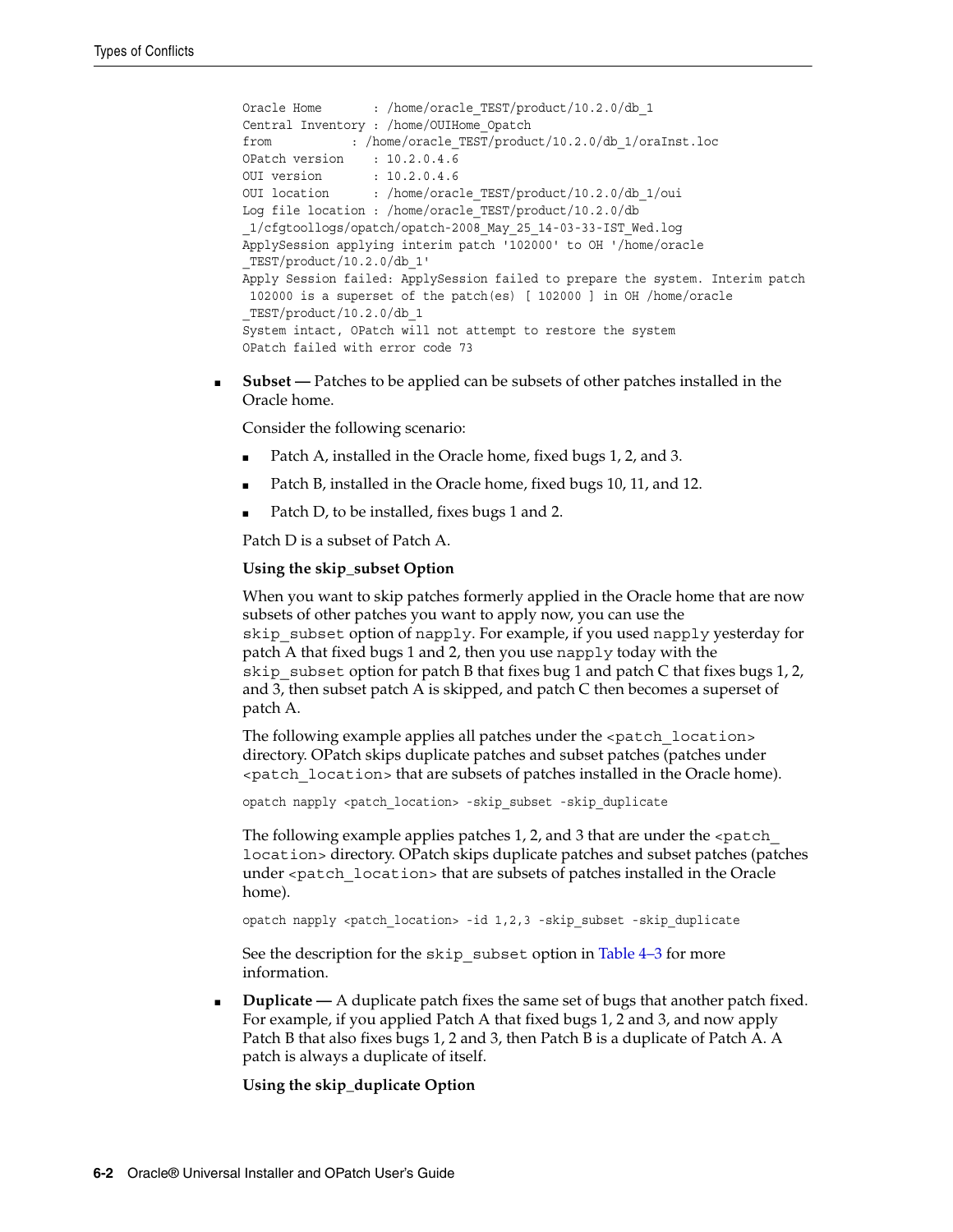```
Oracle Home : /home/oracle_TEST/product/10.2.0/db_1
Central Inventory : /home/OUIHome_Opatch
from : /home/oracle_TEST/product/10.2.0/db_1/oraInst.loc
OPatch version : 10.2.0.4.6
OUI version : 10.2.0.4.6
OUI location : /home/oracle_TEST/product/10.2.0/db_1/oui
Log file location : /home/oracle_TEST/product/10.2.0/db
_1/cfgtoollogs/opatch/opatch-2008_May_25_14-03-33-IST_Wed.log
ApplySession applying interim patch '102000' to OH '/home/oracle
_TEST/product/10.2.0/db_1'
Apply Session failed: ApplySession failed to prepare the system. Interim patch
 102000 is a superset of the patch(es) [ 102000 ] in OH /home/oracle
_TEST/product/10.2.0/db_1
System intact, OPatch will not attempt to restore the system
OPatch failed with error code 73
```
**Subset** — Patches to be applied can be subsets of other patches installed in the Oracle home.

Consider the following scenario:

- Patch A, installed in the Oracle home, fixed bugs 1, 2, and 3.
- Patch B, installed in the Oracle home, fixed bugs 10, 11, and 12.
- Patch D, to be installed, fixes bugs 1 and 2.

Patch D is a subset of Patch A.

#### **Using the skip\_subset Option**

When you want to skip patches formerly applied in the Oracle home that are now subsets of other patches you want to apply now, you can use the skip subset option of napply. For example, if you used napply yesterday for patch A that fixed bugs 1 and 2, then you use napply today with the skip subset option for patch B that fixes bug 1 and patch C that fixes bugs 1, 2, and 3, then subset patch A is skipped, and patch C then becomes a superset of patch A.

The following example applies all patches under the <patch\_location> directory. OPatch skips duplicate patches and subset patches (patches under <patch\_location> that are subsets of patches installed in the Oracle home).

opatch napply <patch\_location> -skip\_subset -skip\_duplicate

The following example applies patches 1, 2, and 3 that are under the  $\epsilon$  patch location> directory. OPatch skips duplicate patches and subset patches (patches under <patch\_location> that are subsets of patches installed in the Oracle home).

opatch napply <patch location> -id 1,2,3 -skip\_subset -skip\_duplicate

See the description for the skip subset option in [Table 4–3](#page-22-0) for more information.

**Duplicate** — A duplicate patch fixes the same set of bugs that another patch fixed. For example, if you applied Patch A that fixed bugs 1, 2 and 3, and now apply Patch B that also fixes bugs 1, 2 and 3, then Patch B is a duplicate of Patch A. A patch is always a duplicate of itself.

#### **Using the skip\_duplicate Option**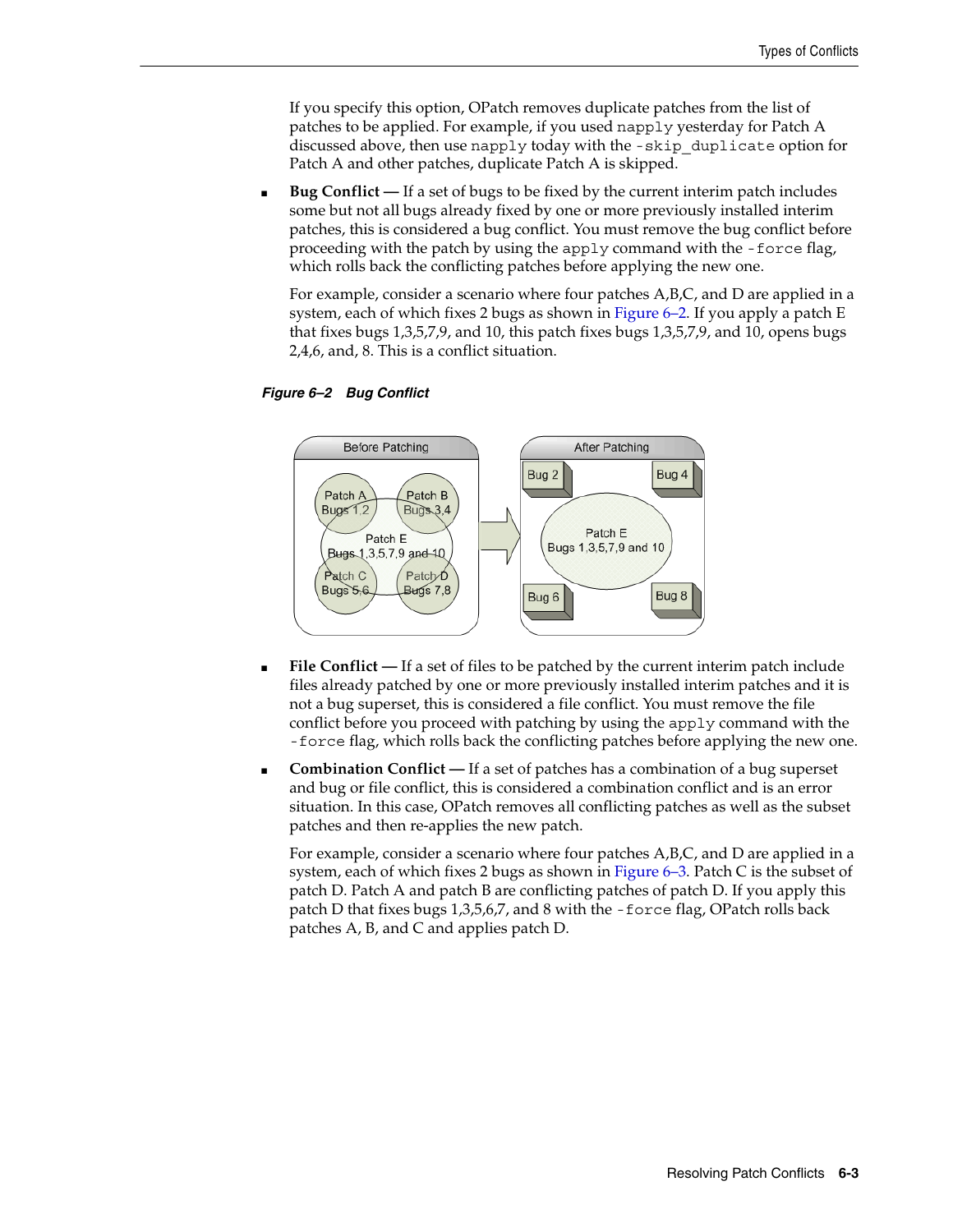If you specify this option, OPatch removes duplicate patches from the list of patches to be applied. For example, if you used napply yesterday for Patch A discussed above, then use napply today with the -skip\_duplicate option for Patch A and other patches, duplicate Patch A is skipped.

**Bug Conflict** — If a set of bugs to be fixed by the current interim patch includes some but not all bugs already fixed by one or more previously installed interim patches, this is considered a bug conflict. You must remove the bug conflict before proceeding with the patch by using the apply command with the -force flag, which rolls back the conflicting patches before applying the new one.

For example, consider a scenario where four patches A,B,C, and D are applied in a system, each of which fixes 2 bugs as shown in [Figure 6–2.](#page-38-0) If you apply a patch E that fixes bugs 1,3,5,7,9, and 10, this patch fixes bugs 1,3,5,7,9, and 10, opens bugs 2,4,6, and, 8. This is a conflict situation.

<span id="page-38-0"></span>



- **File Conflict** If a set of files to be patched by the current interim patch include files already patched by one or more previously installed interim patches and it is not a bug superset, this is considered a file conflict. You must remove the file conflict before you proceed with patching by using the apply command with the -force flag, which rolls back the conflicting patches before applying the new one.
- **Combination Conflict** If a set of patches has a combination of a bug superset and bug or file conflict, this is considered a combination conflict and is an error situation. In this case, OPatch removes all conflicting patches as well as the subset patches and then re-applies the new patch.

For example, consider a scenario where four patches A,B,C, and D are applied in a system, each of which fixes 2 bugs as shown in [Figure 6–3.](#page-39-1) Patch C is the subset of patch D. Patch A and patch B are conflicting patches of patch D. If you apply this patch D that fixes bugs 1,3,5,6,7, and 8 with the -force flag, OPatch rolls back patches A, B, and C and applies patch D.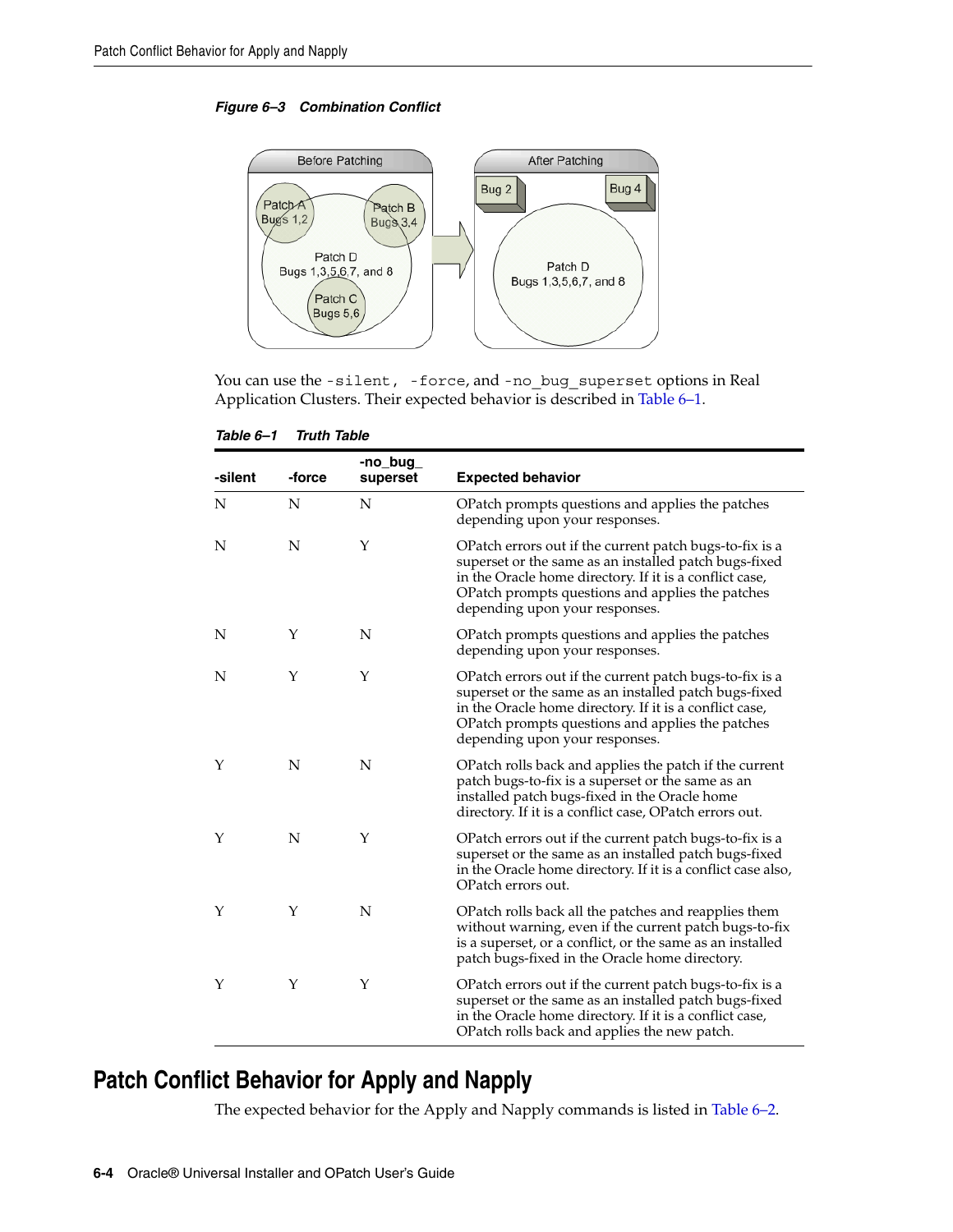<span id="page-39-1"></span>*Figure 6–3 Combination Conflict*



You can use the -silent, -force, and -no bug superset options in Real Application Clusters. Their expected behavior is described in [Table 6–1](#page-39-2).

*Table 6–1 Truth Table*

<span id="page-39-2"></span>

| -silent | -force | -no_bug_<br>superset | <b>Expected behavior</b>                                                                                                                                                                                                                                          |
|---------|--------|----------------------|-------------------------------------------------------------------------------------------------------------------------------------------------------------------------------------------------------------------------------------------------------------------|
| N       | N      | N                    | OPatch prompts questions and applies the patches<br>depending upon your responses.                                                                                                                                                                                |
| N       | N      | Υ                    | OPatch errors out if the current patch bugs-to-fix is a<br>superset or the same as an installed patch bugs-fixed<br>in the Oracle home directory. If it is a conflict case,<br>OPatch prompts questions and applies the patches<br>depending upon your responses. |
| N       | Y      | N                    | OPatch prompts questions and applies the patches<br>depending upon your responses.                                                                                                                                                                                |
| N       | Y      | Y                    | OPatch errors out if the current patch bugs-to-fix is a<br>superset or the same as an installed patch bugs-fixed<br>in the Oracle home directory. If it is a conflict case,<br>OPatch prompts questions and applies the patches<br>depending upon your responses. |
| Y       | N      | N                    | OPatch rolls back and applies the patch if the current<br>patch bugs-to-fix is a superset or the same as an<br>installed patch bugs-fixed in the Oracle home<br>directory. If it is a conflict case, OPatch errors out.                                           |
| Υ       | N      | Υ                    | OPatch errors out if the current patch bugs-to-fix is a<br>superset or the same as an installed patch bugs-fixed<br>in the Oracle home directory. If it is a conflict case also,<br>OPatch errors out.                                                            |
| Y       | Y      | N                    | OPatch rolls back all the patches and reapplies them<br>without warning, even if the current patch bugs-to-fix<br>is a superset, or a conflict, or the same as an installed<br>patch bugs-fixed in the Oracle home directory.                                     |
| Υ       | Υ      | Υ                    | OPatch errors out if the current patch bugs-to-fix is a<br>superset or the same as an installed patch bugs-fixed<br>in the Oracle home directory. If it is a conflict case,<br>OPatch rolls back and applies the new patch.                                       |

# <span id="page-39-0"></span>**Patch Conflict Behavior for Apply and Napply**

The expected behavior for the Apply and Napply commands is listed in Table 6–2.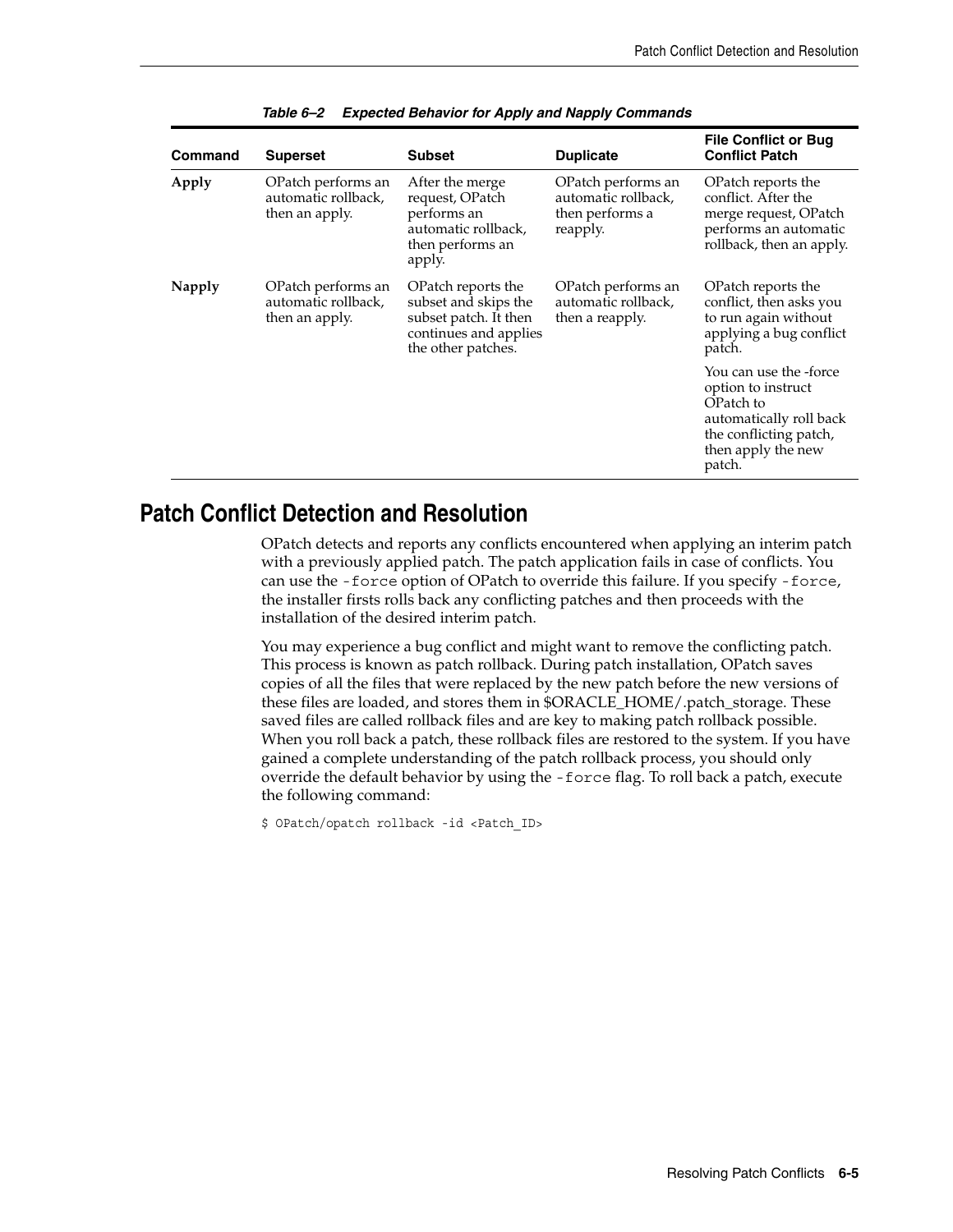| <b>Command</b> | <b>Superset</b>                                             | <b>Subset</b>                                                                                                      | <b>Duplicate</b>                                                         | <b>File Conflict or Bug</b><br><b>Conflict Patch</b>                                                                                           |
|----------------|-------------------------------------------------------------|--------------------------------------------------------------------------------------------------------------------|--------------------------------------------------------------------------|------------------------------------------------------------------------------------------------------------------------------------------------|
| Apply          | OPatch performs an<br>automatic rollback,<br>then an apply. | After the merge<br>request, OPatch<br>performs an<br>automatic rollback,<br>then performs an<br>apply.             | OPatch performs an<br>automatic rollback,<br>then performs a<br>reapply. | OPatch reports the<br>conflict. After the<br>merge request, OPatch<br>performs an automatic<br>rollback, then an apply.                        |
| Napply         | OPatch performs an<br>automatic rollback,<br>then an apply. | OPatch reports the<br>subset and skips the<br>subset patch. It then<br>continues and applies<br>the other patches. | OPatch performs an<br>automatic rollback,<br>then a reapply.             | OPatch reports the<br>conflict, then asks you<br>to run again without<br>applying a bug conflict<br>patch.                                     |
|                |                                                             |                                                                                                                    |                                                                          | You can use the -force<br>option to instruct<br>OPatch to<br>automatically roll back<br>the conflicting patch,<br>then apply the new<br>patch. |

|  |  | Table 6-2 Expected Behavior for Apply and Napply Commands |  |  |  |
|--|--|-----------------------------------------------------------|--|--|--|
|--|--|-----------------------------------------------------------|--|--|--|

## <span id="page-40-0"></span>**Patch Conflict Detection and Resolution**

OPatch detects and reports any conflicts encountered when applying an interim patch with a previously applied patch. The patch application fails in case of conflicts. You can use the -force option of OPatch to override this failure. If you specify -force, the installer firsts rolls back any conflicting patches and then proceeds with the installation of the desired interim patch.

You may experience a bug conflict and might want to remove the conflicting patch. This process is known as patch rollback. During patch installation, OPatch saves copies of all the files that were replaced by the new patch before the new versions of these files are loaded, and stores them in \$ORACLE\_HOME/.patch\_storage. These saved files are called rollback files and are key to making patch rollback possible. When you roll back a patch, these rollback files are restored to the system. If you have gained a complete understanding of the patch rollback process, you should only override the default behavior by using the -force flag. To roll back a patch, execute the following command:

\$ OPatch/opatch rollback -id <Patch\_ID>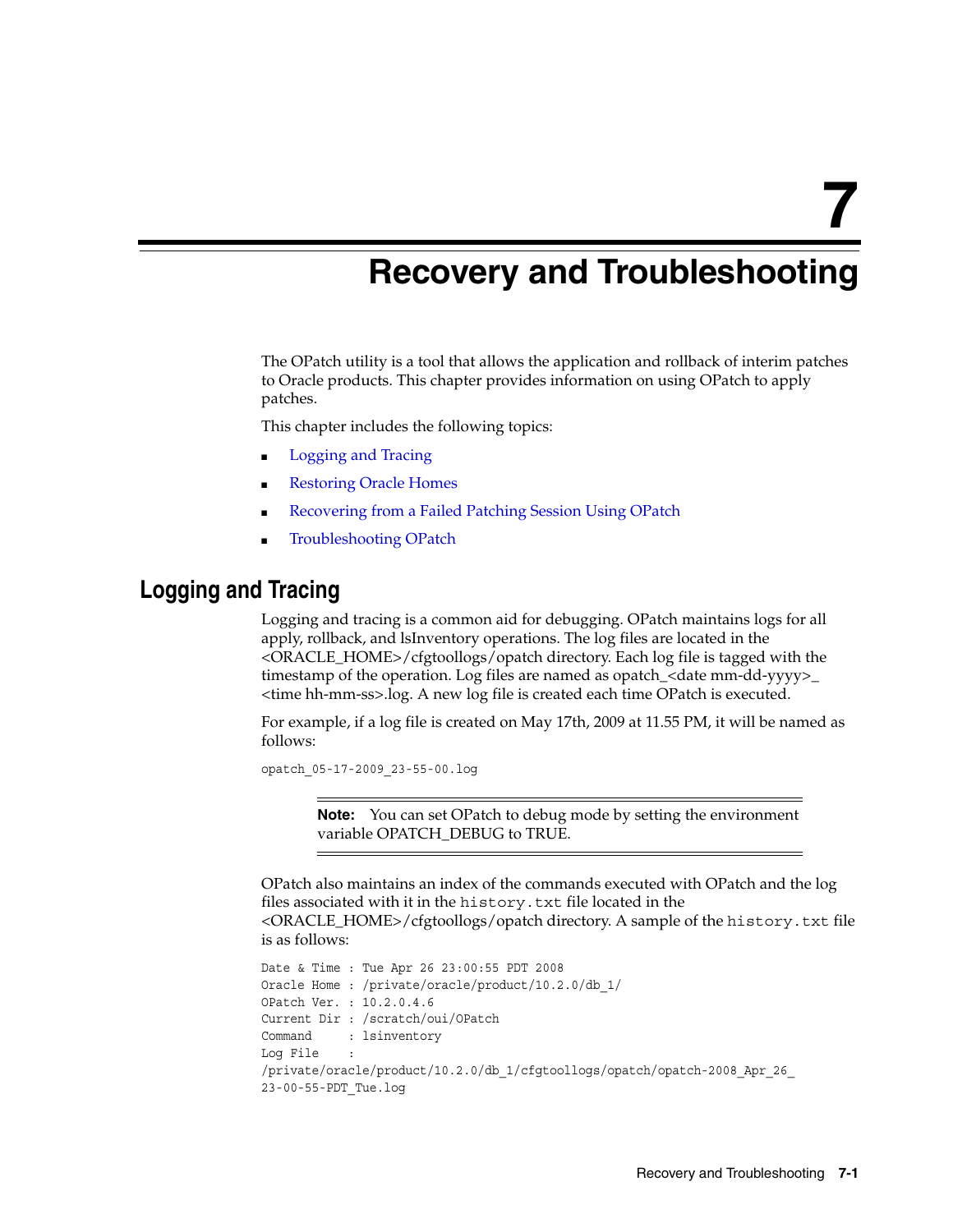<span id="page-42-0"></span>**7**

# **Recovery and Troubleshooting**

The OPatch utility is a tool that allows the application and rollback of interim patches to Oracle products. This chapter provides information on using OPatch to apply patches.

This chapter includes the following topics:

- [Logging and Tracing](#page-42-1)
- **[Restoring Oracle Homes](#page-43-0)**
- [Recovering from a Failed Patching Session Using OPatch](#page-43-1)
- **[Troubleshooting OPatch](#page-50-0)**

### <span id="page-42-1"></span>**Logging and Tracing**

Logging and tracing is a common aid for debugging. OPatch maintains logs for all apply, rollback, and lsInventory operations. The log files are located in the <ORACLE\_HOME>/cfgtoollogs/opatch directory. Each log file is tagged with the timestamp of the operation. Log files are named as opatch\_<date mm-dd-yyyy>\_ <time hh-mm-ss>.log. A new log file is created each time OPatch is executed.

For example, if a log file is created on May 17th, 2009 at 11.55 PM, it will be named as follows:

opatch\_05-17-2009\_23-55-00.log

**Note:** You can set OPatch to debug mode by setting the environment variable OPATCH\_DEBUG to TRUE.

OPatch also maintains an index of the commands executed with OPatch and the log files associated with it in the history.txt file located in the <ORACLE\_HOME>/cfgtoollogs/opatch directory. A sample of the history.txt file is as follows:

```
Date & Time : Tue Apr 26 23:00:55 PDT 2008
Oracle Home : /private/oracle/product/10.2.0/db_1/
OPatch Ver. : 10.2.0.4.6
Current Dir : /scratch/oui/OPatch
Command : lsinventory
Log File :
/private/oracle/product/10.2.0/db_1/cfgtoollogs/opatch/opatch-2008_Apr_26_
23-00-55-PDT_Tue.log
```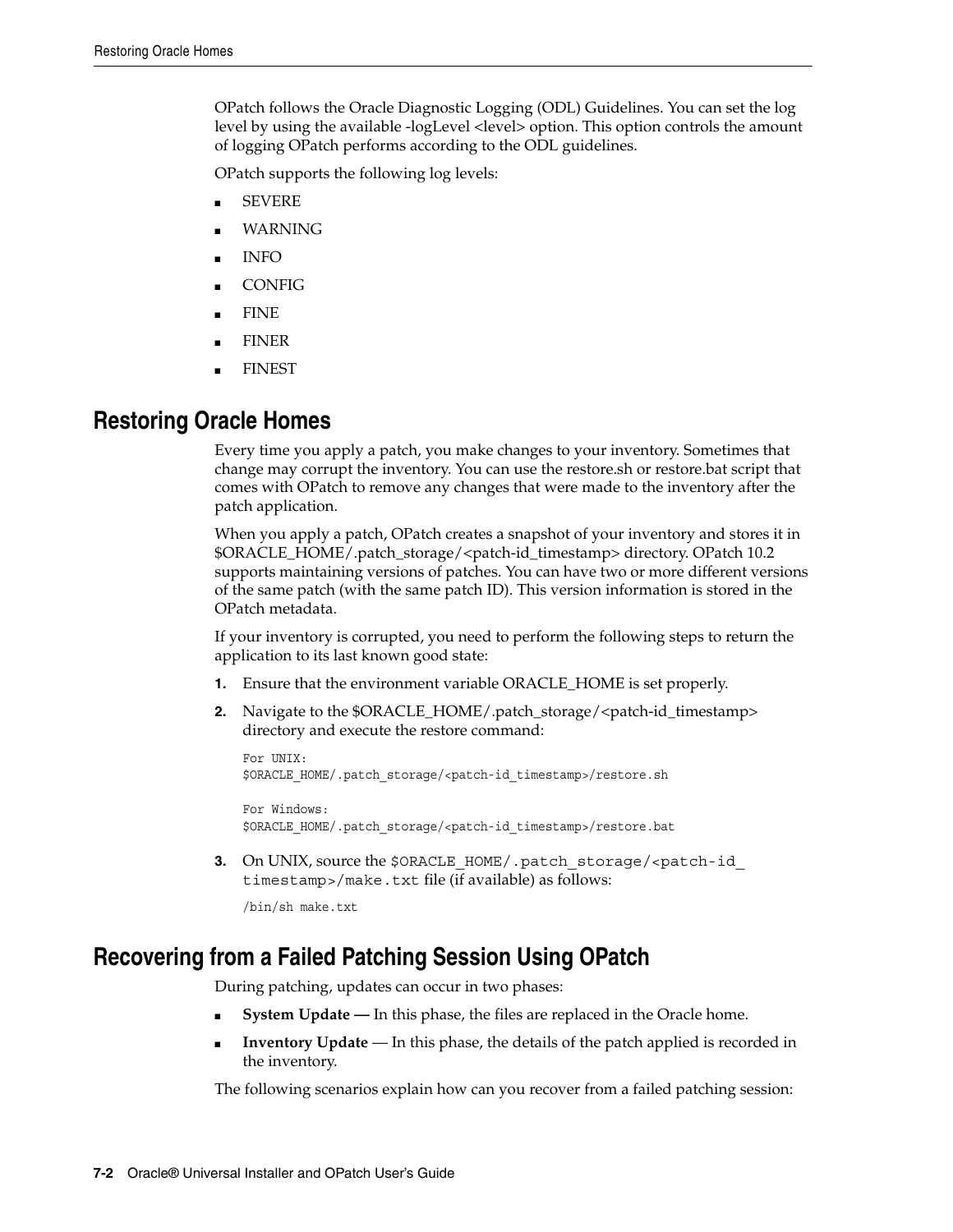OPatch follows the Oracle Diagnostic Logging (ODL) Guidelines. You can set the log level by using the available -logLevel <level> option. This option controls the amount of logging OPatch performs according to the ODL guidelines.

OPatch supports the following log levels:

- **SEVERE**
- **WARNING**
- INFO
- **CONFIG**
- FINE
- **FINER**
- **FINEST**

## <span id="page-43-0"></span>**Restoring Oracle Homes**

Every time you apply a patch, you make changes to your inventory. Sometimes that change may corrupt the inventory. You can use the restore.sh or restore.bat script that comes with OPatch to remove any changes that were made to the inventory after the patch application.

When you apply a patch, OPatch creates a snapshot of your inventory and stores it in \$ORACLE\_HOME/.patch\_storage/<patch-id\_timestamp> directory. OPatch 10.2 supports maintaining versions of patches. You can have two or more different versions of the same patch (with the same patch ID). This version information is stored in the OPatch metadata.

If your inventory is corrupted, you need to perform the following steps to return the application to its last known good state:

- **1.** Ensure that the environment variable ORACLE\_HOME is set properly.
- **2.** Navigate to the \$ORACLE\_HOME/.patch\_storage/<patch-id\_timestamp> directory and execute the restore command:

```
For INIX .
$ORACLE_HOME/.patch_storage/<patch-id_timestamp>/restore.sh
```

```
For Windows:
$ORACLE_HOME/.patch_storage/<patch-id_timestamp>/restore.bat
```
**3.** On UNIX, source the \$ORACLE HOME/.patch\_storage/<patch-id timestamp>/make.txt file (if available) as follows:

```
/bin/sh make.txt
```
# <span id="page-43-2"></span><span id="page-43-1"></span>**Recovering from a Failed Patching Session Using OPatch**

During patching, updates can occur in two phases:

- **System Update —** In this phase, the files are replaced in the Oracle home.
- **Inventory Update** In this phase, the details of the patch applied is recorded in the inventory.

The following scenarios explain how can you recover from a failed patching session: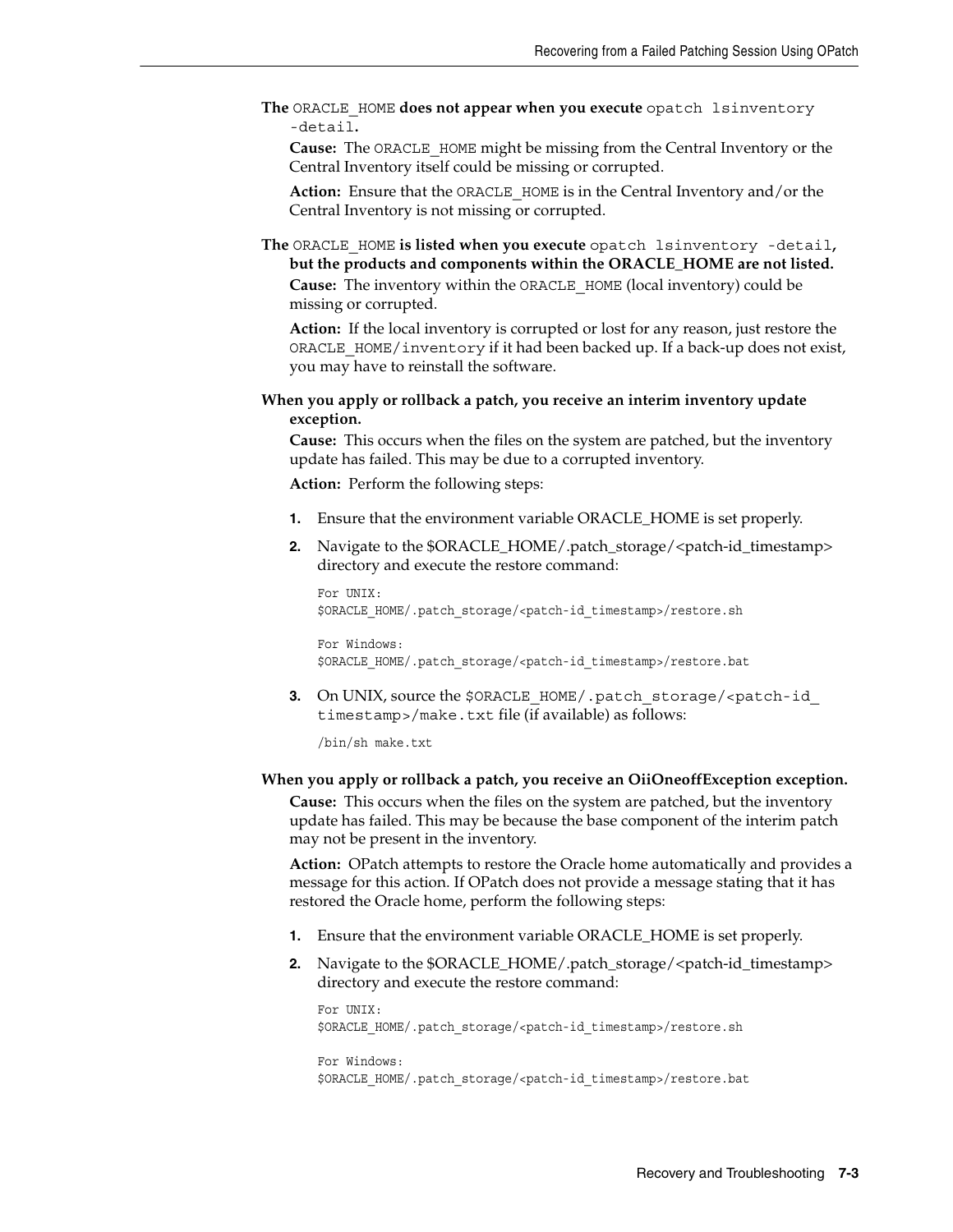**The** ORACLE\_HOME **does not appear when you execute** opatch lsinventory -detail**.**

**Cause:** The ORACLE\_HOME might be missing from the Central Inventory or the Central Inventory itself could be missing or corrupted.

**Action:** Ensure that the ORACLE\_HOME is in the Central Inventory and/or the Central Inventory is not missing or corrupted.

**The** ORACLE\_HOME **is listed when you execute** opatch lsinventory -detail**, but the products and components within the ORACLE\_HOME are not listed. Cause:** The inventory within the ORACLE\_HOME (local inventory) could be missing or corrupted.

**Action:** If the local inventory is corrupted or lost for any reason, just restore the ORACLE\_HOME/inventory if it had been backed up. If a back-up does not exist, you may have to reinstall the software.

**When you apply or rollback a patch, you receive an interim inventory update exception.**

**Cause:** This occurs when the files on the system are patched, but the inventory update has failed. This may be due to a corrupted inventory.

**Action:** Perform the following steps:

- **1.** Ensure that the environment variable ORACLE\_HOME is set properly.
- **2.** Navigate to the \$ORACLE\_HOME/.patch\_storage/<patch-id\_timestamp> directory and execute the restore command:

For UNIX: \$ORACLE\_HOME/.patch\_storage/<patch-id\_timestamp>/restore.sh

For Windows: \$ORACLE\_HOME/.patch\_storage/<patch-id\_timestamp>/restore.bat

**3.** On UNIX, source the \$ORACLE\_HOME/.patch\_storage/<patch-id\_ timestamp>/make.txt file (if available) as follows:

/bin/sh make.txt

#### **When you apply or rollback a patch, you receive an OiiOneoffException exception.**

**Cause:** This occurs when the files on the system are patched, but the inventory update has failed. This may be because the base component of the interim patch may not be present in the inventory.

**Action:** OPatch attempts to restore the Oracle home automatically and provides a message for this action. If OPatch does not provide a message stating that it has restored the Oracle home, perform the following steps:

- **1.** Ensure that the environment variable ORACLE\_HOME is set properly.
- **2.** Navigate to the \$ORACLE\_HOME/.patch\_storage/<patch-id\_timestamp> directory and execute the restore command:

For UNIX: \$ORACLE\_HOME/.patch\_storage/<patch-id\_timestamp>/restore.sh For Windows:

\$ORACLE\_HOME/.patch\_storage/<patch-id\_timestamp>/restore.bat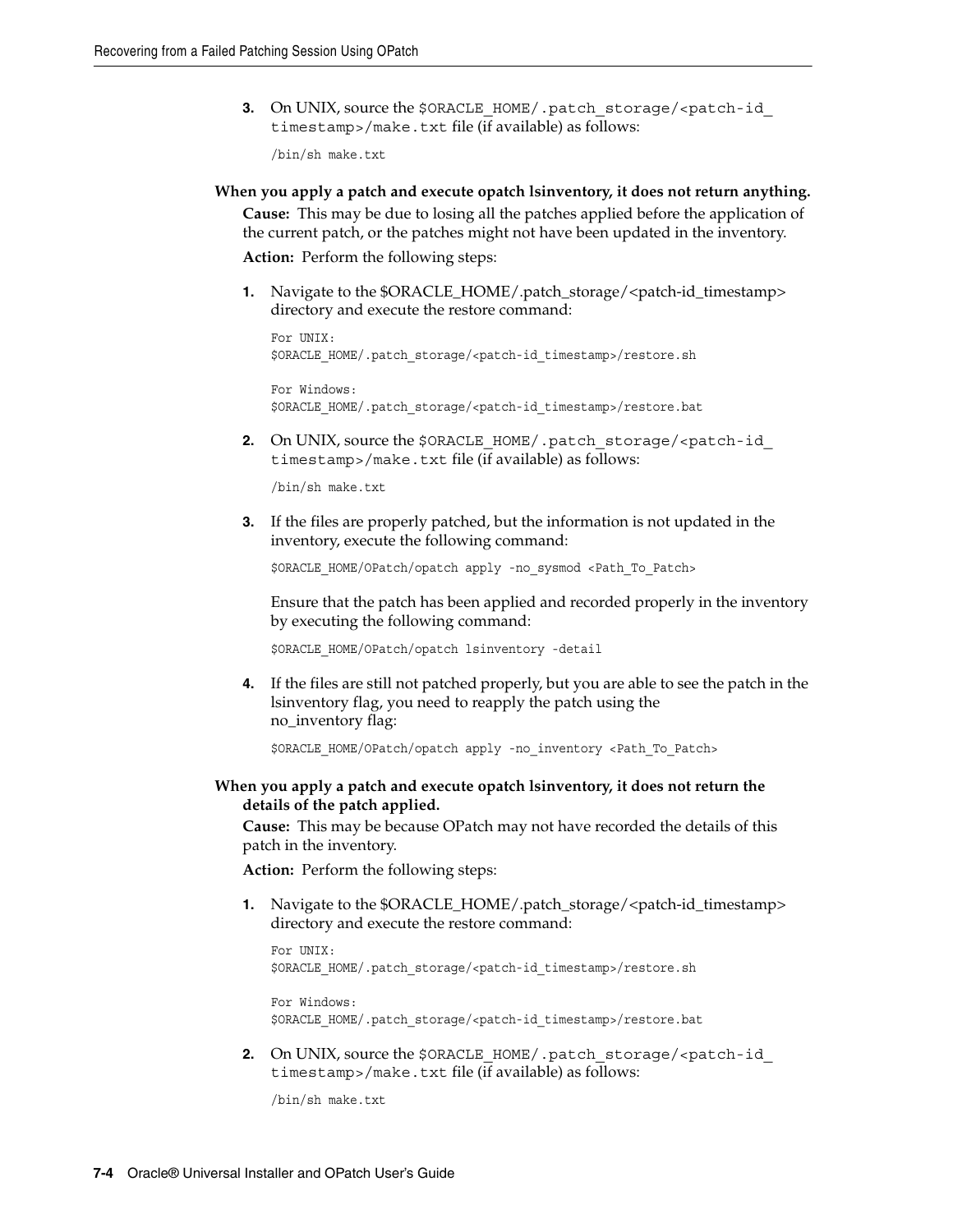**3.** On UNIX, source the \$ORACLE\_HOME/.patch\_storage/<patch-id timestamp>/make.txt file (if available) as follows:

/bin/sh make.txt

**When you apply a patch and execute opatch lsinventory, it does not return anything. Cause:** This may be due to losing all the patches applied before the application of the current patch, or the patches might not have been updated in the inventory.

**Action:** Perform the following steps:

**1.** Navigate to the \$ORACLE\_HOME/.patch\_storage/<patch-id\_timestamp> directory and execute the restore command:

```
For UNIX:
$ORACLE_HOME/.patch_storage/<patch-id_timestamp>/restore.sh
```

```
For Windows:
$ORACLE_HOME/.patch_storage/<patch-id_timestamp>/restore.bat
```
**2.** On UNIX, source the \$ORACLE\_HOME/.patch\_storage/<patch-id timestamp>/make.txt file (if available) as follows:

/bin/sh make.txt

**3.** If the files are properly patched, but the information is not updated in the inventory, execute the following command:

\$ORACLE\_HOME/OPatch/opatch apply -no\_sysmod <Path\_To\_Patch>

Ensure that the patch has been applied and recorded properly in the inventory by executing the following command:

\$ORACLE\_HOME/OPatch/opatch lsinventory -detail

**4.** If the files are still not patched properly, but you are able to see the patch in the lsinventory flag, you need to reapply the patch using the no\_inventory flag:

\$ORACLE HOME/OPatch/opatch apply -no inventory <Path To Patch>

**When you apply a patch and execute opatch lsinventory, it does not return the details of the patch applied.**

**Cause:** This may be because OPatch may not have recorded the details of this patch in the inventory.

**Action:** Perform the following steps:

**1.** Navigate to the \$ORACLE\_HOME/.patch\_storage/<patch-id\_timestamp> directory and execute the restore command:

```
For UNIX:
$ORACLE_HOME/.patch_storage/<patch-id_timestamp>/restore.sh
```

```
For Windows:
$ORACLE_HOME/.patch_storage/<patch-id_timestamp>/restore.bat
```
**2.** On UNIX, source the \$ORACLE\_HOME/.patch\_storage/<patch-id timestamp>/make.txt file (if available) as follows:

/bin/sh make.txt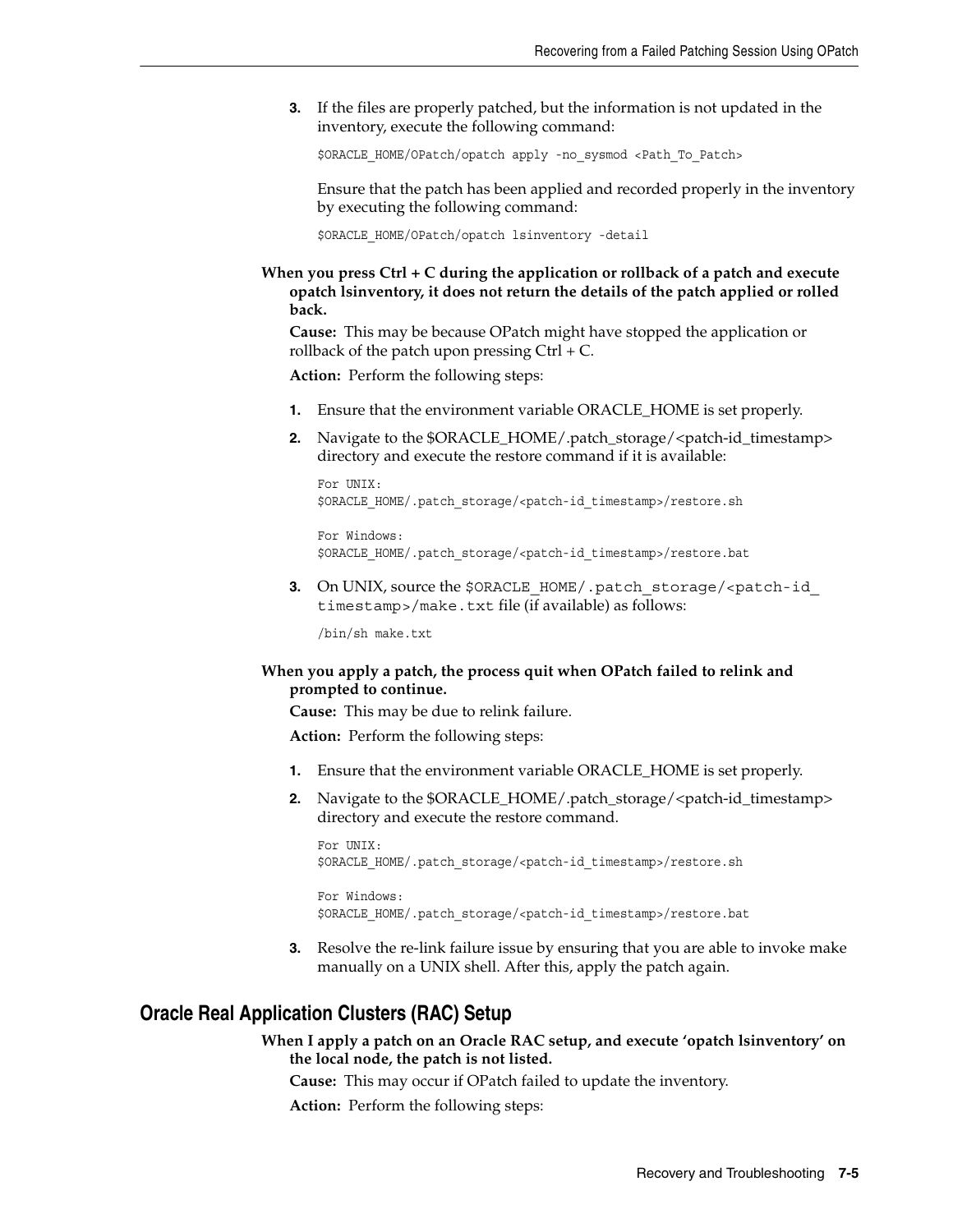**3.** If the files are properly patched, but the information is not updated in the inventory, execute the following command:

\$ORACLE\_HOME/OPatch/opatch apply -no\_sysmod <Path\_To\_Patch>

Ensure that the patch has been applied and recorded properly in the inventory by executing the following command:

\$ORACLE\_HOME/OPatch/opatch lsinventory -detail

**When you press Ctrl + C during the application or rollback of a patch and execute opatch lsinventory, it does not return the details of the patch applied or rolled back.**

**Cause:** This may be because OPatch might have stopped the application or rollback of the patch upon pressing  $Ctrl + C$ .

**Action:** Perform the following steps:

- **1.** Ensure that the environment variable ORACLE\_HOME is set properly.
- **2.** Navigate to the \$ORACLE\_HOME/.patch\_storage/<patch-id\_timestamp> directory and execute the restore command if it is available:

```
For UNIX:
$ORACLE_HOME/.patch_storage/<patch-id_timestamp>/restore.sh
```

```
For Windows:
$ORACLE_HOME/.patch_storage/<patch-id_timestamp>/restore.bat
```
**3.** On UNIX, source the \$ORACLE\_HOME/.patch\_storage/<patch-id\_ timestamp>/make.txt file (if available) as follows:

/bin/sh make.txt

#### **When you apply a patch, the process quit when OPatch failed to relink and prompted to continue.**

**Cause:** This may be due to relink failure.

**Action:** Perform the following steps:

- **1.** Ensure that the environment variable ORACLE\_HOME is set properly.
- **2.** Navigate to the \$ORACLE\_HOME/.patch\_storage/<patch-id\_timestamp> directory and execute the restore command.

```
For UNIX:
$ORACLE_HOME/.patch_storage/<patch-id_timestamp>/restore.sh
```

```
For Windows:
$ORACLE_HOME/.patch_storage/<patch-id_timestamp>/restore.bat
```
**3.** Resolve the re-link failure issue by ensuring that you are able to invoke make manually on a UNIX shell. After this, apply the patch again.

### <span id="page-46-0"></span>**Oracle Real Application Clusters (RAC) Setup**

**When I apply a patch on an Oracle RAC setup, and execute 'opatch lsinventory' on the local node, the patch is not listed.**

**Cause:** This may occur if OPatch failed to update the inventory.

**Action:** Perform the following steps: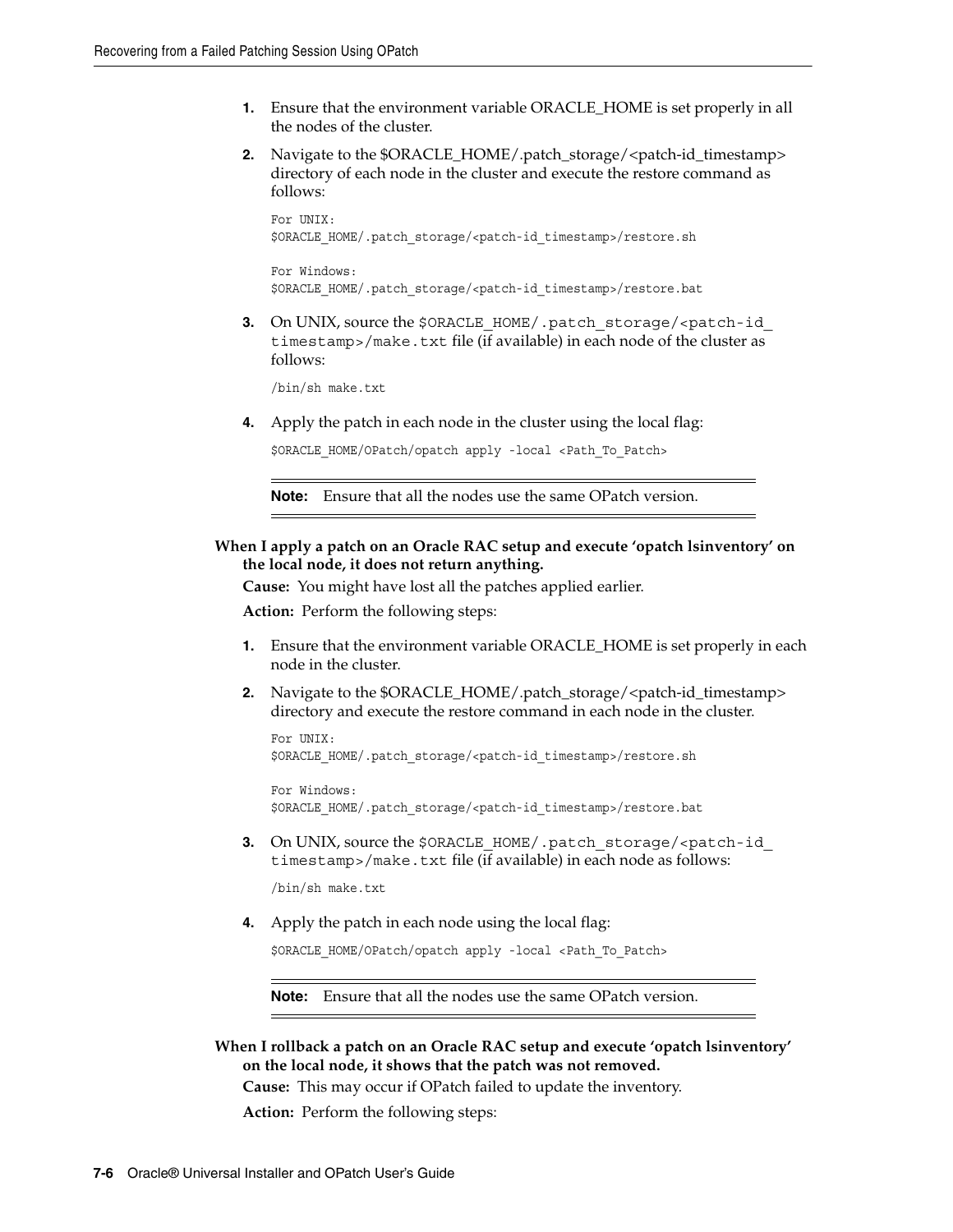- **1.** Ensure that the environment variable ORACLE\_HOME is set properly in all the nodes of the cluster.
- **2.** Navigate to the \$ORACLE\_HOME/.patch\_storage/<patch-id\_timestamp> directory of each node in the cluster and execute the restore command as follows:

```
For UNIX:
$ORACLE_HOME/.patch_storage/<patch-id_timestamp>/restore.sh
```
For Windows: \$ORACLE\_HOME/.patch\_storage/<patch-id\_timestamp>/restore.bat

**3.** On UNIX, source the \$ORACLE\_HOME/.patch\_storage/<patch-id timestamp>/make.txt file (if available) in each node of the cluster as follows:

/bin/sh make.txt

**4.** Apply the patch in each node in the cluster using the local flag:

\$ORACLE HOME/OPatch/opatch apply -local <Path To Patch>

**Note:** Ensure that all the nodes use the same OPatch version.

### **When I apply a patch on an Oracle RAC setup and execute 'opatch lsinventory' on the local node, it does not return anything.**

**Cause:** You might have lost all the patches applied earlier.

**Action:** Perform the following steps:

- **1.** Ensure that the environment variable ORACLE\_HOME is set properly in each node in the cluster.
- **2.** Navigate to the \$ORACLE\_HOME/.patch\_storage/<patch-id\_timestamp> directory and execute the restore command in each node in the cluster.

```
For UNIX:
$ORACLE_HOME/.patch_storage/<patch-id_timestamp>/restore.sh
```

```
For Windows:
$ORACLE_HOME/.patch_storage/<patch-id_timestamp>/restore.bat
```
**3.** On UNIX, source the \$ORACLE\_HOME/.patch\_storage/<patch-id timestamp>/make.txt file (if available) in each node as follows:

/bin/sh make.txt

**4.** Apply the patch in each node using the local flag:

\$ORACLE\_HOME/OPatch/opatch apply -local <Path\_To\_Patch>

**Note:** Ensure that all the nodes use the same OPatch version.

**When I rollback a patch on an Oracle RAC setup and execute 'opatch lsinventory' on the local node, it shows that the patch was not removed.**

**Cause:** This may occur if OPatch failed to update the inventory.

**Action:** Perform the following steps: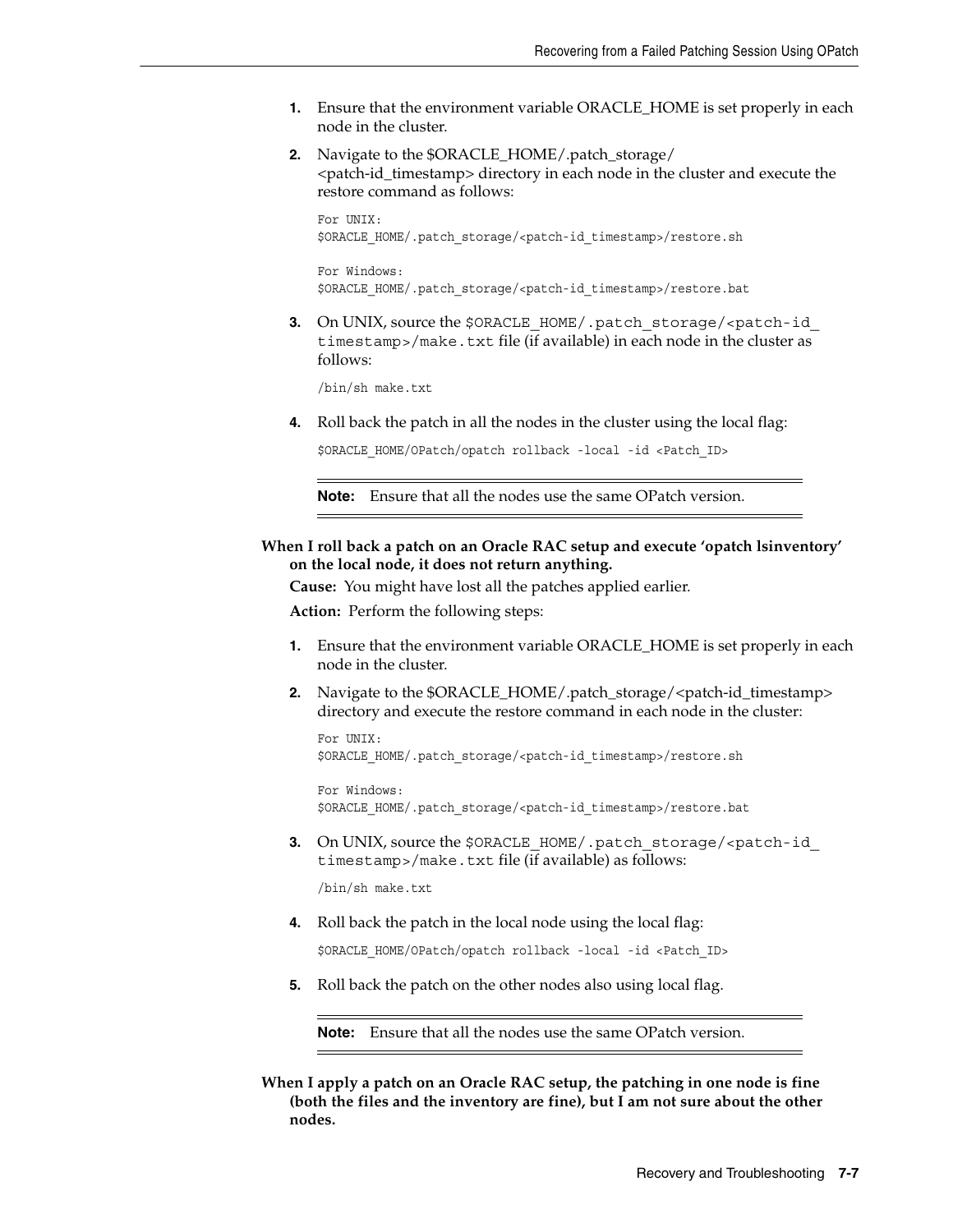- **1.** Ensure that the environment variable ORACLE\_HOME is set properly in each node in the cluster.
- **2.** Navigate to the \$ORACLE\_HOME/.patch\_storage/ <patch-id\_timestamp> directory in each node in the cluster and execute the restore command as follows:

For UNIX: \$ORACLE\_HOME/.patch\_storage/<patch-id\_timestamp>/restore.sh

For Windows: \$ORACLE\_HOME/.patch\_storage/<patch-id\_timestamp>/restore.bat

**3.** On UNIX, source the \$ORACLE\_HOME/.patch\_storage/<patch-id timestamp>/make.txt file (if available) in each node in the cluster as follows:

/bin/sh make.txt

**4.** Roll back the patch in all the nodes in the cluster using the local flag:

\$ORACLE\_HOME/OPatch/opatch rollback -local -id <Patch\_ID>

**Note:** Ensure that all the nodes use the same OPatch version.

### **When I roll back a patch on an Oracle RAC setup and execute 'opatch lsinventory' on the local node, it does not return anything.**

**Cause:** You might have lost all the patches applied earlier.

**Action:** Perform the following steps:

- **1.** Ensure that the environment variable ORACLE\_HOME is set properly in each node in the cluster.
- **2.** Navigate to the \$ORACLE\_HOME/.patch\_storage/<patch-id\_timestamp> directory and execute the restore command in each node in the cluster:

For UNIX: \$ORACLE\_HOME/.patch\_storage/<patch-id\_timestamp>/restore.sh

For Windows: \$ORACLE\_HOME/.patch\_storage/<patch-id\_timestamp>/restore.bat

**3.** On UNIX, source the \$ORACLE\_HOME/.patch\_storage/<patch-id timestamp>/make.txt file (if available) as follows:

/bin/sh make.txt

**4.** Roll back the patch in the local node using the local flag:

\$ORACLE\_HOME/OPatch/opatch rollback -local -id <Patch\_ID>

**5.** Roll back the patch on the other nodes also using local flag.

**Note:** Ensure that all the nodes use the same OPatch version.

**When I apply a patch on an Oracle RAC setup, the patching in one node is fine (both the files and the inventory are fine), but I am not sure about the other nodes.**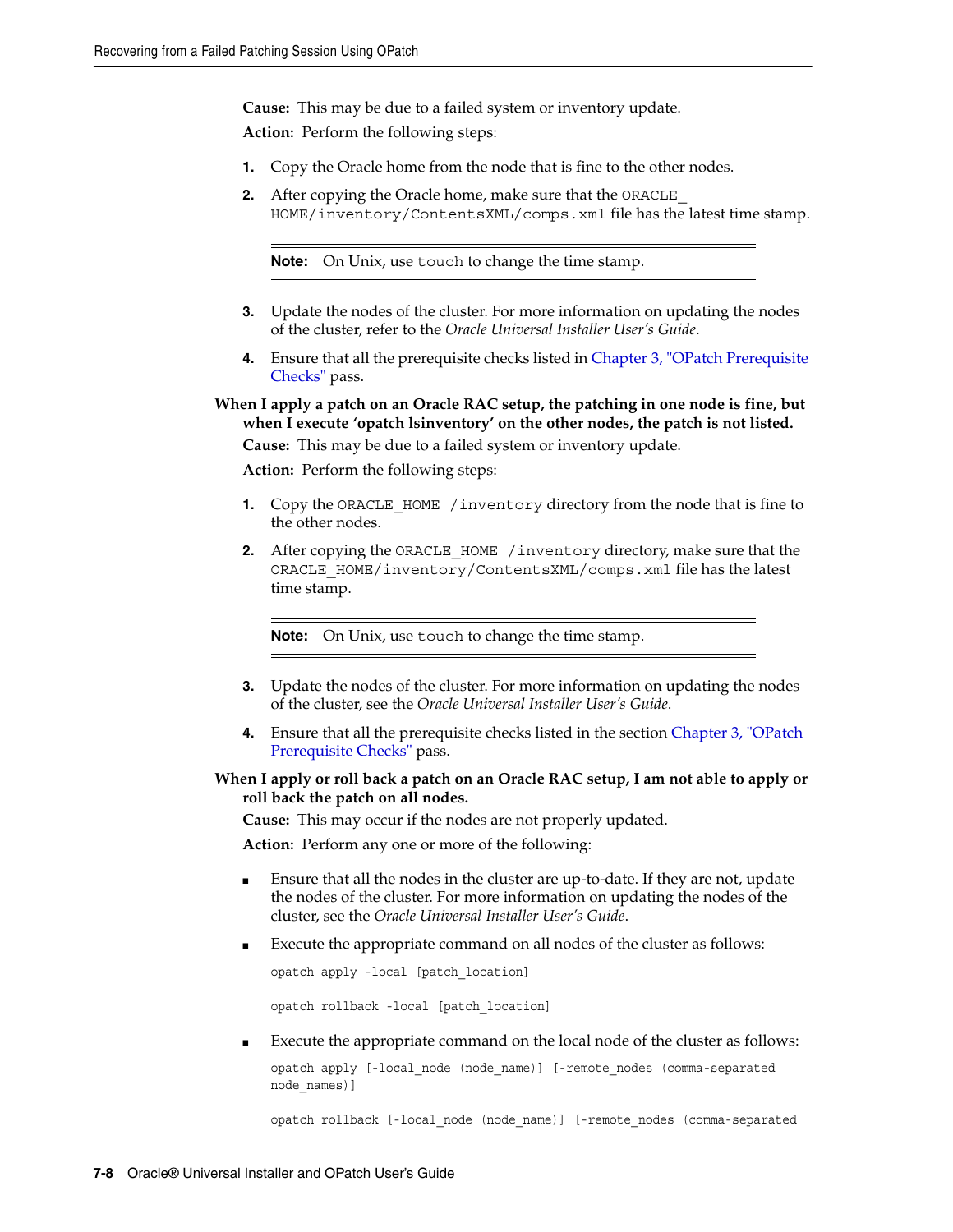**Cause:** This may be due to a failed system or inventory update.

**Action:** Perform the following steps:

- **1.** Copy the Oracle home from the node that is fine to the other nodes.
- **2.** After copying the Oracle home, make sure that the ORACLE HOME/inventory/ContentsXML/comps.xml file has the latest time stamp.

**Note:** On Unix, use touch to change the time stamp.

- **3.** Update the nodes of the cluster. For more information on updating the nodes of the cluster, refer to the *Oracle Universal Installer User's Guide*.
- **4.** Ensure that all the prerequisite checks listed in [Chapter 3, "OPatch Prerequisite](#page-10-5)  [Checks"](#page-10-5) pass.

**When I apply a patch on an Oracle RAC setup, the patching in one node is fine, but when I execute 'opatch lsinventory' on the other nodes, the patch is not listed.**

**Cause:** This may be due to a failed system or inventory update.

**Action:** Perform the following steps:

- **1.** Copy the ORACLE\_HOME\_/inventory directory from the node that is fine to the other nodes.
- **2.** After copying the ORACLE\_HOME /inventory directory, make sure that the ORACLE\_HOME/inventory/ContentsXML/comps.xml file has the latest time stamp.

**Note:** On Unix, use touch to change the time stamp.

- **3.** Update the nodes of the cluster. For more information on updating the nodes of the cluster, see the *Oracle Universal Installer User's Guide*.
- **4.** Ensure that all the prerequisite checks listed in the section [Chapter 3, "OPatch](#page-10-5)  [Prerequisite Checks"](#page-10-5) pass.
- **When I apply or roll back a patch on an Oracle RAC setup, I am not able to apply or roll back the patch on all nodes.**

**Cause:** This may occur if the nodes are not properly updated.

**Action:** Perform any one or more of the following:

- Ensure that all the nodes in the cluster are up-to-date. If they are not, update the nodes of the cluster. For more information on updating the nodes of the cluster, see the *Oracle Universal Installer User's Guide*.
- Execute the appropriate command on all nodes of the cluster as follows:

opatch apply -local [patch\_location]

opatch rollback -local [patch\_location]

Execute the appropriate command on the local node of the cluster as follows:

opatch apply [-local\_node (node\_name)] [-remote\_nodes (comma-separated node\_names)]

opatch rollback [-local\_node (node\_name)] [-remote\_nodes (comma-separated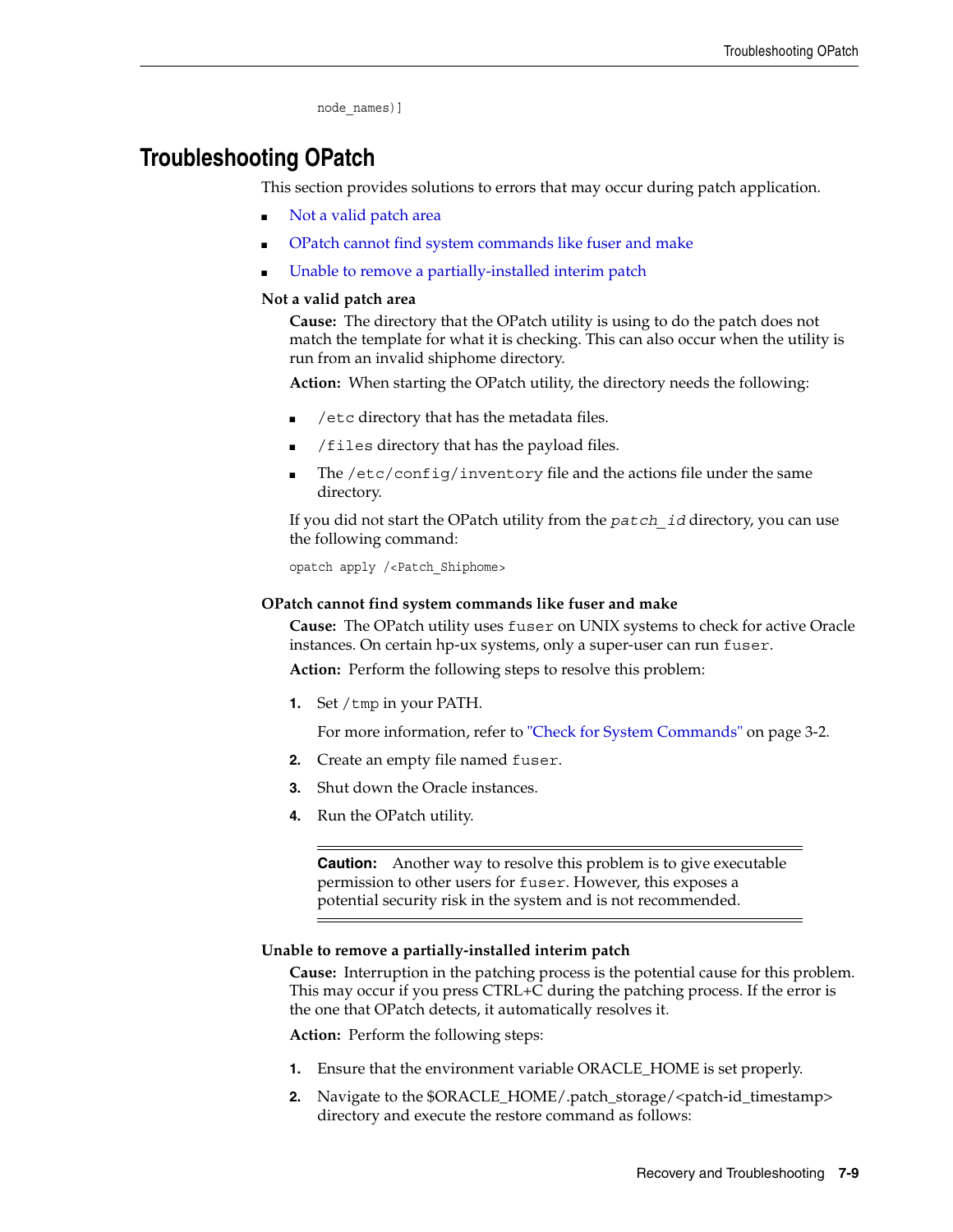```
node_names)]
```
# <span id="page-50-0"></span>**Troubleshooting OPatch**

This section provides solutions to errors that may occur during patch application.

- Not a valid patch area
- OPatch cannot find system commands like fuser and make
- Unable to remove a partially-installed interim patch

### **Not a valid patch area**

**Cause:** The directory that the OPatch utility is using to do the patch does not match the template for what it is checking. This can also occur when the utility is run from an invalid shiphome directory.

**Action:** When starting the OPatch utility, the directory needs the following:

- /etc directory that has the metadata files.
- /files directory that has the payload files.
- The /etc/config/inventory file and the actions file under the same directory.

If you did not start the OPatch utility from the *patch\_id* directory, you can use the following command:

opatch apply /<Patch\_Shiphome>

### **OPatch cannot find system commands like fuser and make**

**Cause:** The OPatch utility uses fuser on UNIX systems to check for active Oracle instances. On certain hp-ux systems, only a super-user can run fuser.

**Action:** Perform the following steps to resolve this problem:

**1.** Set / tmp in your PATH.

For more information, refer to ["Check for System Commands" on page 3-2.](#page-11-5)

- **2.** Create an empty file named fuser.
- **3.** Shut down the Oracle instances.
- **4.** Run the OPatch utility.

**Caution:** Another way to resolve this problem is to give executable permission to other users for fuser. However, this exposes a potential security risk in the system and is not recommended.

### **Unable to remove a partially-installed interim patch**

**Cause:** Interruption in the patching process is the potential cause for this problem. This may occur if you press CTRL+C during the patching process. If the error is the one that OPatch detects, it automatically resolves it.

**Action:** Perform the following steps:

- **1.** Ensure that the environment variable ORACLE\_HOME is set properly.
- **2.** Navigate to the \$ORACLE\_HOME/.patch\_storage/<patch-id\_timestamp> directory and execute the restore command as follows: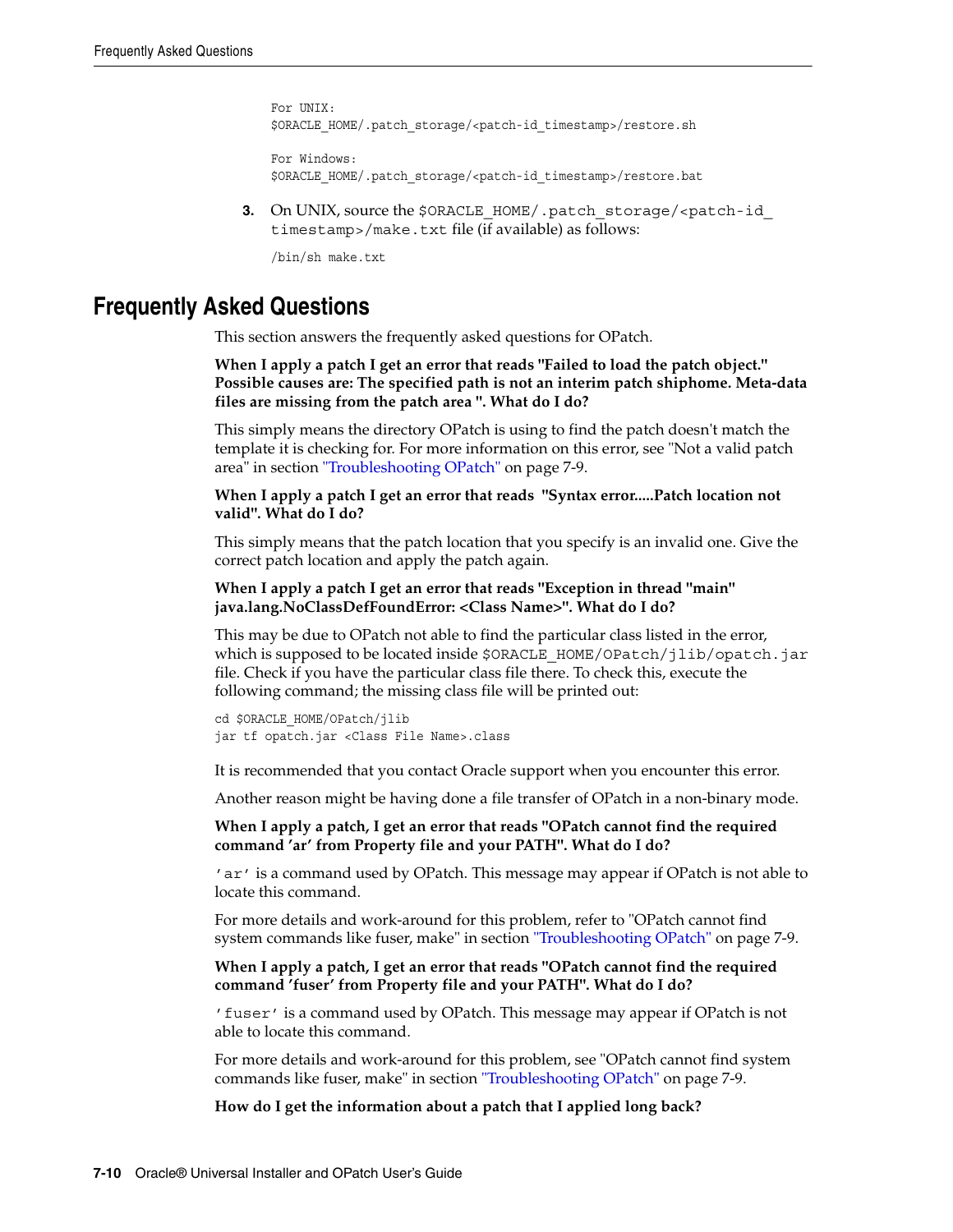For UNIX: \$ORACLE\_HOME/.patch\_storage/<patch-id\_timestamp>/restore.sh For Windows:

\$ORACLE\_HOME/.patch\_storage/<patch-id\_timestamp>/restore.bat

**3.** On UNIX, source the \$ORACLE\_HOME/.patch\_storage/<patch-id timestamp>/make.txt file (if available) as follows:

/bin/sh make.txt

## <span id="page-51-0"></span>**Frequently Asked Questions**

This section answers the frequently asked questions for OPatch.

**When I apply a patch I get an error that reads "Failed to load the patch object." Possible causes are: The specified path is not an interim patch shiphome. Meta-data files are missing from the patch area ". What do I do?**

This simply means the directory OPatch is using to find the patch doesn't match the template it is checking for. For more information on this error, see "Not a valid patch area" in section ["Troubleshooting OPatch" on page 7-9](#page-50-0).

#### **When I apply a patch I get an error that reads "Syntax error.....Patch location not valid". What do I do?**

This simply means that the patch location that you specify is an invalid one. Give the correct patch location and apply the patch again.

#### **When I apply a patch I get an error that reads "Exception in thread "main" java.lang.NoClassDefFoundError: <Class Name>". What do I do?**

This may be due to OPatch not able to find the particular class listed in the error, which is supposed to be located inside \$ORACLE\_HOME/OPatch/jlib/opatch.jar file. Check if you have the particular class file there. To check this, execute the following command; the missing class file will be printed out:

cd \$ORACLE\_HOME/OPatch/jlib jar tf opatch.jar <Class File Name>.class

It is recommended that you contact Oracle support when you encounter this error.

Another reason might be having done a file transfer of OPatch in a non-binary mode.

**When I apply a patch, I get an error that reads "OPatch cannot find the required command 'ar' from Property file and your PATH". What do I do?**

'ar' is a command used by OPatch. This message may appear if OPatch is not able to locate this command.

For more details and work-around for this problem, refer to "OPatch cannot find system commands like fuser, make" in section ["Troubleshooting OPatch" on page 7-9.](#page-50-0)

**When I apply a patch, I get an error that reads "OPatch cannot find the required command 'fuser' from Property file and your PATH". What do I do?**

'fuser' is a command used by OPatch. This message may appear if OPatch is not able to locate this command.

For more details and work-around for this problem, see "OPatch cannot find system commands like fuser, make" in section ["Troubleshooting OPatch" on page 7-9](#page-50-0).

**How do I get the information about a patch that I applied long back?**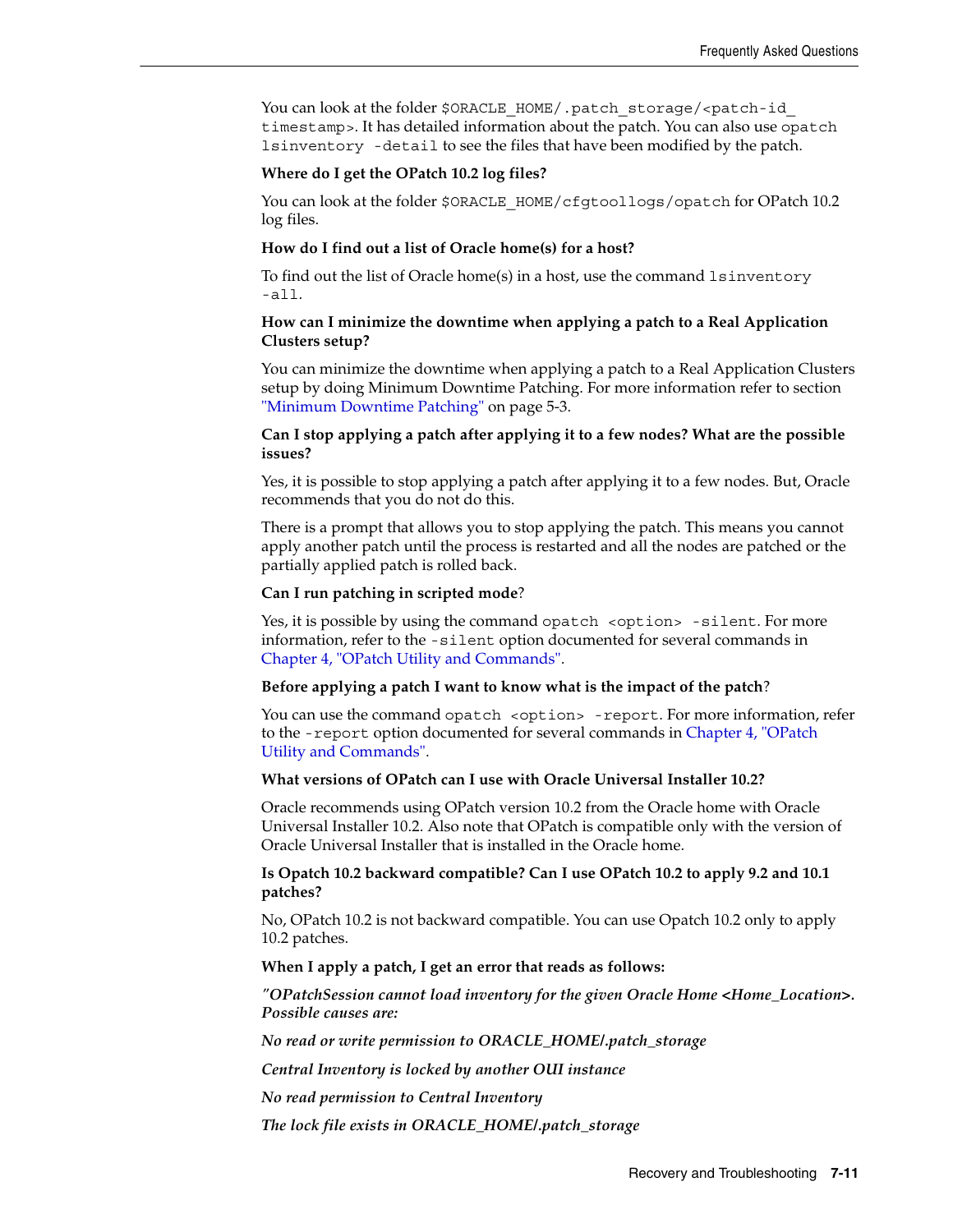You can look at the folder \$ORACLE\_HOME/.patch\_storage/<patch-id timestamp>. It has detailed information about the patch. You can also use opatch lsinventory -detail to see the files that have been modified by the patch.

#### **Where do I get the OPatch 10.2 log files?**

You can look at the folder \$ORACLE\_HOME/cfgtoollogs/opatch for OPatch 10.2 log files.

#### **How do I find out a list of Oracle home(s) for a host?**

To find out the list of Oracle home(s) in a host, use the command  $l$  sinventory -all.

#### **How can I minimize the downtime when applying a patch to a Real Application Clusters setup?**

You can minimize the downtime when applying a patch to a Real Application Clusters setup by doing Minimum Downtime Patching. For more information refer to section ["Minimum Downtime Patching" on page 5-3.](#page-34-3)

#### **Can I stop applying a patch after applying it to a few nodes? What are the possible issues?**

Yes, it is possible to stop applying a patch after applying it to a few nodes. But, Oracle recommends that you do not do this.

There is a prompt that allows you to stop applying the patch. This means you cannot apply another patch until the process is restarted and all the nodes are patched or the partially applied patch is rolled back.

#### **Can I run patching in scripted mode**?

Yes, it is possible by using the command opatch <option> -silent. For more information, refer to the -silent option documented for several commands in [Chapter 4, "OPatch Utility and Commands".](#page-18-2)

#### **Before applying a patch I want to know what is the impact of the patch**?

You can use the command opatch <option> -report. For more information, refer to the -report option documented for several commands in [Chapter 4, "OPatch](#page-18-2)  [Utility and Commands".](#page-18-2)

#### **What versions of OPatch can I use with Oracle Universal Installer 10.2?**

Oracle recommends using OPatch version 10.2 from the Oracle home with Oracle Universal Installer 10.2. Also note that OPatch is compatible only with the version of Oracle Universal Installer that is installed in the Oracle home.

#### **Is Opatch 10.2 backward compatible? Can I use OPatch 10.2 to apply 9.2 and 10.1 patches?**

No, OPatch 10.2 is not backward compatible. You can use Opatch 10.2 only to apply 10.2 patches.

#### **When I apply a patch, I get an error that reads as follows:**

*"OPatchSession cannot load inventory for the given Oracle Home <Home\_Location>. Possible causes are:*

*No read or write permission to ORACLE\_HOME/.patch\_storage*

*Central Inventory is locked by another OUI instance*

*No read permission to Central Inventory*

*The lock file exists in ORACLE\_HOME/.patch\_storage*